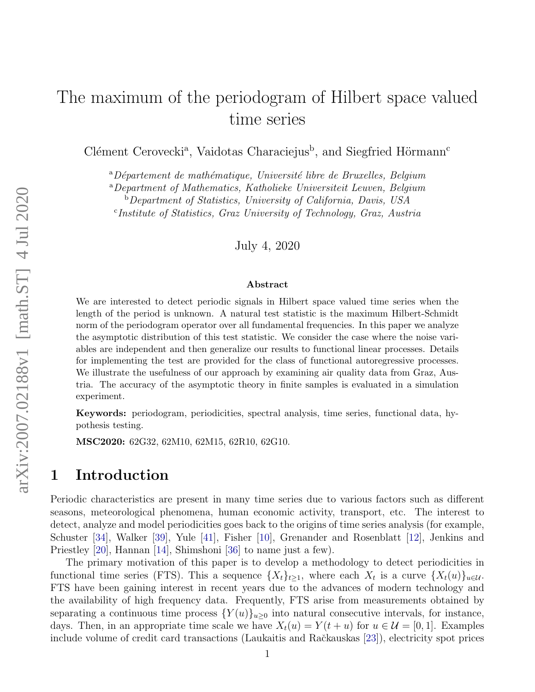# The maximum of the periodogram of Hilbert space valued time series

Clément Cerovecki<sup>a</sup>, Vaidotas Characiejus<sup>b</sup>, and Siegfried Hörmann<sup>c</sup>

 $a^a$ Département de mathématique, Université libre de Bruxelles, Belgium

<sup>a</sup>Department of Mathematics, Katholieke Universiteit Leuven, Belgium

 $\overline{b}$ Department of Statistics, University of California, Davis, USA

c Institute of Statistics, Graz University of Technology, Graz, Austria

July 4, 2020

#### Abstract

We are interested to detect periodic signals in Hilbert space valued time series when the length of the period is unknown. A natural test statistic is the maximum Hilbert-Schmidt norm of the periodogram operator over all fundamental frequencies. In this paper we analyze the asymptotic distribution of this test statistic. We consider the case where the noise variables are independent and then generalize our results to functional linear processes. Details for implementing the test are provided for the class of functional autoregressive processes. We illustrate the usefulness of our approach by examining air quality data from Graz, Austria. The accuracy of the asymptotic theory in finite samples is evaluated in a simulation experiment.

Keywords: periodogram, periodicities, spectral analysis, time series, functional data, hypothesis testing.

MSC2020: 62G32, 62M10, 62M15, 62R10, 62G10.

## 1 Introduction

Periodic characteristics are present in many time series due to various factors such as different seasons, meteorological phenomena, human economic activity, transport, etc. The interest to detect, analyze and model periodicities goes back to the origins of time series analysis (for example, Schuster [\[34\]](#page-41-0), Walker [\[39\]](#page-41-1), Yule [\[41\]](#page-41-2), Fisher [\[10\]](#page-39-0), Grenander and Rosenblatt [\[12\]](#page-39-1), Jenkins and Priestley [\[20\]](#page-40-0), Hannan [\[14\]](#page-39-2), Shimshoni [\[36\]](#page-41-3) to name just a few).

The primary motivation of this paper is to develop a methodology to detect periodicities in functional time series (FTS). This a sequence  $\{X_t\}_{t\geq 1}$ , where each  $X_t$  is a curve  $\{X_t(u)\}_{u\in\mathcal{U}}$ . FTS have been gaining interest in recent years due to the advances of modern technology and the availability of high frequency data. Frequently, FTS arise from measurements obtained by separating a continuous time process  ${Y(u)}_{u\geq 0}$  into natural consecutive intervals, for instance, days. Then, in an appropriate time scale we have  $X_t(u) = Y(t+u)$  for  $u \in \mathcal{U} = [0,1]$ . Examples include volume of credit card transactions (Laukaitis and Račkauskas [\[23\]](#page-40-1)), electricity spot prices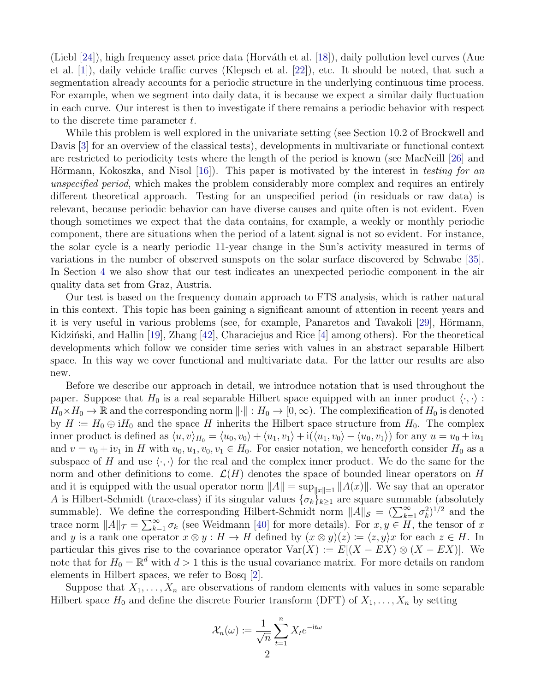(Liebl  $[24]$ ), high frequency asset price data (Horváth et al.  $[18]$ ), daily pollution level curves (Aue et al. [\[1\]](#page-39-3)), daily vehicle traffic curves (Klepsch et al. [\[22\]](#page-40-4)), etc. It should be noted, that such a segmentation already accounts for a periodic structure in the underlying continuous time process. For example, when we segment into daily data, it is because we expect a similar daily fluctuation in each curve. Our interest is then to investigate if there remains a periodic behavior with respect to the discrete time parameter t.

While this problem is well explored in the univariate setting (see Section 10.2 of Brockwell and Davis [\[3\]](#page-39-4) for an overview of the classical tests), developments in multivariate or functional context are restricted to periodicity tests where the length of the period is known (see MacNeill [\[26\]](#page-40-5) and Hörmann, Kokoszka, and Nisol  $(16)$ . This paper is motivated by the interest in testing for an unspecified period, which makes the problem considerably more complex and requires an entirely different theoretical approach. Testing for an unspecified period (in residuals or raw data) is relevant, because periodic behavior can have diverse causes and quite often is not evident. Even though sometimes we expect that the data contains, for example, a weekly or monthly periodic component, there are situations when the period of a latent signal is not so evident. For instance, the solar cycle is a nearly periodic 11-year change in the Sun's activity measured in terms of variations in the number of observed sunspots on the solar surface discovered by Schwabe [\[35\]](#page-41-4). In Section [4](#page-9-0) we also show that our test indicates an unexpected periodic component in the air quality data set from Graz, Austria.

Our test is based on the frequency domain approach to FTS analysis, which is rather natural in this context. This topic has been gaining a significant amount of attention in recent years and it is very useful in various problems (see, for example, Panaretos and Tavakoli [\[29\]](#page-40-6), Hörmann, Kidziński, and Hallin [\[19\]](#page-40-7), Zhang [\[42\]](#page-41-5), Characiejus and Rice [\[4\]](#page-39-6) among others). For the theoretical developments which follow we consider time series with values in an abstract separable Hilbert space. In this way we cover functional and multivariate data. For the latter our results are also new.

Before we describe our approach in detail, we introduce notation that is used throughout the paper. Suppose that  $H_0$  is a real separable Hilbert space equipped with an inner product  $\langle \cdot, \cdot \rangle$ :  $H_0\times H_0\to\mathbb{R}$  and the corresponding norm  $\lVert\cdot\rVert: H_0\to [0,\infty)$ . The complexification of  $H_0$  is denoted by  $H := H_0 \oplus iH_0$  and the space H inherits the Hilbert space structure from  $H_0$ . The complex inner product is defined as  $\langle u, v \rangle_{H_0} = \langle u_0, v_0 \rangle + \langle u_1, v_1 \rangle + i(\langle u_1, v_0 \rangle - \langle u_0, v_1 \rangle)$  for any  $u = u_0 + iu_1$ and  $v = v_0 + iv_1$  in H with  $u_0, u_1, v_0, v_1 \in H_0$ . For easier notation, we henceforth consider  $H_0$  as a subspace of H and use  $\langle \cdot, \cdot \rangle$  for the real and the complex inner product. We do the same for the norm and other definitions to come.  $\mathcal{L}(H)$  denotes the space of bounded linear operators on H and it is equipped with the usual operator norm  $||A|| = \sup_{||x||=1} ||A(x)||$ . We say that an operator A is Hilbert-Schmidt (trace-class) if its singular values  $\{\sigma_k\}_{k\geq 1}$  are square summable (absolutely summable). We define the corresponding Hilbert-Schmidt norm  $||A||_{\mathcal{S}} = (\sum_{k=1}^{\infty} \sigma_k^2)^{1/2}$  and the trace norm  $||A||_{\mathcal{T}} = \sum_{k=1}^{\infty} \sigma_k$  (see Weidmann [\[40\]](#page-41-6) for more details). For  $x, y \in H$ , the tensor of x and y is a rank one operator  $x \otimes y : H \to H$  defined by  $(x \otimes y)(z) := \langle z, y \rangle x$  for each  $z \in H$ . In particular this gives rise to the covariance operator  $Var(X) := E[(X - EX) \otimes (X - EX)].$  We note that for  $H_0 = \mathbb{R}^d$  with  $d > 1$  this is the usual covariance matrix. For more details on random elements in Hilbert spaces, we refer to Bosq [\[2\]](#page-39-7).

Suppose that  $X_1, \ldots, X_n$  are observations of random elements with values in some separable Hilbert space  $H_0$  and define the discrete Fourier transform (DFT) of  $X_1, \ldots, X_n$  by setting

$$
\mathcal{X}_n(\omega) \coloneqq \frac{1}{\sqrt{n}} \sum_{t=1}^n X_t e^{-\mathrm{i}t\omega}
$$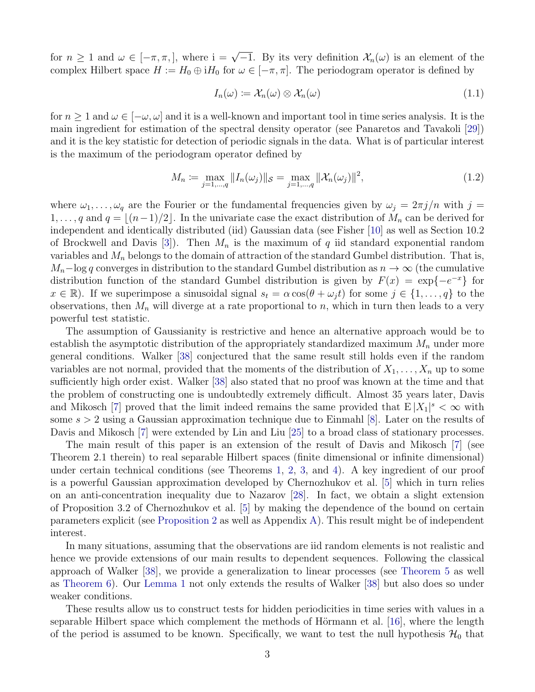for  $n \geq 1$  and  $\omega \in [-\pi, \pi]$ , where  $i = \sqrt{-1}$ . By its very definition  $\mathcal{X}_n(\omega)$  is an element of the complex Hilbert space  $H := H_0 \oplus iH_0$  for  $\omega \in [-\pi, \pi]$ . The periodogram operator is defined by

$$
I_n(\omega) \coloneqq \mathcal{X}_n(\omega) \otimes \mathcal{X}_n(\omega) \tag{1.1}
$$

for  $n \geq 1$  and  $\omega \in [-\omega, \omega]$  and it is a well-known and important tool in time series analysis. It is the main ingredient for estimation of the spectral density operator (see Panaretos and Tavakoli [\[29\]](#page-40-6)) and it is the key statistic for detection of periodic signals in the data. What is of particular interest is the maximum of the periodogram operator defined by

<span id="page-2-0"></span>
$$
M_n := \max_{j=1,\dots,q} \|I_n(\omega_j)\|_{\mathcal{S}} = \max_{j=1,\dots,q} \|\mathcal{X}_n(\omega_j)\|^2,
$$
\n(1.2)

where  $\omega_1, \ldots, \omega_q$  are the Fourier or the fundamental frequencies given by  $\omega_j = 2\pi j/n$  with  $j =$  $1, \ldots, q$  and  $q = \lfloor (n-1)/2 \rfloor$ . In the univariate case the exact distribution of  $M_n$  can be derived for independent and identically distributed (iid) Gaussian data (see Fisher [\[10\]](#page-39-0) as well as Section 10.2 of Brockwell and Davis [\[3\]](#page-39-4)). Then  $M_n$  is the maximum of q iid standard exponential random variables and  $M_n$  belongs to the domain of attraction of the standard Gumbel distribution. That is,  $M_n$ –log q converges in distribution to the standard Gumbel distribution as  $n \to \infty$  (the cumulative distribution function of the standard Gumbel distribution is given by  $F(x) = \exp\{-e^{-x}\}\$ for  $x \in \mathbb{R}$ ). If we superimpose a sinusoidal signal  $s_t = \alpha \cos(\theta + \omega_i t)$  for some  $j \in \{1, \ldots, q\}$  to the observations, then  $M_n$  will diverge at a rate proportional to n, which in turn then leads to a very powerful test statistic.

The assumption of Gaussianity is restrictive and hence an alternative approach would be to establish the asymptotic distribution of the appropriately standardized maximum  $M_n$  under more general conditions. Walker [\[38\]](#page-41-7) conjectured that the same result still holds even if the random variables are not normal, provided that the moments of the distribution of  $X_1, \ldots, X_n$  up to some sufficiently high order exist. Walker [\[38\]](#page-41-7) also stated that no proof was known at the time and that the problem of constructing one is undoubtedly extremely difficult. Almost 35 years later, Davis and Mikosch [\[7\]](#page-39-8) proved that the limit indeed remains the same provided that  $E|X_1|^s < \infty$  with some  $s > 2$  using a Gaussian approximation technique due to Einmahl [\[8\]](#page-39-9). Later on the results of Davis and Mikosch [\[7\]](#page-39-8) were extended by Lin and Liu [\[25\]](#page-40-8) to a broad class of stationary processes.

The main result of this paper is an extension of the result of Davis and Mikosch [\[7\]](#page-39-8) (see Theorem 2.1 therein) to real separable Hilbert spaces (finite dimensional or infinite dimensional) under certain technical conditions (see Theorems [1,](#page-4-0) [2,](#page-4-1) [3,](#page-4-2) and [4\)](#page-5-0). A key ingredient of our proof is a powerful Gaussian approximation developed by Chernozhukov et al. [\[5\]](#page-39-10) which in turn relies on an anti-concentration inequality due to Nazarov [\[28\]](#page-40-9). In fact, we obtain a slight extension of Proposition 3.2 of Chernozhukov et al. [\[5\]](#page-39-10) by making the dependence of the bound on certain parameters explicit (see [Proposition 2](#page-19-0) as well as Appendix [A\)](#page-31-0). This result might be of independent interest.

In many situations, assuming that the observations are iid random elements is not realistic and hence we provide extensions of our main results to dependent sequences. Following the classical approach of Walker [\[38\]](#page-41-7), we provide a generalization to linear processes (see [Theorem 5](#page-8-0) as well as [Theorem 6\)](#page-8-1). Our [Lemma 1](#page-7-0) not only extends the results of Walker [\[38\]](#page-41-7) but also does so under weaker conditions.

These results allow us to construct tests for hidden periodicities in time series with values in a separable Hilbert space which complement the methods of Hörmann et al.  $[16]$ , where the length of the period is assumed to be known. Specifically, we want to test the null hypothesis  $\mathcal{H}_0$  that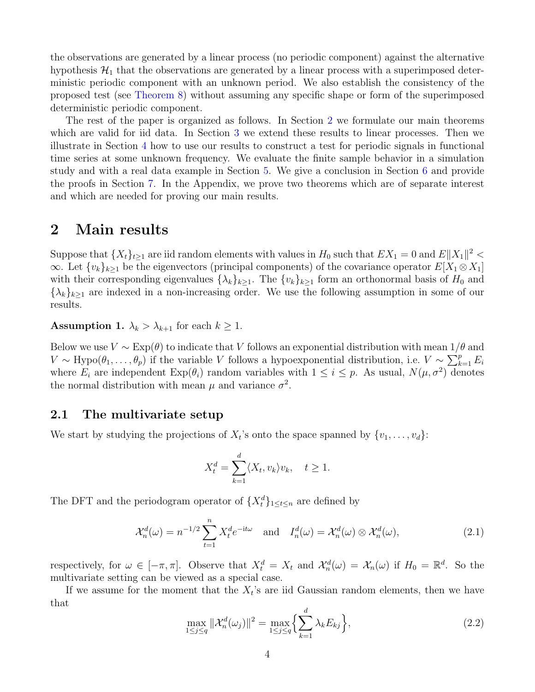the observations are generated by a linear process (no periodic component) against the alternative hypothesis  $\mathcal{H}_1$  that the observations are generated by a linear process with a superimposed deterministic periodic component with an unknown period. We also establish the consistency of the proposed test (see [Theorem 8\)](#page-10-0) without assuming any specific shape or form of the superimposed deterministic periodic component.

The rest of the paper is organized as follows. In Section [2](#page-3-0) we formulate our main theorems which are valid for iid data. In Section [3](#page-7-1) we extend these results to linear processes. Then we illustrate in Section [4](#page-9-0) how to use our results to construct a test for periodic signals in functional time series at some unknown frequency. We evaluate the finite sample behavior in a simulation study and with a real data example in Section [5.](#page-10-1) We give a conclusion in Section [6](#page-13-0) and provide the proofs in Section [7.](#page-14-0) In the Appendix, we prove two theorems which are of separate interest and which are needed for proving our main results.

## <span id="page-3-0"></span>2 Main results

Suppose that  $\{X_t\}_{t\geq 1}$  are iid random elements with values in  $H_0$  such that  $EX_1 = 0$  and  $E||X_1||^2 <$  $\infty$ . Let  $\{v_k\}_{k\geq 1}$  be the eigenvectors (principal components) of the covariance operator  $E[X_1\otimes X_1]$ with their corresponding eigenvalues  $\{\lambda_k\}_{k>1}$ . The  $\{v_k\}_{k>1}$  form an orthonormal basis of  $H_0$  and  ${\{\lambda_k\}_{k\geq1}}$  are indexed in a non-increasing order. We use the following assumption in some of our results.

<span id="page-3-1"></span>**Assumption 1.**  $\lambda_k > \lambda_{k+1}$  for each  $k \geq 1$ .

Below we use  $V \sim \text{Exp}(\theta)$  to indicate that V follows an exponential distribution with mean  $1/\theta$  and  $V \sim \text{Hypo}(\theta_1, \ldots, \theta_p)$  if the variable V follows a hypoexponential distribution, i.e.  $V \sim \sum_{k=1}^p E_i$ where  $E_i$  are independent  $Exp(\theta_i)$  random variables with  $1 \leq i \leq p$ . As usual,  $N(\mu, \sigma^2)$  denotes the normal distribution with mean  $\mu$  and variance  $\sigma^2$ .

### 2.1 The multivariate setup

We start by studying the projections of  $X_t$ 's onto the space spanned by  $\{v_1, \ldots, v_d\}$ :

$$
X_t^d = \sum_{k=1}^d \langle X_t, v_k \rangle v_k, \quad t \ge 1.
$$

The DFT and the periodogram operator of  $\{X_t^d\}_{1 \leq t \leq n}$  are defined by

$$
\mathcal{X}_n^d(\omega) = n^{-1/2} \sum_{t=1}^n X_t^d e^{-it\omega} \quad \text{and} \quad I_n^d(\omega) = \mathcal{X}_n^d(\omega) \otimes \mathcal{X}_n^d(\omega), \tag{2.1}
$$

respectively, for  $\omega \in [-\pi, \pi]$ . Observe that  $X_t^d = X_t$  and  $\mathcal{X}_n^d(\omega) = \mathcal{X}_n(\omega)$  if  $H_0 = \mathbb{R}^d$ . So the multivariate setting can be viewed as a special case.

If we assume for the moment that the  $X_t$ 's are iid Gaussian random elements, then we have that

$$
\max_{1 \le j \le q} \|\mathcal{X}_n^d(\omega_j)\|^2 = \max_{1 \le j \le q} \left\{ \sum_{k=1}^d \lambda_k E_{kj} \right\},\tag{2.2}
$$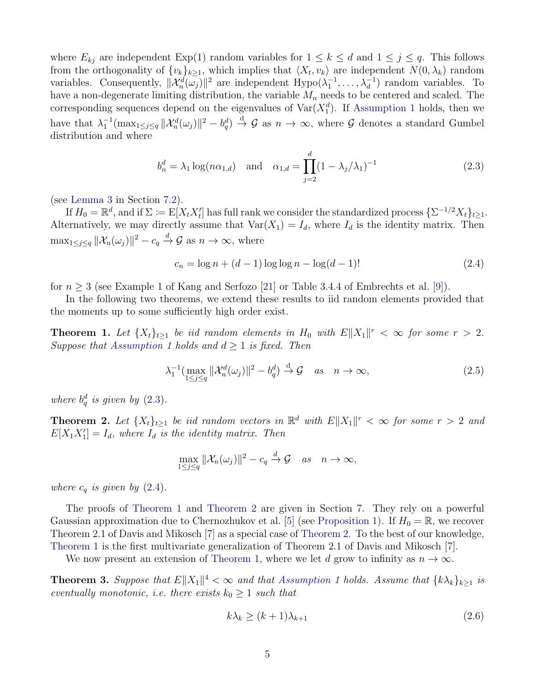where  $E_{kj}$  are independent  $Exp(1)$  random variables for  $1 \leq k \leq d$  and  $1 \leq j \leq q$ . This follows from the orthogonality of  $\{v_k\}_{k\geq 1}$ , which implies that  $\langle X_t, v_k \rangle$  are independent  $N(0, \lambda_k)$  random variables. Consequently,  $\|\mathcal{X}_n^d(\omega_j)\|^2$  are independent  $Hypo(\lambda_1^{-1},\ldots,\lambda_d^{-1})$  random variables. To have a non-degenerate limiting distribution, the variable  $M_n$  needs to be centered and scaled. The corresponding sequences depend on the eigenvalues of  $\text{Var}(X_1^d)$ . If [Assumption 1](#page-3-1) holds, then we have that  $\lambda_1^{-1}(\max_{1 \leq j \leq q} ||\mathcal{X}_n^d(\omega_j)||^2 - b_q^d) \stackrel{d}{\to} \mathcal{G}$  as  $n \to \infty$ , where  $\mathcal G$  denotes a standard Gumbel distribution and where

<span id="page-4-3"></span>
$$
b_n^d = \lambda_1 \log(n\alpha_{1,d})
$$
 and  $\alpha_{1,d} = \prod_{j=2}^d (1 - \lambda_j/\lambda_1)^{-1}$  (2.3)

(see [Lemma 3](#page-21-0) in Section [7.2\)](#page-21-1).

If  $H_0 = \mathbb{R}^d$ , and if  $\Sigma := \mathbb{E}[X_t X_t']$  has full rank we consider the standardized process  $\{\Sigma^{-1/2} X_t\}_{t \geq 1}$ . Alternatively, we may directly assume that  $Var(X_1) = I_d$ , where  $I_d$  is the identity matrix. Then  $\max_{1 \leq j \leq q} ||\mathcal{X}_n(\omega_j)||^2 - c_q \stackrel{d}{\to} \mathcal{G}$  as  $n \to \infty$ , where

<span id="page-4-4"></span>
$$
c_n = \log n + (d - 1)\log \log n - \log(d - 1)!
$$
 (2.4)

for  $n \geq 3$  (see Example 1 of Kang and Serfozo [\[21\]](#page-40-10) or Table 3.4.4 of Embrechts et al. [\[9\]](#page-39-11)).

In the following two theorems, we extend these results to iid random elements provided that the moments up to some sufficiently high order exist.

<span id="page-4-0"></span>**Theorem 1.** Let  $\{X_t\}_{t\geq 1}$  be iid random elements in  $H_0$  with  $E||X_1||^r < \infty$  for some  $r > 2$ . Suppose that [Assumption 1](#page-3-1) holds and  $d \geq 1$  is fixed. Then

<span id="page-4-5"></span>
$$
\lambda_1^{-1}(\max_{1 \le j \le q} \|\mathcal{X}_n^d(\omega_j)\|^2 - b_q^d) \stackrel{\mathrm{d}}{\to} \mathcal{G} \quad \text{as} \quad n \to \infty,\tag{2.5}
$$

where  $b_q^d$  is given by  $(2.3)$ .

<span id="page-4-1"></span>**Theorem 2.** Let  $\{X_t\}_{t\geq 1}$  be iid random vectors in  $\mathbb{R}^d$  with  $E||X_1||^r < \infty$  for some  $r > 2$  and  $E[X_1X_1'] = I_d$ , where  $I_d$  is the identity matrix. Then

$$
\max_{1 \le j \le q} \|\mathcal{X}_n(\omega_j)\|^2 - c_q \xrightarrow{d} \mathcal{G} \quad as \quad n \to \infty,
$$

where  $c_q$  is given by  $(2.4)$ .

The proofs of [Theorem 1](#page-4-0) and [Theorem 2](#page-4-1) are given in Section [7.](#page-14-0) They rely on a powerful Gaussian approximation due to Chernozhukov et al. [\[5\]](#page-39-10) (see [Proposition 1\)](#page-15-0). If  $H_0 = \mathbb{R}$ , we recover Theorem 2.1 of Davis and Mikosch [\[7\]](#page-39-8) as a special case of [Theorem 2.](#page-4-1) To the best of our knowledge, [Theorem 1](#page-4-0) is the first multivariate generalization of Theorem 2.1 of Davis and Mikosch [\[7\]](#page-39-8).

We now present an extension of [Theorem 1,](#page-4-0) where we let d grow to infinity as  $n \to \infty$ .

<span id="page-4-2"></span>**Theorem 3.** Suppose that  $E||X_1||^4 < \infty$  and that [Assumption 1](#page-3-1) holds. Assume that  $\{k\lambda_k\}_{k\geq 1}$  is eventually monotonic, i.e. there exists  $k_0 \geq 1$  such that

<span id="page-4-6"></span>
$$
k\lambda_k \ge (k+1)\lambda_{k+1} \tag{2.6}
$$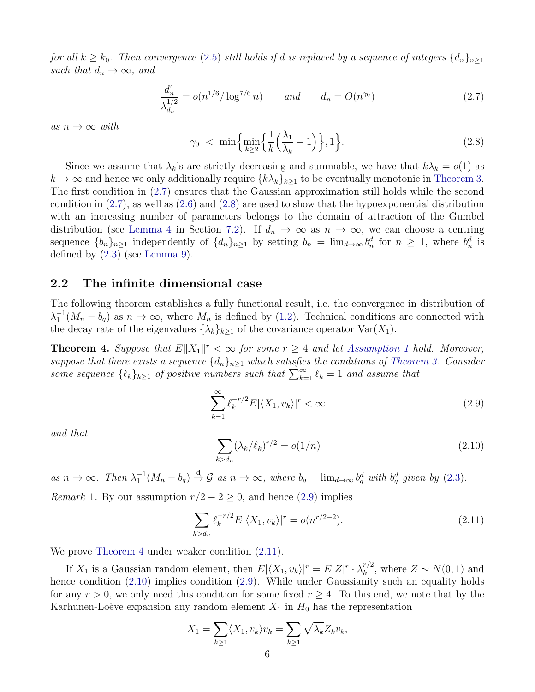for all  $k \geq k_0$ . Then convergence [\(2.5\)](#page-4-5) still holds if d is replaced by a sequence of integers  $\{d_n\}_{n\geq 1}$ such that  $d_n \to \infty$ , and

<span id="page-5-1"></span>
$$
\frac{d_n^4}{\lambda_{d_n}^{1/2}} = o(n^{1/6}/\log^{7/6} n) \qquad \text{and} \qquad d_n = O(n^{\gamma_0}) \tag{2.7}
$$

as  $n \to \infty$  with

<span id="page-5-2"></span>
$$
\gamma_0 < \min\left\{\min_{k\geq 2} \left\{\frac{1}{k} \left(\frac{\lambda_1}{\lambda_k} - 1\right)\right\}, 1\right\}.\tag{2.8}
$$

Since we assume that  $\lambda_k$ 's are strictly decreasing and summable, we have that  $k\lambda_k = o(1)$  as  $k \to \infty$  and hence we only additionally require  $\{k\lambda_k\}_{k>1}$  to be eventually monotonic in [Theorem 3.](#page-4-2) The first condition in [\(2.7\)](#page-5-1) ensures that the Gaussian approximation still holds while the second condition in  $(2.7)$ , as well as  $(2.6)$  and  $(2.8)$  are used to show that the hypoexponential distribution with an increasing number of parameters belongs to the domain of attraction of the Gumbel distribution (see [Lemma 4](#page-21-2) in Section [7.2\)](#page-21-1). If  $d_n \to \infty$  as  $n \to \infty$ , we can choose a centring sequence  $\{b_n\}_{n\geq 1}$  independently of  $\{d_n\}_{n\geq 1}$  by setting  $b_n = \lim_{d\to\infty} b_n^d$  for  $n \geq 1$ , where  $b_n^d$  is defined by [\(2.3\)](#page-4-3) (see [Lemma 9\)](#page-28-0).

### 2.2 The infinite dimensional case

The following theorem establishes a fully functional result, i.e. the convergence in distribution of  $\lambda_1^{-1}(M_n - b_q)$  as  $n \to \infty$ , where  $M_n$  is defined by [\(1.2\)](#page-2-0). Technical conditions are connected with the decay rate of the eigenvalues  $\{\lambda_k\}_{k\geq 1}$  of the covariance operator  $\text{Var}(X_1)$ .

<span id="page-5-0"></span>**Theorem 4.** Suppose that  $E||X_1||^r < \infty$  for some  $r \geq 4$  and let [Assumption 1](#page-3-1) hold. Moreover, suppose that there exists a sequence  $\{d_n\}_{n\geq 1}$  which satisfies the conditions of [Theorem 3.](#page-4-2) Consider some sequence  $\{\ell_k\}_{k\geq 1}$  of positive numbers such that  $\sum_{k=1}^{\infty} \ell_k = 1$  and assume that

<span id="page-5-3"></span>
$$
\sum_{k=1}^{\infty} \ell_k^{-r/2} E|\langle X_1, v_k \rangle|^r < \infty \tag{2.9}
$$

and that

<span id="page-5-5"></span>
$$
\sum_{k > d_n} (\lambda_k / \ell_k)^{r/2} = o(1/n) \tag{2.10}
$$

as  $n \to \infty$ . Then  $\lambda_1^{-1}(M_n - b_q) \stackrel{d}{\to} \mathcal{G}$  as  $n \to \infty$ , where  $b_q = \lim_{d \to \infty} b_q^d$  with  $b_q^d$  given by [\(2.3\)](#page-4-3). *Remark* 1. By our assumption  $r/2 - 2 \ge 0$ , and hence [\(2.9\)](#page-5-3) implies

<span id="page-5-4"></span>
$$
\sum_{k>d_n} \ell_k^{-r/2} E|\langle X_1, v_k \rangle|^r = o(n^{r/2-2}). \tag{2.11}
$$

We prove [Theorem 4](#page-5-0) under weaker condition  $(2.11)$ .

If  $X_1$  is a Gaussian random element, then  $E|\langle X_1, v_k\rangle|^r = E|Z|^r \cdot \lambda_k^{r/2}$  $k^{r/2}$ , where  $Z \sim N(0, 1)$  and hence condition  $(2.10)$  implies condition  $(2.9)$ . While under Gaussianity such an equality holds for any  $r > 0$ , we only need this condition for some fixed  $r \geq 4$ . To this end, we note that by the Karhunen-Loève expansion any random element  $X_1$  in  $H_0$  has the representation

$$
X_1 = \sum_{k \ge 1} \langle X_1, v_k \rangle v_k = \sum_{k \ge 1} \sqrt{\lambda_k} Z_k v_k,
$$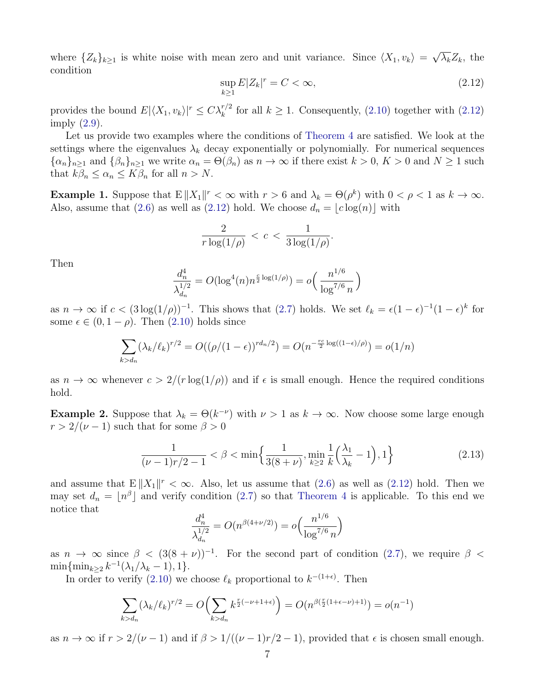where  $\{Z_k\}_{k\geq 1}$  is white noise with mean zero and unit variance. Since  $\langle X_1, v_k \rangle =$ √  $\overline{\lambda_k}Z_k$ , the condition

<span id="page-6-0"></span>
$$
\sup_{k\geq 1} E|Z_k|^r = C < \infty,\tag{2.12}
$$

provides the bound  $E|\langle X_1, v_k\rangle|^r \leq C\lambda_k^{r/2}$  for all  $k \geq 1$ . Consequently, [\(2.10\)](#page-5-5) together with [\(2.12\)](#page-6-0) imply [\(2.9\)](#page-5-3).

Let us provide two examples where the conditions of [Theorem 4](#page-5-0) are satisfied. We look at the settings where the eigenvalues  $\lambda_k$  decay exponentially or polynomially. For numerical sequences  ${\{\alpha_n\}}_{n\geq 1}$  and  ${\{\beta_n\}}_{n\geq 1}$  we write  $\alpha_n = \Theta(\beta_n)$  as  $n \to \infty$  if there exist  $k > 0$ ,  $K > 0$  and  $N \geq 1$  such that  $k\beta_n \leq \alpha_n \leq K\beta_n$  for all  $n > N$ .

**Example 1.** Suppose that  $E||X_1||^r < \infty$  with  $r > 6$  and  $\lambda_k = \Theta(\rho^k)$  with  $0 < \rho < 1$  as  $k \to \infty$ . Also, assume that [\(2.6\)](#page-4-6) as well as [\(2.12\)](#page-6-0) hold. We choose  $d_n = |c \log(n)|$  with

$$
\frac{2}{r\log(1/\rho)} < c < \frac{1}{3\log(1/\rho)}.
$$

Then

$$
\frac{d_n^4}{\lambda_{d_n}^{1/2}} = O(\log^4(n)n^{\frac{c}{2}\log(1/\rho)}) = o\left(\frac{n^{1/6}}{\log^{7/6} n}\right)
$$

as  $n \to \infty$  if  $c < (3 \log(1/\rho))^{-1}$ . This shows that  $(2.7)$  holds. We set  $\ell_k = \epsilon (1 - \epsilon)^{-1} (1 - \epsilon)^k$  for some  $\epsilon \in (0, 1 - \rho)$ . Then  $(2.10)$  holds since

$$
\sum_{k > d_n} (\lambda_k / \ell_k)^{r/2} = O((\rho / (1 - \epsilon))^{r d_n / 2}) = O(n^{-\frac{rc}{2} \log((1 - \epsilon) / \rho)}) = o(1/n)
$$

as  $n \to \infty$  whenever  $c > 2/(r \log(1/\rho))$  and if  $\epsilon$  is small enough. Hence the required conditions hold.

**Example 2.** Suppose that  $\lambda_k = \Theta(k^{-\nu})$  with  $\nu > 1$  as  $k \to \infty$ . Now choose some large enough  $r > 2/(\nu - 1)$  such that for some  $\beta > 0$ 

$$
\frac{1}{(\nu - 1)r/2 - 1} < \beta < \min\left\{\frac{1}{3(8+\nu)}, \min_{k \ge 2} \frac{1}{k} \left(\frac{\lambda_1}{\lambda_k} - 1\right), 1\right\} \tag{2.13}
$$

and assume that  $E||X_1||^r < \infty$ . Also, let us assume that [\(2.6\)](#page-4-6) as well as [\(2.12\)](#page-6-0) hold. Then we may set  $d_n = \lfloor n^{\beta} \rfloor$  and verify condition [\(2.7\)](#page-5-1) so that [Theorem 4](#page-5-0) is applicable. To this end we notice that

$$
\frac{d_n^4}{\lambda_{d_n}^{1/2}} = O(n^{\beta(4+\nu/2)}) = o\left(\frac{n^{1/6}}{\log^{7/6} n}\right)
$$

as  $n \to \infty$  since  $\beta < (3(8 + \nu))^{-1}$ . For the second part of condition [\(2.7\)](#page-5-1), we require  $\beta$  $\min\{\min_{k\geq 2} k^{-1}(\lambda_1/\lambda_k-1), 1\}.$ 

In order to verify [\(2.10\)](#page-5-5) we choose  $\ell_k$  proportional to  $k^{-(1+\epsilon)}$ . Then

$$
\sum_{k>d_n} (\lambda_k/\ell_k)^{r/2} = O\left(\sum_{k>d_n} k^{\frac{r}{2}(-\nu+1+\epsilon)}\right) = O(n^{\beta(\frac{r}{2}(1+\epsilon-\nu)+1)}) = o(n^{-1})
$$

as  $n \to \infty$  if  $r > 2/(\nu - 1)$  and if  $\beta > 1/((\nu - 1)r/2 - 1)$ , provided that  $\epsilon$  is chosen small enough.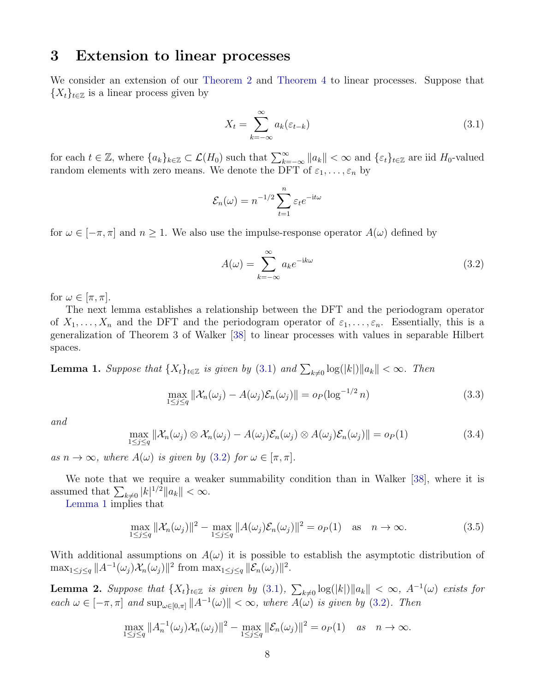### <span id="page-7-1"></span>3 Extension to linear processes

We consider an extension of our [Theorem 2](#page-4-1) and [Theorem 4](#page-5-0) to linear processes. Suppose that  $\{X_t\}_{t\in\mathbb{Z}}$  is a linear process given by

<span id="page-7-2"></span>
$$
X_t = \sum_{k=-\infty}^{\infty} a_k(\varepsilon_{t-k})
$$
\n(3.1)

for each  $t \in \mathbb{Z}$ , where  $\{a_k\}_{k \in \mathbb{Z}} \subset \mathcal{L}(H_0)$  such that  $\sum_{k=-\infty}^{\infty} ||a_k|| < \infty$  and  $\{\varepsilon_t\}_{t \in \mathbb{Z}}$  are iid  $H_0$ -valued random elements with zero means. We denote the DFT of  $\varepsilon_1, \ldots, \varepsilon_n$  by

$$
\mathcal{E}_n(\omega) = n^{-1/2} \sum_{t=1}^n \varepsilon_t e^{-\mathrm{i} t \omega}
$$

for  $\omega \in [-\pi, \pi]$  and  $n \geq 1$ . We also use the impulse-response operator  $A(\omega)$  defined by

<span id="page-7-3"></span>
$$
A(\omega) = \sum_{k=-\infty}^{\infty} a_k e^{-ik\omega}
$$
 (3.2)

for  $\omega \in [\pi, \pi]$ .

The next lemma establishes a relationship between the DFT and the periodogram operator of  $X_1, \ldots, X_n$  and the DFT and the periodogram operator of  $\varepsilon_1, \ldots, \varepsilon_n$ . Essentially, this is a generalization of Theorem 3 of Walker [\[38\]](#page-41-7) to linear processes with values in separable Hilbert spaces.

<span id="page-7-0"></span>**Lemma 1.** Suppose that  $\{X_t\}_{t\in\mathbb{Z}}$  is given by [\(3.1\)](#page-7-2) and  $\sum_{k\neq 0} \log(|k|) ||a_k|| < \infty$ . Then

<span id="page-7-5"></span>
$$
\max_{1 \le j \le q} \|\mathcal{X}_n(\omega_j) - A(\omega_j)\mathcal{E}_n(\omega_j)\| = o_P(\log^{-1/2} n)
$$
\n(3.3)

and

<span id="page-7-6"></span>
$$
\max_{1 \leq j \leq q} \|\mathcal{X}_n(\omega_j) \otimes \mathcal{X}_n(\omega_j) - A(\omega_j)\mathcal{E}_n(\omega_j) \otimes A(\omega_j)\mathcal{E}_n(\omega_j)\| = o_P(1)
$$
\n(3.4)

as  $n \to \infty$ , where  $A(\omega)$  is given by [\(3.2\)](#page-7-3) for  $\omega \in [\pi, \pi]$ .

We note that we require a weaker summability condition than in Walker [\[38\]](#page-41-7), where it is assumed that  $\sum_{k\neq 0} |k|^{1/2} ||a_k|| < \infty$ .

[Lemma 1](#page-7-0) implies that

<span id="page-7-7"></span>
$$
\max_{1 \le j \le q} \|\mathcal{X}_n(\omega_j)\|^2 - \max_{1 \le j \le q} \|A(\omega_j)\mathcal{E}_n(\omega_j)\|^2 = o_P(1) \quad \text{as} \quad n \to \infty. \tag{3.5}
$$

With additional assumptions on  $A(\omega)$  it is possible to establish the asymptotic distribution of  $\max_{1 \leq j \leq q} ||A^{-1}(\omega_j) \mathcal{X}_n(\omega_j)||^2$  from  $\max_{1 \leq j \leq q} ||\mathcal{E}_n(\omega_j)||^2$ .

<span id="page-7-4"></span>**Lemma 2.** Suppose that  $\{X_t\}_{t\in\mathbb{Z}}$  is given by  $(3.1)$ ,  $\sum_{k\neq 0} \log(|k|) ||a_k|| < \infty$ ,  $A^{-1}(\omega)$  exists for each  $\omega \in [-\pi, \pi]$  and  $\sup_{\omega \in [0,\pi]} ||A^{-1}(\omega)|| < \infty$ , where  $A(\omega)$  is given by [\(3.2\)](#page-7-3). Then

$$
\max_{1 \le j \le q} \|A_n^{-1}(\omega_j) \mathcal{X}_n(\omega_j)\|^2 - \max_{1 \le j \le q} \|\mathcal{E}_n(\omega_j)\|^2 = o_P(1) \quad \text{as} \quad n \to \infty.
$$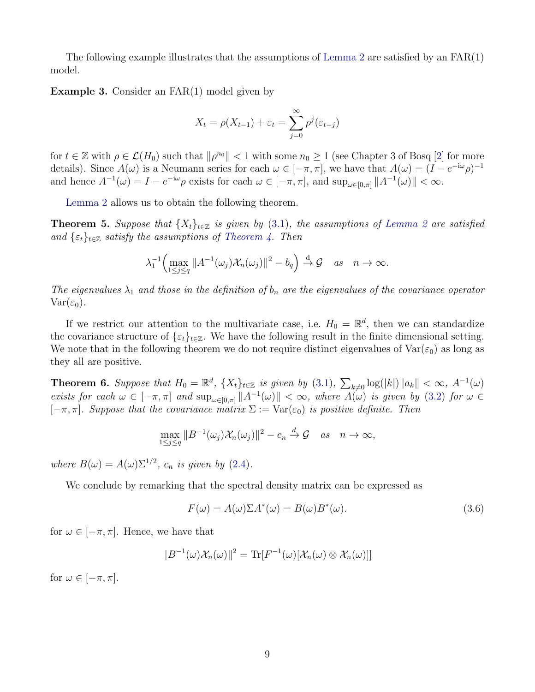The following example illustrates that the assumptions of [Lemma 2](#page-7-4) are satisfied by an  $FAR(1)$ model.

Example 3. Consider an FAR(1) model given by

$$
X_t = \rho(X_{t-1}) + \varepsilon_t = \sum_{j=0}^{\infty} \rho^j(\varepsilon_{t-j})
$$

for  $t \in \mathbb{Z}$  with  $\rho \in \mathcal{L}(H_0)$  such that  $\|\rho^{n_0}\| < 1$  with some  $n_0 \geq 1$  (see Chapter 3 of Bosq [\[2\]](#page-39-7) for more details). Since  $A(\omega)$  is a Neumann series for each  $\omega \in [-\pi, \pi]$ , we have that  $A(\omega) = (I - e^{-i\omega} \rho)^{-1}$ and hence  $A^{-1}(\omega) = I - e^{-i\omega} \rho$  exists for each  $\omega \in [-\pi, \pi]$ , and  $\sup_{\omega \in [0,\pi]} ||A^{-1}(\omega)|| < \infty$ .

[Lemma 2](#page-7-4) allows us to obtain the following theorem.

<span id="page-8-0"></span>**Theorem 5.** Suppose that  $\{X_t\}_{t\in\mathbb{Z}}$  is given by [\(3.1\)](#page-7-2), the assumptions of [Lemma 2](#page-7-4) are satisfied and  $\{\varepsilon_t\}_{t\in\mathbb{Z}}$  satisfy the assumptions of [Theorem 4.](#page-5-0) Then

$$
\lambda_1^{-1}\Big(\max_{1\leq j\leq q}||A^{-1}(\omega_j)\mathcal{X}_n(\omega_j)||^2-b_q\Big)\overset{d}{\to}\mathcal{G}\quad as\quad n\to\infty.
$$

The eigenvalues  $\lambda_1$  and those in the definition of  $b_n$  are the eigenvalues of the covariance operator  $Var(\varepsilon_0)$ .

If we restrict our attention to the multivariate case, i.e.  $H_0 = \mathbb{R}^d$ , then we can standardize the covariance structure of  $\{\varepsilon_t\}_{t\in\mathbb{Z}}$ . We have the following result in the finite dimensional setting. We note that in the following theorem we do not require distinct eigenvalues of  $\text{Var}(\varepsilon_0)$  as long as they all are positive.

<span id="page-8-1"></span>**Theorem 6.** Suppose that  $H_0 = \mathbb{R}^d$ ,  $\{X_t\}_{t \in \mathbb{Z}}$  is given by  $(3.1)$ ,  $\sum_{k \neq 0} \log(|k|) ||a_k|| < \infty$ ,  $A^{-1}(\omega)$ exists for each  $\omega \in [-\pi, \pi]$  and  $\sup_{\omega \in [0,\pi]} ||A^{-1}(\omega)|| < \infty$ , where  $A(\omega)$  is given by [\(3.2\)](#page-7-3) for  $\omega \in$  $[-\pi, \pi]$ . Suppose that the covariance matrix  $\Sigma := \text{Var}(\varepsilon_0)$  is positive definite. Then

$$
\max_{1 \leq j \leq q} \|B^{-1}(\omega_j) \mathcal{X}_n(\omega_j)\|^2 - c_n \xrightarrow{d} \mathcal{G} \quad as \quad n \to \infty,
$$

where  $B(\omega) = A(\omega) \Sigma^{1/2}$ ,  $c_n$  is given by [\(2.4\)](#page-4-4).

We conclude by remarking that the spectral density matrix can be expressed as

$$
F(\omega) = A(\omega)\Sigma A^*(\omega) = B(\omega)B^*(\omega). \tag{3.6}
$$

for  $\omega \in [-\pi, \pi]$ . Hence, we have that

$$
||B^{-1}(\omega)\mathcal{X}_n(\omega)||^2 = \text{Tr}[F^{-1}(\omega)[\mathcal{X}_n(\omega) \otimes \mathcal{X}_n(\omega)]]
$$

for  $\omega \in [-\pi, \pi]$ .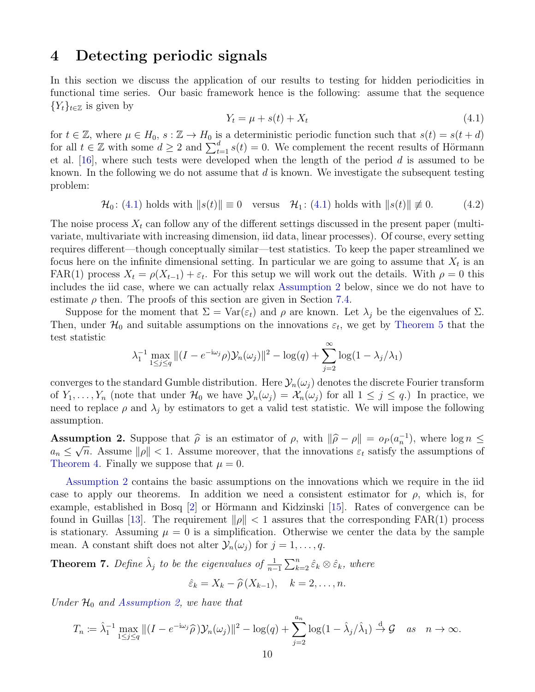## <span id="page-9-0"></span>4 Detecting periodic signals

In this section we discuss the application of our results to testing for hidden periodicities in functional time series. Our basic framework hence is the following: assume that the sequence  ${Y_t}_{t \in \mathbb{Z}}$  is given by

<span id="page-9-1"></span>
$$
Y_t = \mu + s(t) + X_t \tag{4.1}
$$

for  $t \in \mathbb{Z}$ , where  $\mu \in H_0$ ,  $s : \mathbb{Z} \to H_0$  is a deterministic periodic function such that  $s(t) = s(t + d)$ for all  $t \in \mathbb{Z}$  with some  $d \geq 2$  and  $\sum_{t=1}^{d} s(t) = 0$ . We complement the recent results of Hörmann et al. [\[16\]](#page-39-5), where such tests were developed when the length of the period d is assumed to be known. In the following we do not assume that  $d$  is known. We investigate the subsequent testing problem:

$$
\mathcal{H}_0\colon(4.1)\text{ holds with }\|s(t)\|\equiv 0\quad\text{versus}\quad\mathcal{H}_1\colon(4.1)\text{ holds with }\|s(t)\|\not\equiv 0.\tag{4.2}
$$

The noise process  $X_t$  can follow any of the different settings discussed in the present paper (multivariate, multivariate with increasing dimension, iid data, linear processes). Of course, every setting requires different—though conceptually similar—test statistics. To keep the paper streamlined we focus here on the infinite dimensional setting. In particular we are going to assume that  $X_t$  is an FAR(1) process  $X_t = \rho(X_{t-1}) + \varepsilon_t$ . For this setup we will work out the details. With  $\rho = 0$  this includes the iid case, where we can actually relax [Assumption 2](#page-9-2) below, since we do not have to estimate  $\rho$  then. The proofs of this section are given in Section [7.4.](#page-25-0)

Suppose for the moment that  $\Sigma = \text{Var}(\varepsilon_t)$  and  $\rho$  are known. Let  $\lambda_i$  be the eigenvalues of  $\Sigma$ . Then, under  $\mathcal{H}_0$  and suitable assumptions on the innovations  $\varepsilon_t$ , we get by [Theorem 5](#page-8-0) that the test statistic

$$
\lambda_1^{-1} \max_{1 \le j \le q} \|(I - e^{-i\omega_j}\rho) \mathcal{Y}_n(\omega_j)\|^2 - \log(q) + \sum_{j=2}^{\infty} \log(1 - \lambda_j/\lambda_1)
$$

converges to the standard Gumble distribution. Here  $\mathcal{Y}_n(\omega_i)$  denotes the discrete Fourier transform of  $Y_1, \ldots, Y_n$  (note that under  $\mathcal{H}_0$  we have  $\mathcal{Y}_n(\omega_j) = \mathcal{X}_n(\omega_j)$  for all  $1 \leq j \leq q$ .) In practice, we need to replace  $\rho$  and  $\lambda_i$  by estimators to get a valid test statistic. We will impose the following assumption.

<span id="page-9-2"></span>**Assumption 2.** Suppose that  $\hat{\rho}$  is an estimator of  $\rho$ , with  $\|\hat{\rho} - \rho\| = o_P (a_n^{-1})$ , where  $\log n \leq$ <br> $a \leq \sqrt{n}$  Assume leal  $\leq 1$  Assume mergener that the innergations  $\epsilon$  satisfy the assumptions of  $a_n \leq \sqrt{n}$ . Assume  $\|\rho\| < 1$ . Assume moreover, that the innovations  $\varepsilon_t$  satisfy the assumptions of [Theorem 4.](#page-5-0) Finally we suppose that  $\mu = 0$ .

[Assumption 2](#page-9-2) contains the basic assumptions on the innovations which we require in the iid case to apply our theorems. In addition we need a consistent estimator for  $\rho$ , which is, for example, established in Bosq  $[2]$  or Hörmann and Kidzinski  $[15]$ . Rates of convergence can be found in Guillas [\[13\]](#page-39-13). The requirement  $\|\rho\| < 1$  assures that the corresponding FAR(1) process is stationary. Assuming  $\mu = 0$  is a simplification. Otherwise we center the data by the sample mean. A constant shift does not alter  $\mathcal{Y}_n(\omega_j)$  for  $j=1,\ldots,q$ .

<span id="page-9-3"></span>**Theorem 7.** Define  $\hat{\lambda}_j$  to be the eigenvalues of  $\frac{1}{n-1}\sum_{k=2}^n \hat{\varepsilon}_k \otimes \hat{\varepsilon}_k$ , where

$$
\hat{\varepsilon}_k = X_k - \hat{\rho}(X_{k-1}), \quad k = 2, \dots, n.
$$

Under  $\mathcal{H}_0$  and [Assumption 2,](#page-9-2) we have that

$$
T_n := \hat{\lambda}_1^{-1} \max_{1 \le j \le q} \|(I - e^{-i\omega_j} \hat{\rho}) \mathcal{Y}_n(\omega_j)\|^2 - \log(q) + \sum_{j=2}^{a_n} \log(1 - \hat{\lambda}_j/\hat{\lambda}_1) \stackrel{d}{\to} \mathcal{G} \quad \text{as} \quad n \to \infty.
$$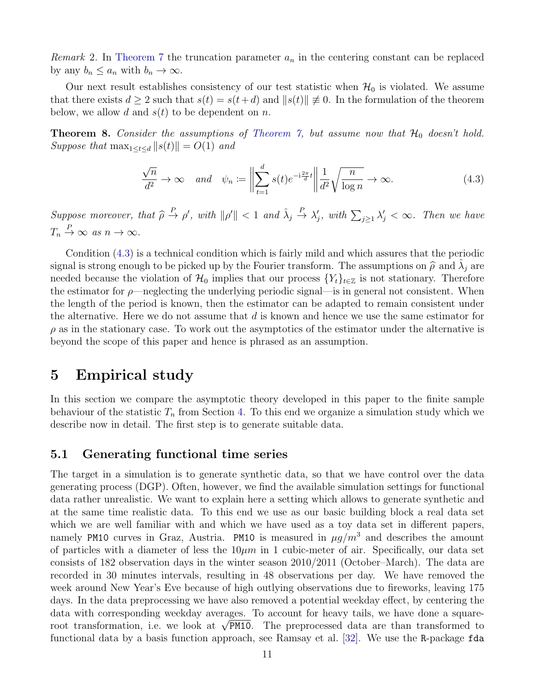*Remark* 2. In [Theorem 7](#page-9-3) the truncation parameter  $a_n$  in the centering constant can be replaced by any  $b_n \leq a_n$  with  $b_n \to \infty$ .

Our next result establishes consistency of our test statistic when  $\mathcal{H}_0$  is violated. We assume that there exists  $d \geq 2$  such that  $s(t) = s(t+d)$  and  $||s(t)|| \neq 0$ . In the formulation of the theorem below, we allow d and  $s(t)$  to be dependent on n.

<span id="page-10-0"></span>**Theorem 8.** Consider the assumptions of [Theorem 7,](#page-9-3) but assume now that  $H_0$  doesn't hold. Suppose that  $\max_{1 \leq t \leq d} ||s(t)|| = O(1)$  and

<span id="page-10-2"></span>
$$
\frac{\sqrt{n}}{d^2} \to \infty \quad \text{and} \quad \psi_n := \left\| \sum_{t=1}^d s(t) e^{-i\frac{2\pi}{d}t} \right\| \frac{1}{d^2} \sqrt{\frac{n}{\log n}} \to \infty. \tag{4.3}
$$

Suppose moreover, that  $\widehat{\rho} \stackrel{P}{\rightarrow} \rho'$ , with  $\|\rho'\| < 1$  and  $\widehat{\lambda}_j$  $\stackrel{P}{\to} \lambda'_j$ , with  $\sum_{j\geq 1} \lambda'_j < \infty$ . Then we have  $T_n \stackrel{P}{\to} \infty$  as  $n \to \infty$ .

Condition [\(4.3\)](#page-10-2) is a technical condition which is fairly mild and which assures that the periodic signal is strong enough to be picked up by the Fourier transform. The assumptions on  $\hat{\rho}$  and  $\hat{\lambda}_j$  are noded because the violation of  $\mathcal{U}_j$  implies that our process  $\{V_j\}$  is not stationary. Therefore needed because the violation of  $\mathcal{H}_0$  implies that our process  $\{Y_t\}_{t\in\mathbb{Z}}$  is not stationary. Therefore the estimator for  $\rho$ —neglecting the underlying periodic signal—is in general not consistent. When the length of the period is known, then the estimator can be adapted to remain consistent under the alternative. Here we do not assume that  $d$  is known and hence we use the same estimator for  $\rho$  as in the stationary case. To work out the asymptotics of the estimator under the alternative is beyond the scope of this paper and hence is phrased as an assumption.

### <span id="page-10-1"></span>5 Empirical study

In this section we compare the asymptotic theory developed in this paper to the finite sample behaviour of the statistic  $T_n$  from Section [4.](#page-9-0) To this end we organize a simulation study which we describe now in detail. The first step is to generate suitable data.

### <span id="page-10-3"></span>5.1 Generating functional time series

The target in a simulation is to generate synthetic data, so that we have control over the data generating process (DGP). Often, however, we find the available simulation settings for functional data rather unrealistic. We want to explain here a setting which allows to generate synthetic and at the same time realistic data. To this end we use as our basic building block a real data set which we are well familiar with and which we have used as a toy data set in different papers, namely PM10 curves in Graz, Austria. PM10 is measured in  $\mu g/m^3$  and describes the amount of particles with a diameter of less the  $10\mu m$  in 1 cubic-meter of air. Specifically, our data set consists of 182 observation days in the winter season 2010/2011 (October–March). The data are recorded in 30 minutes intervals, resulting in 48 observations per day. We have removed the week around New Year's Eve because of high outlying observations due to fireworks, leaving 175 days. In the data preprocessing we have also removed a potential weekday effect, by centering the data with corresponding weekday averages. To account for heavy tails, we have done a squaredata with corresponding weekday averages. To account for heavy tails, we have done a square-<br>root transformation, i.e. we look at  $\sqrt{PM10}$ . The preprocessed data are than transformed to functional data by a basis function approach, see Ramsay et al. [\[32\]](#page-40-11). We use the R-package fda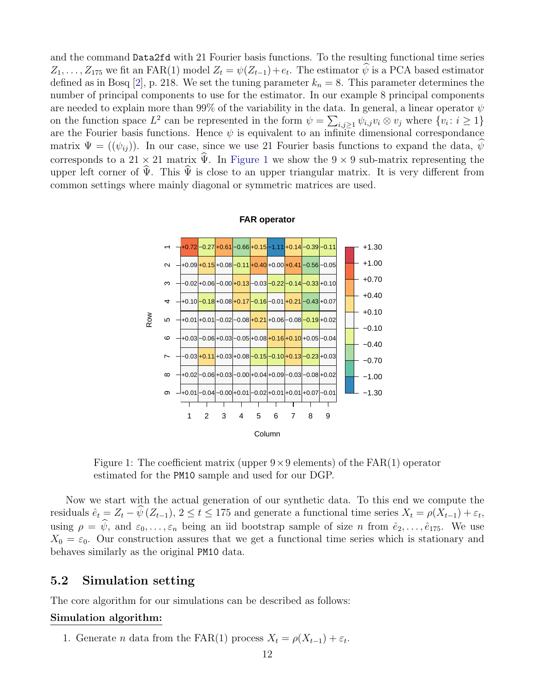and the command Data2fd with 21 Fourier basis functions. To the resulting functional time series  $Z_1, \ldots, Z_{175}$  we fit an FAR(1) model  $Z_t = \psi(Z_{t-1}) + e_t$ . The estimator  $\psi$  is a PCA based estimator defined as in Bosq [\[2\]](#page-39-7), p. 218. We set the tuning parameter  $k_n = 8$ . This parameter determines the number of principal components to use for the estimator. In our example 8 principal components are needed to explain more than 99% of the variability in the data. In general, a linear operator  $\psi$ on the function space  $L^2$  can be represented in the form  $\psi = \sum_{i,j\geq 1} \psi_{i,j} v_i \otimes v_j$  where  $\{v_i : i \geq 1\}$ are the Fourier basis functions. Hence  $\psi$  is equivalent to an infinite dimensional correspondance matrix  $\Psi = (\psi_{ii})$ . In our case, since we use 21 Fourier basis functions to expand the data,  $\psi$ corresponds to a 21 × 21 matrix  $\hat{\Psi}$ . In [Figure 1](#page-11-0) we show the 9 × 9 sub-matrix representing the upper left corner of  $\hat{\Psi}$ . This  $\hat{\Psi}$  is close to an upper triangular matrix. It is very different from common settings where mainly diagonal or symmetric matrices are used.

<span id="page-11-0"></span>

**FAR operator**

Figure 1: The coefficient matrix (upper  $9 \times 9$  elements) of the FAR(1) operator estimated for the PM10 sample and used for our DGP.

Now we start with the actual generation of our synthetic data. To this end we compute the residuals  $\hat{e}_t = Z_t - \psi(Z_{t-1}), 2 \le t \le 175$  and generate a functional time series  $X_t = \rho(X_{t-1}) + \varepsilon_t$ , using  $\rho = \psi$ , and  $\varepsilon_0, \ldots, \varepsilon_n$  being an iid bootstrap sample of size n from  $\hat{e}_2, \ldots, \hat{e}_{175}$ . We use  $X_0 = \varepsilon_0$ . Our construction assures that we get a functional time series which is stationary and behaves similarly as the original PM10 data.

### 5.2 Simulation setting

The core algorithm for our simulations can be described as follows:

#### Simulation algorithm:

1. Generate *n* data from the FAR(1) process  $X_t = \rho(X_{t-1}) + \varepsilon_t$ .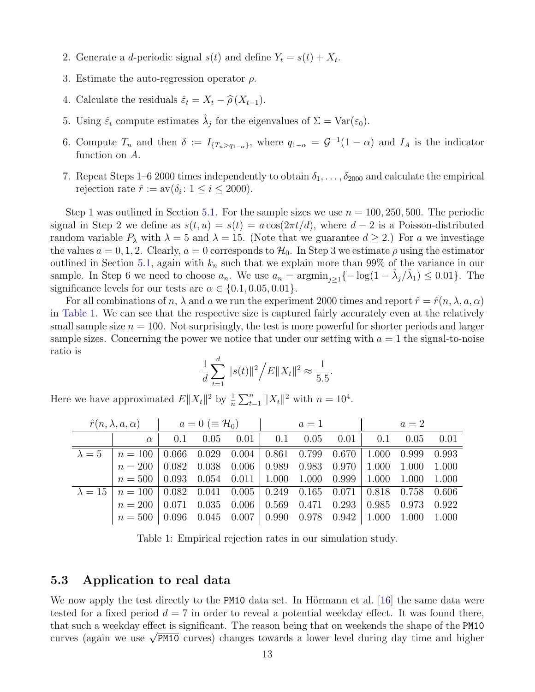- 2. Generate a *d*-periodic signal  $s(t)$  and define  $Y_t = s(t) + X_t$ .
- 3. Estimate the auto-regression operator  $\rho$ .
- 4. Calculate the residuals  $\hat{\varepsilon}_t = X_t \hat{\rho}(X_{t-1}).$
- 5. Using  $\hat{\varepsilon}_t$  compute estimates  $\hat{\lambda}_j$  for the eigenvalues of  $\Sigma = \text{Var}(\varepsilon_0)$ .
- 6. Compute  $T_n$  and then  $\delta := I_{\{T_n > q_{1-\alpha}\}}$ , where  $q_{1-\alpha} = \mathcal{G}^{-1}(1-\alpha)$  and  $I_A$  is the indicator function on A.
- 7. Repeat Steps 1–6 2000 times independently to obtain  $\delta_1, \ldots, \delta_{2000}$  and calculate the empirical rejection rate  $\hat{r} := av(\delta_i : 1 \le i \le 2000)$ .

Step 1 was outlined in Section [5.1.](#page-10-3) For the sample sizes we use  $n = 100, 250, 500$ . The periodic signal in Step 2 we define as  $s(t, u) = s(t) = a \cos(2\pi t/d)$ , where  $d - 2$  is a Poisson-distributed random variable  $P_{\lambda}$  with  $\lambda = 5$  and  $\lambda = 15$ . (Note that we guarantee  $d \geq 2$ .) For a we investiage the values  $a = 0, 1, 2$ . Clearly,  $a = 0$  corresponds to  $\mathcal{H}_0$ . In Step 3 we estimate  $\rho$  using the estimator outlined in Section [5.1,](#page-10-3) again with  $k_n$  such that we explain more than 99% of the variance in our sample. In Step 6 we need to choose  $a_n$ . We use  $a_n = \operatorname{argmin}_{j\geq 1}\{-\log(1-\hat{\lambda}_j/\hat{\lambda}_1) \leq 0.01\}$ . The significance levels for our tests are  $\alpha \in \{0.1, 0.05, 0.01\}.$ 

For all combinations of n,  $\lambda$  and a we run the experiment 2000 times and report  $\hat{r} = \hat{r}(n, \lambda, a, \alpha)$ in [Table 1.](#page-12-0) We can see that the respective size is captured fairly accurately even at the relatively small sample size  $n = 100$ . Not surprisingly, the test is more powerful for shorter periods and larger sample sizes. Concerning the power we notice that under our setting with  $a = 1$  the signal-to-noise ratio is

$$
\frac{1}{d} \sum_{t=1}^{d} ||s(t)||^2 / E ||X_t||^2 \approx \frac{1}{5.5}.
$$

|               |                                                                                        | $\hat{r}(n, \lambda, a, \alpha)$ $a = 0 \ (\equiv \mathcal{H}_0)$ $a = 1$ |  |  |  |  |  | $a=2$                                                                   |  |       |
|---------------|----------------------------------------------------------------------------------------|---------------------------------------------------------------------------|--|--|--|--|--|-------------------------------------------------------------------------|--|-------|
|               | $\alpha$                                                                               | 0.1                                                                       |  |  |  |  |  | $0.05$ $0.01$   $0.1$ $0.05$ $0.01$   $0.1$ $0.05$                      |  | 0.01  |
| $\lambda = 5$ | $n = 100$                                                                              |                                                                           |  |  |  |  |  | $0.066$ $0.029$ $0.004$ $0.861$ $0.799$ $0.670$ $1.000$ $0.999$ $0.993$ |  |       |
|               | $n = 200$                                                                              |                                                                           |  |  |  |  |  | $0.082$ $0.038$ $0.006$ 0.989 0.983 0.970 1.000 1.000 1.000             |  |       |
|               | $n = 500   0.093   0.054   0.011   1.000   1.000   0.999   1.000   1.000   1.000$      |                                                                           |  |  |  |  |  |                                                                         |  |       |
|               | $\lambda = 15$   $n = 100$   0.082 0.041 0.005   0.249 0.165 0.071   0.818 0.758 0.606 |                                                                           |  |  |  |  |  |                                                                         |  |       |
|               | $n = 200$                                                                              | 0.071                                                                     |  |  |  |  |  | $0.035$ $0.006$ $\vert$ $0.569$ $0.471$ $0.293$ $\vert$ $0.985$ $0.973$ |  | 0.922 |
|               | $n = 500   0.096   0.045   0.007   0.990   0.978   0.942   1.000   1.000   1.000$      |                                                                           |  |  |  |  |  |                                                                         |  |       |

<span id="page-12-0"></span>Here we have approximated  $E||X_t||^2$  by  $\frac{1}{n}\sum_{t=1}^n||X_t||^2$  with  $n=10^4$ .

Table 1: Empirical rejection rates in our simulation study.

#### 5.3 Application to real data

We now apply the test directly to the PM10 data set. In Hörmann et al. [\[16\]](#page-39-5) the same data were tested for a fixed period  $d = 7$  in order to reveal a potential weekday effect. It was found there, that such a weekday effect is significant. The reason being that on weekends the shape of the PM10 that such a weekday effect is significant. The reason being that on weekends the shape of the PM10 curves) changes towards a lower level during day time and higher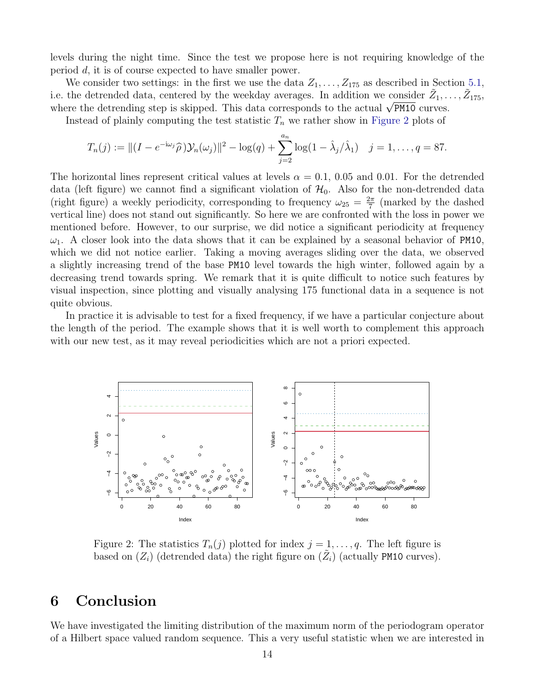levels during the night time. Since the test we propose here is not requiring knowledge of the period d, it is of course expected to have smaller power.

We consider two settings: in the first we use the data  $Z_1, \ldots, Z_{175}$  as described in Section [5.1,](#page-10-3) i.e. the detrended data, centered by the weekday averages. In addition we consider  $\tilde{Z}_1, \ldots, \tilde{Z}_{175}$ , i.e. the detrended data, centered by the weekday averages. In addition we consider  $\mathcal{Z}_1$ ,.<br>where the detrending step is skipped. This data corresponds to the actual  $\sqrt{PM10}$  curves.

Instead of plainly computing the test statistic  $T_n$  we rather show in [Figure 2](#page-13-1) plots of

$$
T_n(j) := ||(I - e^{-i\omega_j}\widehat{\rho})\mathcal{Y}_n(\omega_j)||^2 - \log(q) + \sum_{j=2}^{a_n} \log(1 - \widehat{\lambda}_j/\widehat{\lambda}_1) \quad j = 1, ..., q = 87.
$$

The horizontal lines represent critical values at levels  $\alpha = 0.1, 0.05$  and 0.01. For the detrended data (left figure) we cannot find a significant violation of  $\mathcal{H}_0$ . Also for the non-detrended data (right figure) a weekly periodicity, corresponding to frequency  $\omega_{25} = \frac{2\pi}{7}$  $\frac{2\pi}{7}$  (marked by the dashed vertical line) does not stand out significantly. So here we are confronted with the loss in power we mentioned before. However, to our surprise, we did notice a significant periodicity at frequency  $\omega_1$ . A closer look into the data shows that it can be explained by a seasonal behavior of PM10, which we did not notice earlier. Taking a moving averages sliding over the data, we observed a slightly increasing trend of the base PM10 level towards the high winter, followed again by a decreasing trend towards spring. We remark that it is quite difficult to notice such features by visual inspection, since plotting and visually analysing 175 functional data in a sequence is not quite obvious.

In practice it is advisable to test for a fixed frequency, if we have a particular conjecture about the length of the period. The example shows that it is well worth to complement this approach with our new test, as it may reveal periodicities which are not a priori expected.

<span id="page-13-1"></span>

Figure 2: The statistics  $T_n(j)$  plotted for index  $j = 1, \ldots, q$ . The left figure is based on  $(Z_i)$  (detrended data) the right figure on  $(\tilde{Z}_i)$  (actually PM10 curves).

## <span id="page-13-0"></span>6 Conclusion

We have investigated the limiting distribution of the maximum norm of the periodogram operator of a Hilbert space valued random sequence. This a very useful statistic when we are interested in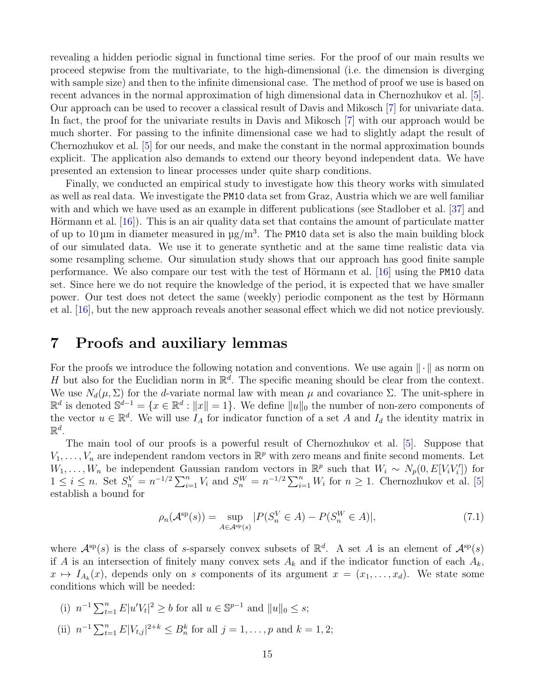revealing a hidden periodic signal in functional time series. For the proof of our main results we proceed stepwise from the multivariate, to the high-dimensional (i.e. the dimension is diverging with sample size) and then to the infinite dimensional case. The method of proof we use is based on recent advances in the normal approximation of high dimensional data in Chernozhukov et al. [\[5\]](#page-39-10). Our approach can be used to recover a classical result of Davis and Mikosch [\[7\]](#page-39-8) for univariate data. In fact, the proof for the univariate results in Davis and Mikosch [\[7\]](#page-39-8) with our approach would be much shorter. For passing to the infinite dimensional case we had to slightly adapt the result of Chernozhukov et al. [\[5\]](#page-39-10) for our needs, and make the constant in the normal approximation bounds explicit. The application also demands to extend our theory beyond independent data. We have presented an extension to linear processes under quite sharp conditions.

Finally, we conducted an empirical study to investigate how this theory works with simulated as well as real data. We investigate the PM10 data set from Graz, Austria which we are well familiar with and which we have used as an example in different publications (see Stadlober et al. [\[37\]](#page-41-8) and Hörmann et al.  $[16]$ . This is an air quality data set that contains the amount of particulate matter of up to 10  $\mu$ m in diameter measured in  $\mu$ g/m<sup>3</sup>. The PM10 data set is also the main building block of our simulated data. We use it to generate synthetic and at the same time realistic data via some resampling scheme. Our simulation study shows that our approach has good finite sample performance. We also compare our test with the test of Hörmann et al.  $|16|$  using the PM10 data set. Since here we do not require the knowledge of the period, it is expected that we have smaller power. Our test does not detect the same (weekly) periodic component as the test by Hörmann et al. [\[16\]](#page-39-5), but the new approach reveals another seasonal effect which we did not notice previously.

## <span id="page-14-0"></span>7 Proofs and auxiliary lemmas

For the proofs we introduce the following notation and conventions. We use again  $\|\cdot\|$  as norm on H but also for the Euclidian norm in  $\mathbb{R}^d$ . The specific meaning should be clear from the context. We use  $N_d(\mu, \Sigma)$  for the d-variate normal law with mean  $\mu$  and covariance  $\Sigma$ . The unit-sphere in  $\mathbb{R}^d$  is denoted  $\mathbb{S}^{d-1} = \{x \in \mathbb{R}^d : ||x|| = 1\}$ . We define  $||u||_0$  the number of non-zero components of the vector  $u \in \mathbb{R}^d$ . We will use  $I_A$  for indicator function of a set A and  $I_d$  the identity matrix in  $\mathbb{R}^d$ .

The main tool of our proofs is a powerful result of Chernozhukov et al. [\[5\]](#page-39-10). Suppose that  $V_1, \ldots, V_n$  are independent random vectors in  $\mathbb{R}^p$  with zero means and finite second moments. Let  $W_1, \ldots, W_n$  be independent Gaussian random vectors in  $\mathbb{R}^p$  such that  $W_i \sim N_p(0, E[V_i V'_i])$  for  $1 \leq i \leq n$ . Set  $S_n^V = n^{-1/2} \sum_{i=1}^n V_i$  and  $S_n^W = n^{-1/2} \sum_{i=1}^n W_i$  for  $n \geq 1$ . Chernozhukov et al. [\[5\]](#page-39-10) establish a bound for

<span id="page-14-1"></span>
$$
\rho_n(\mathcal{A}^{\text{sp}}(s)) = \sup_{A \in \mathcal{A}^{\text{sp}}(s)} |P(S_n^V \in A) - P(S_n^W \in A)|,\tag{7.1}
$$

where  $\mathcal{A}^{\text{sp}}(s)$  is the class of s-sparsely convex subsets of  $\mathbb{R}^d$ . A set A is an element of  $\mathcal{A}^{\text{sp}}(s)$ if A is an intersection of finitely many convex sets  $A_k$  and if the indicator function of each  $A_k$ ,  $x \mapsto I_{A_k}(x)$ , depends only on s components of its argument  $x = (x_1, \ldots, x_d)$ . We state some conditions which will be needed:

- (i)  $n^{-1} \sum_{t=1}^{n} E|u'V_t|^2 \ge b$  for all  $u \in \mathbb{S}^{p-1}$  and  $||u||_0 \le s$ ;
- (ii)  $n^{-1} \sum_{t=1}^{n} E|V_{t,j}|^{2+k} \leq B_n^k$  for all  $j = 1, \ldots, p$  and  $k = 1, 2;$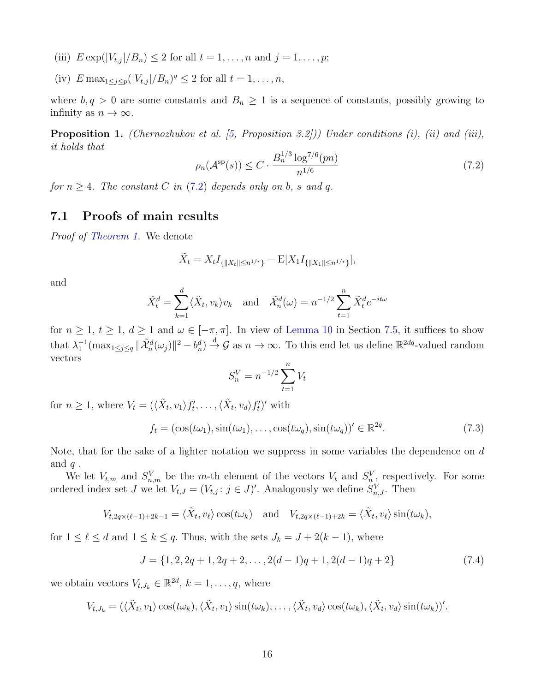- (iii)  $E \exp(|V_{t,j}|/B_n) \leq 2$  for all  $t = 1, ..., n$  and  $j = 1, ..., p$ ;
- (iv)  $E \max_{1 \leq j \leq p} (|V_{t,j}|/B_n)^q \leq 2$  for all  $t = 1, ..., n$ ,

where  $b, q > 0$  are some constants and  $B_n \geq 1$  is a sequence of constants, possibly growing to infinity as  $n \to \infty$ .

<span id="page-15-0"></span>Proposition 1. (Chernozhukov et al. [\[5,](#page-39-10) Proposition 3.2])) Under conditions (i), (ii) and (iii), it holds that

<span id="page-15-1"></span>
$$
\rho_n(\mathcal{A}^{\text{sp}}(s)) \le C \cdot \frac{B_n^{1/3} \log^{7/6}(pn)}{n^{1/6}} \tag{7.2}
$$

for  $n \geq 4$ . The constant C in [\(7.2\)](#page-15-1) depends only on b, s and q.

### 7.1 Proofs of main results

Proof of [Theorem 1.](#page-4-0) We denote

$$
\tilde{X}_t = X_t I_{\{\|X_t\| \le n^{1/r}\}} - \mathbb{E}[X_1 I_{\{\|X_1\| \le n^{1/r}\}}],
$$

and

$$
\tilde{X}_t^d = \sum_{k=1}^d \langle \tilde{X}_t, v_k \rangle v_k \quad \text{and} \quad \tilde{X}_n^d(\omega) = n^{-1/2} \sum_{t=1}^n \tilde{X}_t^d e^{-it\omega}
$$

for  $n \geq 1$ ,  $t \geq 1$ ,  $d \geq 1$  and  $\omega \in [-\pi, \pi]$ . In view of [Lemma 10](#page-28-1) in Section [7.5,](#page-28-2) it suffices to show that  $\lambda_1^{-1}(\max_{1 \leq j \leq q} {\|\tilde{\mathcal{X}}_n^d(\omega_j)\|^2} - b_n^d) \overset{d}{\to} \mathcal{G}$  as  $n \to \infty$ . To this end let us define  $\mathbb{R}^{2dq}$ -valued random vectors

$$
S_n^V = n^{-1/2} \sum_{t=1}^n V_t
$$

for  $n \geq 1$ , where  $V_t = (\langle \tilde{X}_t, v_1 \rangle f'_t, \dots, \langle \tilde{X}_t, v_d \rangle f'_t)'$  with

<span id="page-15-2"></span>
$$
f_t = (\cos(t\omega_1), \sin(t\omega_1), \dots, \cos(t\omega_q), \sin(t\omega_q))' \in \mathbb{R}^{2q}.
$$
 (7.3)

Note, that for the sake of a lighter notation we suppress in some variables the dependence on  $d$ and  $q$ .

We let  $V_{t,m}$  and  $S_{n,m}^V$  be the m-th element of the vectors  $V_t$  and  $S_n^V$ , respectively. For some ordered index set J we let  $V_{t,J} = (V_{t,j} : j \in J)'$ . Analogously we define  $S_{n,J}^V$ . Then

$$
V_{t,2q\times(\ell-1)+2k-1}=\langle \tilde{X}_t,v_\ell\rangle\cos(t\omega_k)\quad\text{and}\quad V_{t,2q\times(\ell-1)+2k}=\langle \tilde{X}_t,v_\ell\rangle\sin(t\omega_k),
$$

for  $1 \leq \ell \leq d$  and  $1 \leq k \leq q$ . Thus, with the sets  $J_k = J + 2(k - 1)$ , where

$$
J = \{1, 2, 2q + 1, 2q + 2, \dots, 2(d - 1)q + 1, 2(d - 1)q + 2\}
$$
\n
$$
(7.4)
$$

we obtain vectors  $V_{t,J_k} \in \mathbb{R}^{2d}, k = 1, \ldots, q$ , where

$$
V_{t,J_k} = (\langle \tilde{X}_t, v_1 \rangle \cos(t\omega_k), \langle \tilde{X}_t, v_1 \rangle \sin(t\omega_k), \dots, \langle \tilde{X}_t, v_d \rangle \cos(t\omega_k), \langle \tilde{X}_t, v_d \rangle \sin(t\omega_k))'
$$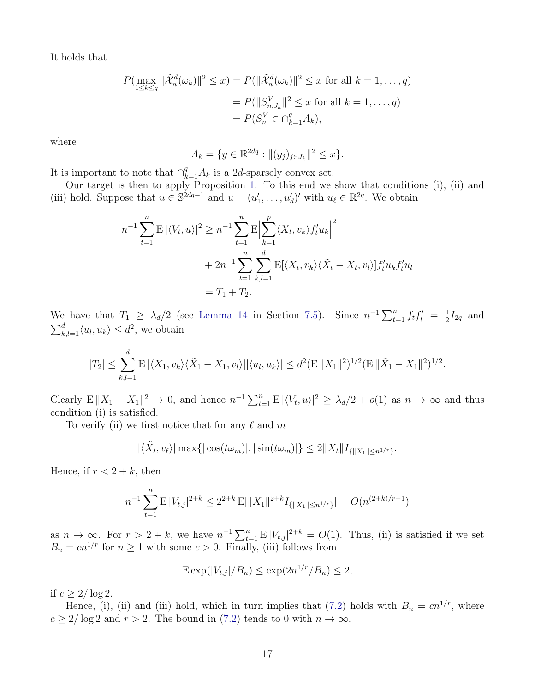It holds that

$$
P(\max_{1 \le k \le q} ||\tilde{\mathcal{X}}_n^d(\omega_k)||^2 \le x) = P(||\tilde{\mathcal{X}}_n^d(\omega_k)||^2 \le x \text{ for all } k = 1, ..., q)
$$
  
=  $P(||S_{n,J_k}^V||^2 \le x \text{ for all } k = 1, ..., q)$   
=  $P(S_n^V \in \bigcap_{k=1}^q A_k),$ 

where

$$
A_k = \{ y \in \mathbb{R}^{2dq} : ||(y_j)_{j \in J_k}||^2 \le x \}.
$$

It is important to note that  $\bigcap_{k=1}^{q} A_k$  is a 2d-sparsely convex set.

Our target is then to apply Proposition [1.](#page-15-0) To this end we show that conditions (i), (ii) and (iii) hold. Suppose that  $u \in \mathbb{S}^{2dq-1}$  and  $u = (u'_1, \ldots, u'_d)'$  with  $u_\ell \in \mathbb{R}^{2q}$ . We obtain

$$
n^{-1} \sum_{t=1}^{n} \mathbb{E} |\langle V_t, u \rangle|^2 \ge n^{-1} \sum_{t=1}^{n} \mathbb{E} \Big| \sum_{k=1}^{p} \langle X_t, v_k \rangle f_t' u_k \Big|^2
$$
  
+  $2n^{-1} \sum_{t=1}^{n} \sum_{k,l=1}^{d} \mathbb{E} [\langle X_t, v_k \rangle \langle \tilde{X}_t - X_t, v_l \rangle] f_t' u_k f_t' u_l$   
=  $T_1 + T_2$ .

We have that  $T_1 \geq \lambda_d/2$  (see [Lemma 14](#page-30-0) in Section [7.5\)](#page-28-2). Since  $n^{-1} \sum_{t=1}^n f_t f_t' = \frac{1}{2}$  $\frac{1}{2}I_{2q}$  and  $\sum_{k,l=1}^d \langle u_l, u_k \rangle \leq d^2$ , we obtain

$$
|T_2| \leq \sum_{k,l=1}^d \mathbb{E} |\langle X_1, v_k \rangle \langle \tilde{X}_1 - X_1, v_l \rangle| |\langle u_l, u_k \rangle| \leq d^2 (\mathbb{E} ||X_1||^2)^{1/2} (\mathbb{E} ||\tilde{X}_1 - X_1||^2)^{1/2}.
$$

Clearly  $E \|\tilde{X}_1 - X_1\|^2 \to 0$ , and hence  $n^{-1} \sum_{t=1}^n E |\langle V_t, u \rangle|^2 \geq \lambda_d/2 + o(1)$  as  $n \to \infty$  and thus condition (i) is satisfied.

To verify (ii) we first notice that for any  $\ell$  and m

$$
|\langle \tilde{X}_t, v_\ell \rangle| \max\{|\cos(t\omega_m)|, |\sin(t\omega_m)|\} \le 2||X_t||I_{\{\|X_1\| \le n^{1/r}\}}.
$$

Hence, if  $r < 2 + k$ , then

$$
n^{-1} \sum_{t=1}^{n} \mathbb{E} |V_{t,j}|^{2+k} \le 2^{2+k} \mathbb{E}[\|X_1\|^{2+k} I_{\{\|X_1\| \le n^{1/r}\}}] = O(n^{(2+k)/r-1})
$$

as  $n \to \infty$ . For  $r > 2 + k$ , we have  $n^{-1} \sum_{t=1}^{n} E |V_{t,j}|^{2+k} = O(1)$ . Thus, (ii) is satisfied if we set  $B_n = cn^{1/r}$  for  $n \ge 1$  with some  $c > 0$ . Finally, (iii) follows from

$$
\mathrm{E}\exp(|V_{t,j}|/B_n)\leq \exp(2n^{1/r}/B_n)\leq 2,
$$

if  $c \geq 2/\log 2$ .

Hence, (i), (ii) and (iii) hold, which in turn implies that [\(7.2\)](#page-15-1) holds with  $B_n = cn^{1/r}$ , where  $c \geq 2/\log 2$  and  $r > 2$ . The bound in [\(7.2\)](#page-15-1) tends to 0 with  $n \to \infty$ .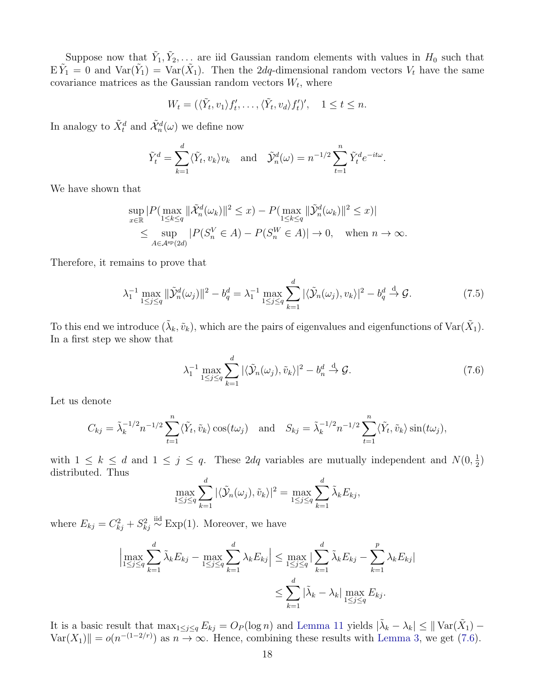Suppose now that  $\tilde{Y}_1, \tilde{Y}_2, \ldots$  are iid Gaussian random elements with values in  $H_0$  such that  $E\tilde{Y}_1 = 0$  and  $Var(\tilde{Y}_1) = Var(\tilde{X}_1)$ . Then the 2dq-dimensional random vectors  $V_t$  have the same covariance matrices as the Gaussian random vectors  $W_t$ , where

$$
W_t = (\langle \tilde{Y}_t, v_1 \rangle f'_t, \dots, \langle \tilde{Y}_t, v_d \rangle f'_t)', \quad 1 \le t \le n.
$$

In analogy to  $\tilde{X}_t^d$  and  $\tilde{\mathcal{X}}_n^d(\omega)$  we define now

$$
\tilde{Y}_t^d = \sum_{k=1}^d \langle \tilde{Y}_t, v_k \rangle v_k
$$
 and  $\tilde{Y}_n^d(\omega) = n^{-1/2} \sum_{t=1}^n \tilde{Y}_t^d e^{-it\omega}$ .

We have shown that

$$
\sup_{x \in \mathbb{R}} |P(\max_{1 \le k \le q} \|\tilde{\mathcal{X}}_n^d(\omega_k)\|^2 \le x) - P(\max_{1 \le k \le q} \|\tilde{\mathcal{Y}}_n^d(\omega_k)\|^2 \le x)|
$$
  

$$
\le \sup_{A \in \mathcal{A}^{\text{sp}}(2d)} |P(S_n^V \in A) - P(S_n^W \in A)| \to 0, \text{ when } n \to \infty.
$$

Therefore, it remains to prove that

<span id="page-17-1"></span>
$$
\lambda_1^{-1} \max_{1 \le j \le q} \|\tilde{\mathcal{Y}}_n^d(\omega_j)\|^2 - b_q^d = \lambda_1^{-1} \max_{1 \le j \le q} \sum_{k=1}^d |\langle \tilde{\mathcal{Y}}_n(\omega_j), v_k \rangle|^2 - b_q^d \stackrel{\text{d}}{\to} \mathcal{G}.
$$
 (7.5)

To this end we introduce  $(\tilde{\lambda}_k, \tilde{v}_k)$ , which are the pairs of eigenvalues and eigenfunctions of  $\text{Var}(\tilde{X}_1)$ . In a first step we show that

<span id="page-17-0"></span>
$$
\lambda_1^{-1} \max_{1 \le j \le q} \sum_{k=1}^d |\langle \tilde{\mathcal{Y}}_n(\omega_j), \tilde{v}_k \rangle|^2 - b_n^d \stackrel{\text{d}}{\to} \mathcal{G}.
$$
 (7.6)

Let us denote

$$
C_{kj} = \tilde{\lambda}_k^{-1/2} n^{-1/2} \sum_{t=1}^n \langle \tilde{Y}_t, \tilde{v}_k \rangle \cos(t\omega_j) \quad \text{and} \quad S_{kj} = \tilde{\lambda}_k^{-1/2} n^{-1/2} \sum_{t=1}^n \langle \tilde{Y}_t, \tilde{v}_k \rangle \sin(t\omega_j),
$$

with  $1 \leq k \leq d$  and  $1 \leq j \leq q$ . These 2dq variables are mutually independent and  $N(0, \frac{1}{2})$  $\frac{1}{2})$ distributed. Thus

$$
\max_{1 \leq j \leq q} \sum_{k=1}^{d} |\langle \tilde{\mathcal{Y}}_n(\omega_j), \tilde{v}_k \rangle|^2 = \max_{1 \leq j \leq q} \sum_{k=1}^{d} \tilde{\lambda}_k E_{kj},
$$

where  $E_{kj} = C_{kj}^2 + S_{kj}^2 \stackrel{\text{iid}}{\sim} \text{Exp}(1)$ . Moreover, we have

$$
\left|\max_{1\leq j\leq q} \sum_{k=1}^{d} \tilde{\lambda}_{k} E_{kj} - \max_{1\leq j\leq q} \sum_{k=1}^{d} \lambda_{k} E_{kj}\right| \leq \max_{1\leq j\leq q} \left|\sum_{k=1}^{d} \tilde{\lambda}_{k} E_{kj} - \sum_{k=1}^{p} \lambda_{k} E_{kj}\right|
$$

$$
\leq \sum_{k=1}^{d} \left|\tilde{\lambda}_{k} - \lambda_{k}\right| \max_{1\leq j\leq q} E_{kj}.
$$

It is a basic result that  $\max_{1 \leq j \leq q} E_{kj} = O_P(\log n)$  and [Lemma 11](#page-28-3) yields  $|\tilde{\lambda}_k - \lambda_k| \leq ||\text{Var}(\tilde{X}_1) \text{Var}(X_1)$  =  $o(n^{-(1-2/r)})$  as  $n \to \infty$ . Hence, combining these results with [Lemma 3,](#page-21-0) we get [\(7.6\)](#page-17-0).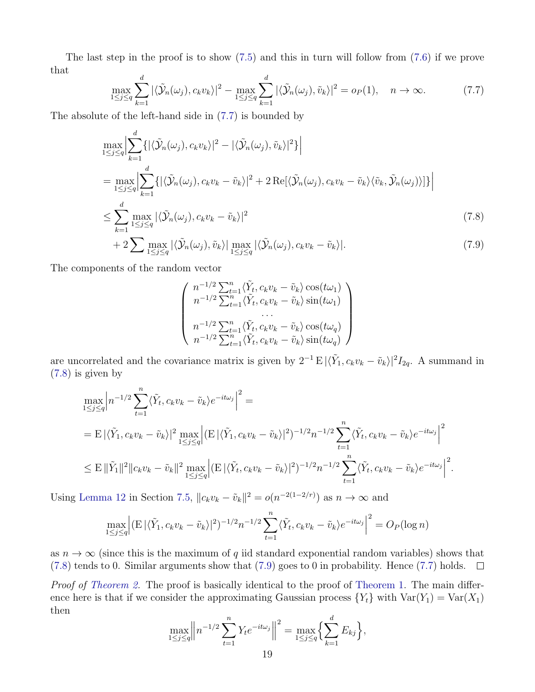The last step in the proof is to show [\(7.5\)](#page-17-1) and this in turn will follow from [\(7.6\)](#page-17-0) if we prove that

<span id="page-18-0"></span>
$$
\max_{1 \le j \le q} \sum_{k=1}^{d} |\langle \tilde{\mathcal{Y}}_n(\omega_j), c_k v_k \rangle|^2 - \max_{1 \le j \le q} \sum_{k=1}^{d} |\langle \tilde{\mathcal{Y}}_n(\omega_j), \tilde{v}_k \rangle|^2 = o_P(1), \quad n \to \infty.
$$
 (7.7)

The absolute of the left-hand side in [\(7.7\)](#page-18-0) is bounded by

$$
\max_{1 \leq j \leq q} \Big| \sum_{k=1}^{d} \{ |\langle \tilde{\mathcal{Y}}_n(\omega_j), c_k v_k \rangle|^2 - |\langle \tilde{\mathcal{Y}}_n(\omega_j), \tilde{v}_k \rangle|^2 \} \Big|
$$
\n
$$
= \max_{1 \leq j \leq q} \Big| \sum_{k=1}^{d} \{ |\langle \tilde{\mathcal{Y}}_n(\omega_j), c_k v_k - \tilde{v}_k \rangle|^2 + 2 \operatorname{Re}[\langle \tilde{\mathcal{Y}}_n(\omega_j), c_k v_k - \tilde{v}_k \rangle \langle \tilde{v}_k, \tilde{\mathcal{Y}}_n(\omega_j) \rangle] \} \Big|
$$
\n
$$
\leq \sum_{k=1}^{d} \max_{1 \leq j \leq q} |\langle \tilde{\mathcal{Y}}_n(\omega_j), c_k v_k - \tilde{v}_k \rangle|^2
$$
\n
$$
+ 2 \sum \max_{1 \leq j \leq q} |\langle \tilde{\mathcal{Y}}_n(\omega_j), \tilde{v}_k \rangle| \max_{1 \leq j \leq q} |\langle \tilde{\mathcal{Y}}_n(\omega_j), c_k v_k - \tilde{v}_k \rangle|. \tag{7.9}
$$

The components of the random vector

<span id="page-18-2"></span><span id="page-18-1"></span>
$$
\begin{pmatrix}\nn^{-1/2} \sum_{t=1}^{n} \langle \tilde{Y}_t, c_k v_k - \tilde{v}_k \rangle \cos(t\omega_1) \\
n^{-1/2} \sum_{t=1}^{n} \langle \tilde{Y}_t, c_k v_k - \tilde{v}_k \rangle \sin(t\omega_1) \\
\dots \\
n^{-1/2} \sum_{t=1}^{n} \langle \tilde{Y}_t, c_k v_k - \tilde{v}_k \rangle \cos(t\omega_q) \\
n^{-1/2} \sum_{t=1}^{n} \langle \tilde{Y}_t, c_k v_k - \tilde{v}_k \rangle \sin(t\omega_q)\n\end{pmatrix}
$$

are uncorrelated and the covariance matrix is given by  $2^{-1} E |\langle \tilde{Y}_1, c_k v_k - \tilde{v}_k \rangle|^2 I_{2q}$ . A summand in [\(7.8\)](#page-18-1) is given by

$$
\max_{1 \leq j \leq q} \left| n^{-1/2} \sum_{t=1}^n \langle \tilde{Y}_t, c_k v_k - \tilde{v}_k \rangle e^{-it\omega_j} \right|^2 =
$$
\n
$$
= \mathbb{E} \left| \langle \tilde{Y}_1, c_k v_k - \tilde{v}_k \rangle \right|^2 \max_{1 \leq j \leq q} \left| \left( \mathbb{E} \left| \langle \tilde{Y}_1, c_k v_k - \tilde{v}_k \rangle \right|^2 \right)^{-1/2} n^{-1/2} \sum_{t=1}^n \langle \tilde{Y}_t, c_k v_k - \tilde{v}_k \rangle e^{-it\omega_j} \right|^2
$$
\n
$$
\leq \mathbb{E} \left\| \tilde{Y}_1 \right\|^2 \left\| c_k v_k - \tilde{v}_k \right\|^2 \max_{1 \leq j \leq q} \left| \left( \mathbb{E} \left| \langle \tilde{Y}_t, c_k v_k - \tilde{v}_k \rangle \right|^2 \right)^{-1/2} n^{-1/2} \sum_{t=1}^n \langle \tilde{Y}_t, c_k v_k - \tilde{v}_k \rangle e^{-it\omega_j} \right|^2.
$$

Using [Lemma 12](#page-29-0) in Section [7.5,](#page-28-2)  $||c_k v_k - \tilde{v}_k||^2 = o(n^{-2(1-2/r)})$  as  $n \to \infty$  and

$$
\max_{1 \le j \le q} \left| \left( \mathbb{E} \left| \langle \tilde{Y}_1, c_k v_k - \tilde{v}_k \rangle \right|^2 \right)^{-1/2} n^{-1/2} \sum_{t=1}^n \langle \tilde{Y}_t, c_k v_k - \tilde{v}_k \rangle e^{-it\omega_j} \right|^2 = O_P(\log n)
$$

as  $n \to \infty$  (since this is the maximum of q iid standard exponential random variables) shows that [\(7.8\)](#page-18-1) tends to 0. Similar arguments show that [\(7.9\)](#page-18-2) goes to 0 in probability. Hence [\(7.7\)](#page-18-0) holds.  $\square$ 

Proof of [Theorem 2.](#page-4-1) The proof is basically identical to the proof of [Theorem 1.](#page-4-0) The main difference here is that if we consider the approximating Gaussian process  ${Y_t}$  with  $Var(Y_1) = Var(X_1)$ then

$$
\max_{1 \le j \le q} \left\| n^{-1/2} \sum_{t=1}^n Y_t e^{-it\omega_j} \right\|^2 = \max_{1 \le j \le q} \left\{ \sum_{k=1}^d E_{kj} \right\},\,
$$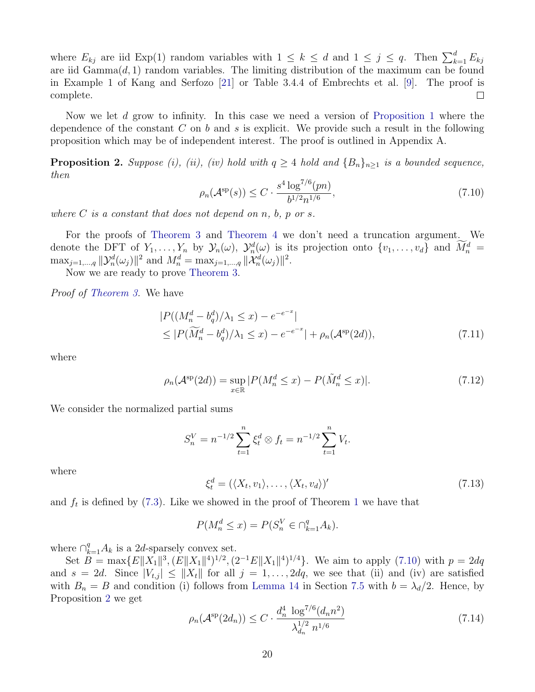where  $E_{kj}$  are iid  $Exp(1)$  random variables with  $1 \leq k \leq d$  and  $1 \leq j \leq q$ . Then  $\sum_{k=1}^{d} E_{kj}$ are iid  $Gamma(d, 1)$  random variables. The limiting distribution of the maximum can be found in Example 1 of Kang and Serfozo [\[21\]](#page-40-10) or Table 3.4.4 of Embrechts et al. [\[9\]](#page-39-11). The proof is complete.  $\Box$ 

Now we let d grow to infinity. In this case we need a version of [Proposition 1](#page-15-0) where the dependence of the constant C on b and s is explicit. We provide such a result in the following proposition which may be of independent interest. The proof is outlined in Appendix A.

<span id="page-19-0"></span>**Proposition 2.** Suppose (i), (ii), (iv) hold with  $q \ge 4$  hold and  ${B_n}_{n>1}$  is a bounded sequence, then

<span id="page-19-1"></span>
$$
\rho_n(\mathcal{A}^{\text{sp}}(s)) \le C \cdot \frac{s^4 \log^{7/6}(pn)}{b^{1/2} n^{1/6}},\tag{7.10}
$$

where  $C$  is a constant that does not depend on n, b, p or s.

For the proofs of [Theorem 3](#page-4-2) and [Theorem 4](#page-5-0) we don't need a truncation argument. We denote the DFT of  $Y_1, \ldots, Y_n$  by  $\mathcal{Y}_n(\omega)$ ,  $\mathcal{Y}_n^d(\omega)$  is its projection onto  $\{v_1, \ldots, v_d\}$  and  $\overline{M}_n^d =$  $\max_{j=1,\dots,q} ||\mathcal{Y}_n^d(\omega_j)||^2$  and  $M_n^d = \max_{j=1,\dots,q} ||\mathcal{X}_n^d(\omega_j)||^2$ .

Now we are ready to prove [Theorem 3.](#page-4-2)

Proof of [Theorem 3.](#page-4-2) We have

$$
|P((M_n^d - b_q^d)/\lambda_1 \le x) - e^{-e^{-x}}|
$$
  
\n
$$
\le |P(\widetilde{M}_n^d - b_q^d)/\lambda_1 \le x) - e^{-e^{-x}}| + \rho_n(\mathcal{A}^{\rm sp}(2d)),
$$
\n(7.11)

where

$$
\rho_n(\mathcal{A}^{\text{sp}}(2d)) = \sup_{x \in \mathbb{R}} |P(M_n^d \le x) - P(\tilde{M}_n^d \le x)|. \tag{7.12}
$$

We consider the normalized partial sums

<span id="page-19-3"></span>
$$
S_n^V = n^{-1/2} \sum_{t=1}^n \xi_t^d \otimes f_t = n^{-1/2} \sum_{t=1}^n V_t.
$$

where

<span id="page-19-4"></span>
$$
\xi_t^d = (\langle X_t, v_1 \rangle, \dots, \langle X_t, v_d \rangle)'
$$
\n(7.13)

and  $f_t$  is defined by [\(7.3\)](#page-15-2). Like we showed in the proof of Theorem [1](#page-4-0) we have that

$$
P(M_n^d \le x) = P(S_n^V \in \cap_{k=1}^q A_k).
$$

where  $\bigcap_{k=1}^{q} A_k$  is a 2d-sparsely convex set.

Set  $B = \max\{E||X_1||^3, (E||X_1||^4)^{1/2}, (2^{-1}E||X_1||^4)^{1/4}\}$ . We aim to apply [\(7.10\)](#page-19-1) with  $p = 2dq$ and  $s = 2d$ . Since  $|V_{t,j}| \leq ||X_t||$  for all  $j = 1, \ldots, 2dq$ , we see that (ii) and (iv) are satisfied with  $B_n = B$  and condition (i) follows from [Lemma 14](#page-30-0) in Section [7.5](#page-28-2) with  $b = \lambda_d/2$ . Hence, by Proposition [2](#page-19-0) we get

<span id="page-19-2"></span>
$$
\rho_n(\mathcal{A}^{\text{sp}}(2d_n)) \le C \cdot \frac{d_n^4 \log^{7/6}(d_n n^2)}{\lambda_{d_n}^{1/2} n^{1/6}} \tag{7.14}
$$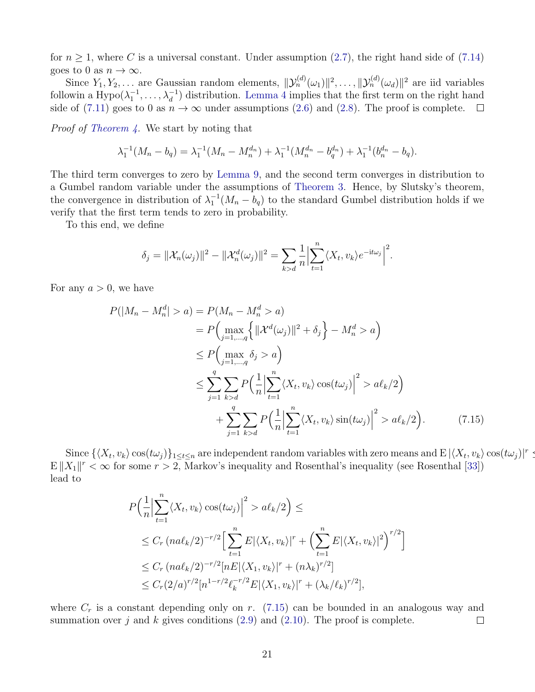for  $n \geq 1$ , where C is a universal constant. Under assumption [\(2.7\)](#page-5-1), the right hand side of [\(7.14\)](#page-19-2) goes to 0 as  $n \to \infty$ .

Since  $Y_1, Y_2, \ldots$  are Gaussian random elements,  $\|\mathcal{Y}_n^{(d)}(\omega_1)\|^2, \ldots, \|\mathcal{Y}_n^{(d)}(\omega_d)\|^2$  are iid variables followin a  $Hypo(\lambda_1^{-1}, \ldots, \lambda_d^{-1})$  distribution. [Lemma 4](#page-21-2) implies that the first term on the right hand side of [\(7.11\)](#page-19-3) goes to 0 as  $n \to \infty$  under assumptions [\(2.6\)](#page-4-6) and [\(2.8\)](#page-5-2). The proof is complete.  $\Box$ 

Proof of [Theorem 4.](#page-5-0) We start by noting that

$$
\lambda_1^{-1}(M_n - b_q) = \lambda_1^{-1}(M_n - M_n^{d_n}) + \lambda_1^{-1}(M_n^{d_n} - b_q^{d_n}) + \lambda_1^{-1}(b_n^{d_n} - b_q).
$$

The third term converges to zero by [Lemma 9,](#page-28-0) and the second term converges in distribution to a Gumbel random variable under the assumptions of [Theorem 3.](#page-4-2) Hence, by Slutsky's theorem, the convergence in distribution of  $\lambda_1^{-1}(M_n - b_q)$  to the standard Gumbel distribution holds if we verify that the first term tends to zero in probability.

To this end, we define

$$
\delta_j = \|\mathcal{X}_n(\omega_j)\|^2 - \|\mathcal{X}_n^d(\omega_j)\|^2 = \sum_{k>d} \frac{1}{n} \Big|\sum_{t=1}^n \langle X_t, v_k \rangle e^{-\mathrm{i}t\omega_j} \Big|^2.
$$

For any  $a > 0$ , we have

$$
P(|M_n - M_n^d| > a) = P(M_n - M_n^d > a)
$$
  
\n
$$
= P\left(\max_{j=1,\dots,q} \left\{ ||\mathcal{X}^d(\omega_j)||^2 + \delta_j \right\} - M_n^d > a \right)
$$
  
\n
$$
\le P\left(\max_{j=1,\dots,q} \delta_j > a \right)
$$
  
\n
$$
\le \sum_{j=1}^q \sum_{k>d} P\left(\frac{1}{n} \left| \sum_{t=1}^n \langle X_t, v_k \rangle \cos(t\omega_j) \right|^2 > a\ell_k/2 \right)
$$
  
\n
$$
+ \sum_{j=1}^q \sum_{k>d} P\left(\frac{1}{n} \left| \sum_{t=1}^n \langle X_t, v_k \rangle \sin(t\omega_j) \right|^2 > a\ell_k/2 \right).
$$
 (7.15)

Since  $\{\langle X_t, v_k \rangle \cos(t\omega_j)\}_{1 \leq t \leq n}$  are independent random variables with zero means and  $\mathbb{E} |\langle X_t, v_k \rangle \cos(t\omega_j)|^r \leq$  $E||X_1||<\infty$  for some  $r>2$ , Markov's inequality and Rosenthal's inequality (see Rosenthal [\[33\]](#page-40-12)) lead to

<span id="page-20-0"></span>
$$
P\left(\frac{1}{n}\Big|\sum_{t=1}^{n}\langle X_t, v_k\rangle\cos(t\omega_j)\Big|^2 > a\ell_k/2\right) \le
$$
  
\n
$$
\leq C_r \left(n a\ell_k/2\right)^{-r/2} \Big[\sum_{t=1}^{n} E|\langle X_t, v_k\rangle|^r + \Big(\sum_{t=1}^{n} E|\langle X_t, v_k\rangle|^2\Big)^{r/2}\Big]
$$
  
\n
$$
\leq C_r \left(n a\ell_k/2\right)^{-r/2} \Big[n E|\langle X_1, v_k\rangle|^r + \Big(n \lambda_k\Big)^{r/2}\Big]
$$
  
\n
$$
\leq C_r (2/a)^{r/2} \Big[n^{1-r/2} \ell_k^{-r/2} E|\langle X_1, v_k\rangle|^r + \Big(\lambda_k/\ell_k\Big)^{r/2}\Big],
$$

where  $C_r$  is a constant depending only on r. [\(7.15\)](#page-20-0) can be bounded in an analogous way and summation over j and k gives conditions  $(2.9)$  and  $(2.10)$ . The proof is complete.  $\Box$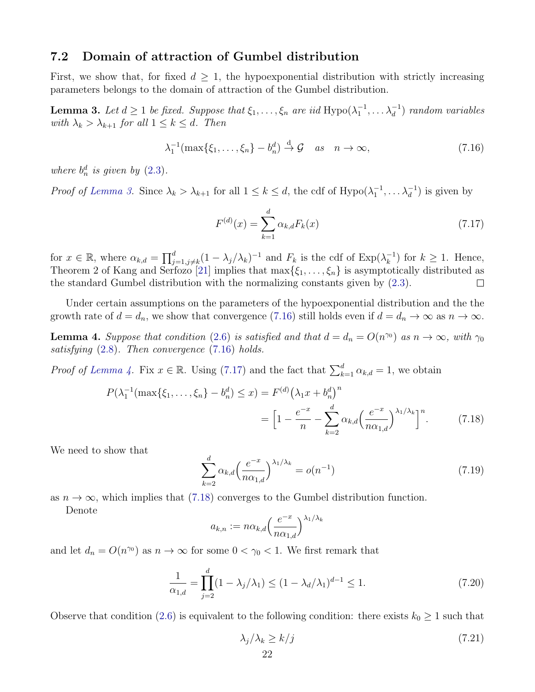#### <span id="page-21-1"></span>7.2 Domain of attraction of Gumbel distribution

First, we show that, for fixed  $d > 1$ , the hypoexponential distribution with strictly increasing parameters belongs to the domain of attraction of the Gumbel distribution.

<span id="page-21-0"></span>**Lemma 3.** Let  $d \geq 1$  be fixed. Suppose that  $\xi_1, \ldots, \xi_n$  are iid Hypo $(\lambda_1^{-1}, \ldots \lambda_d^{-1})$  random variables with  $\lambda_k > \lambda_{k+1}$  for all  $1 \leq k \leq d$ . Then

<span id="page-21-3"></span>
$$
\lambda_1^{-1}(\max\{\xi_1,\ldots,\xi_n\}-b_n^d)\stackrel{d}{\to}\mathcal{G}\quad as\quad n\to\infty,
$$
\n(7.16)

where  $b_n^d$  is given by  $(2.3)$ .

*Proof of [Lemma 3.](#page-21-0)* Since  $\lambda_k > \lambda_{k+1}$  for all  $1 \leq k \leq d$ , the cdf of Hypo $(\lambda_1^{-1}, \ldots \lambda_d^{-1})$  is given by

<span id="page-21-4"></span>
$$
F^{(d)}(x) = \sum_{k=1}^{d} \alpha_{k,d} F_k(x)
$$
\n(7.17)

for  $x \in \mathbb{R}$ , where  $\alpha_{k,d} = \prod_{j=1,j\neq k}^{d} (1-\lambda_j/\lambda_k)^{-1}$  and  $F_k$  is the cdf of  $\text{Exp}(\lambda_k^{-1})$  $\binom{-1}{k}$  for  $k \geq 1$ . Hence, Theorem 2 of Kang and Serfozo [\[21\]](#page-40-10) implies that  $\max{\{\xi_1, \ldots, \xi_n\}}$  is asymptotically distributed as the standard Gumbel distribution with the normalizing constants given by [\(2.3\)](#page-4-3).  $\Box$ 

Under certain assumptions on the parameters of the hypoexponential distribution and the the growth rate of  $d = d_n$ , we show that convergence [\(7.16\)](#page-21-3) still holds even if  $d = d_n \to \infty$  as  $n \to \infty$ .

<span id="page-21-2"></span>**Lemma 4.** Suppose that condition [\(2.6\)](#page-4-6) is satisfied and that  $d = d_n = O(n^{\gamma_0})$  as  $n \to \infty$ , with  $\gamma_0$ satisfying [\(2.8\)](#page-5-2). Then convergence [\(7.16\)](#page-21-3) holds.

*Proof of [Lemma 4.](#page-21-2)* Fix  $x \in \mathbb{R}$ . Using [\(7.17\)](#page-21-4) and the fact that  $\sum_{k=1}^{d} \alpha_{k,d} = 1$ , we obtain

$$
P(\lambda_1^{-1}(\max\{\xi_1,\ldots,\xi_n\} - b_n^d) \le x) = F^{(d)}(\lambda_1 x + b_n^d)^n
$$
  
= 
$$
\left[1 - \frac{e^{-x}}{n} - \sum_{k=2}^d \alpha_{k,d} \left(\frac{e^{-x}}{n\alpha_{1,d}}\right)^{\lambda_1/\lambda_k}\right]^n.
$$
 (7.18)

We need to show that

<span id="page-21-5"></span>
$$
\sum_{k=2}^{d} \alpha_{k,d} \left( \frac{e^{-x}}{n \alpha_{1,d}} \right)^{\lambda_1/\lambda_k} = o(n^{-1})
$$
\n(7.19)

as  $n \to \infty$ , which implies that [\(7.18\)](#page-21-5) converges to the Gumbel distribution function.

Denote

$$
a_{k,n} := n \alpha_{k,d} \left( \frac{e^{-x}}{n \alpha_{1,d}} \right)^{\lambda_1/\lambda_k}
$$

and let  $d_n = O(n^{\gamma_0})$  as  $n \to \infty$  for some  $0 < \gamma_0 < 1$ . We first remark that

<span id="page-21-7"></span>
$$
\frac{1}{\alpha_{1,d}} = \prod_{j=2}^{d} (1 - \lambda_j/\lambda_1) \le (1 - \lambda_d/\lambda_1)^{d-1} \le 1.
$$
 (7.20)

Observe that condition [\(2.6\)](#page-4-6) is equivalent to the following condition: there exists  $k_0 \geq 1$  such that

<span id="page-21-6"></span>
$$
\lambda_j/\lambda_k \ge k/j \tag{7.21}
$$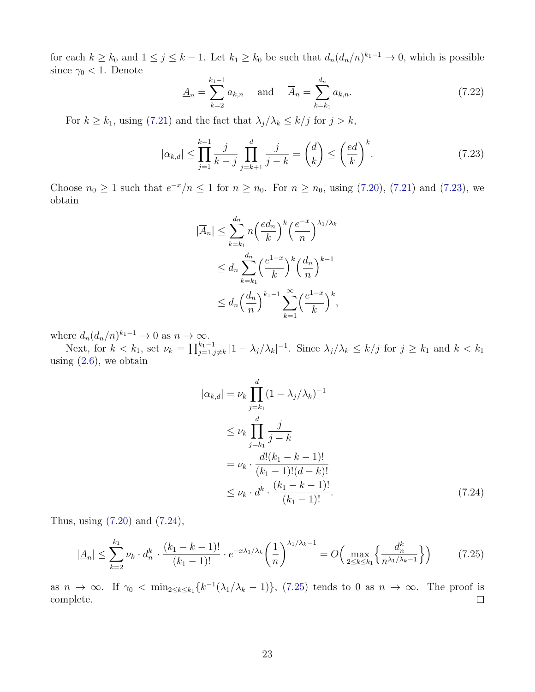for each  $k \geq k_0$  and  $1 \leq j \leq k-1$ . Let  $k_1 \geq k_0$  be such that  $d_n(d_n/n)^{k_1-1} \to 0$ , which is possible since  $\gamma_0$  < 1. Denote

$$
\underline{A}_n = \sum_{k=2}^{k_1 - 1} a_{k,n} \quad \text{and} \quad \overline{A}_n = \sum_{k=k_1}^{d_n} a_{k,n}.
$$
 (7.22)

For  $k \geq k_1$ , using [\(7.21\)](#page-21-6) and the fact that  $\lambda_j/\lambda_k \leq k/j$  for  $j > k$ ,

<span id="page-22-0"></span>
$$
|\alpha_{k,d}| \le \prod_{j=1}^{k-1} \frac{j}{k-j} \prod_{j=k+1}^d \frac{j}{j-k} = \binom{d}{k} \le \left(\frac{ed}{k}\right)^k.
$$
 (7.23)

Choose  $n_0 \geq 1$  such that  $e^{-x}/n \leq 1$  for  $n \geq n_0$ . For  $n \geq n_0$ , using [\(7.20\)](#page-21-7), [\(7.21\)](#page-21-6) and [\(7.23\)](#page-22-0), we obtain

$$
|\overline{A}_n| \le \sum_{k=k_1}^{d_n} n \left(\frac{ed_n}{k}\right)^k \left(\frac{e^{-x}}{n}\right)^{\lambda_1/\lambda_k}
$$
  

$$
\le d_n \sum_{k=k_1}^{d_n} \left(\frac{e^{1-x}}{k}\right)^k \left(\frac{d_n}{n}\right)^{k-1}
$$
  

$$
\le d_n \left(\frac{d_n}{n}\right)^{k_1-1} \sum_{k=1}^{\infty} \left(\frac{e^{1-x}}{k}\right)^k,
$$

where  $d_n(d_n/n)^{k_1-1} \to 0$  as  $n \to \infty$ .

Next, for  $k < k_1$ , set  $\nu_k = \prod_{j=1, j \neq k}^{k_1-1} |1 - \lambda_j/\lambda_k|^{-1}$ . Since  $\lambda_j/\lambda_k \leq k/j$  for  $j \geq k_1$  and  $k < k_1$ using  $(2.6)$ , we obtain

<span id="page-22-1"></span>
$$
|\alpha_{k,d}| = \nu_k \prod_{j=k_1}^{d} (1 - \lambda_j/\lambda_k)^{-1}
$$
  
\n
$$
\leq \nu_k \prod_{j=k_1}^{d} \frac{j}{j-k}
$$
  
\n
$$
= \nu_k \cdot \frac{d!(k_1 - k - 1)!}{(k_1 - 1)!(d-k)!}
$$
  
\n
$$
\leq \nu_k \cdot d^k \cdot \frac{(k_1 - k - 1)!}{(k_1 - 1)!}.
$$
\n(7.24)

Thus, using [\(7.20\)](#page-21-7) and [\(7.24\)](#page-22-1),

<span id="page-22-2"></span>
$$
|\underline{A}_n| \le \sum_{k=2}^{k_1} \nu_k \cdot d_n^k \cdot \frac{(k_1 - k - 1)!}{(k_1 - 1)!} \cdot e^{-x\lambda_1/\lambda_k} \left(\frac{1}{n}\right)^{\lambda_1/\lambda_k - 1} = O\left(\max_{2 \le k \le k_1} \left\{\frac{d_n^k}{n^{\lambda_1/\lambda_k - 1}}\right\}\right) \tag{7.25}
$$

as  $n \to \infty$ . If  $\gamma_0 < \min_{2 \le k \le k_1} \{k^{-1}(\lambda_1/\lambda_k - 1)\},$  [\(7.25\)](#page-22-2) tends to 0 as  $n \to \infty$ . The proof is complete.  $\Box$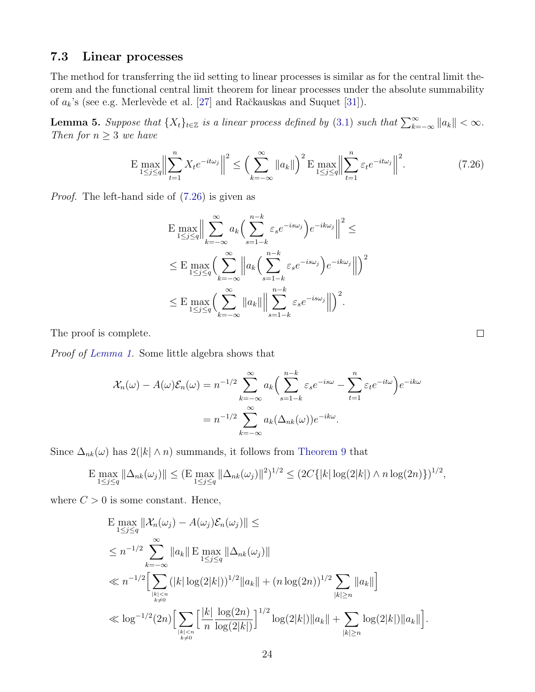### 7.3 Linear processes

The method for transferring the iid setting to linear processes is similar as for the central limit theorem and the functional central limit theorem for linear processes under the absolute summability of  $a_k$ 's (see e.g. Merlevède et al. [\[27\]](#page-40-13) and Račkauskas and Suquet [\[31\]](#page-40-14)).

<span id="page-23-1"></span>**Lemma 5.** Suppose that  $\{X_t\}_{t\in\mathbb{Z}}$  is a linear process defined by [\(3.1\)](#page-7-2) such that  $\sum_{k=-\infty}^{\infty} ||a_k|| < \infty$ . Then for  $n \geq 3$  we have

<span id="page-23-0"></span>
$$
\mathbf{E} \max_{1 \le j \le q} \Big\| \sum_{t=1}^{n} X_t e^{-it\omega_j} \Big\|^2 \le \Big( \sum_{k=-\infty}^{\infty} \|a_k\| \Big)^2 \mathbf{E} \max_{1 \le j \le q} \Big\| \sum_{t=1}^{n} \varepsilon_t e^{-it\omega_j} \Big\|^2. \tag{7.26}
$$

Proof. The left-hand side of [\(7.26\)](#page-23-0) is given as

$$
\mathbb{E} \max_{1 \le j \le q} \Big\| \sum_{k=-\infty}^{\infty} a_k \Big( \sum_{s=1-k}^{n-k} \varepsilon_s e^{-is\omega_j} \Big) e^{-ik\omega_j} \Big\|^2 \le
$$
\n
$$
\le \mathbb{E} \max_{1 \le j \le q} \Big( \sum_{k=-\infty}^{\infty} \Big\| a_k \Big( \sum_{s=1-k}^{n-k} \varepsilon_s e^{-is\omega_j} \Big) e^{-ik\omega_j} \Big\| \Big)^2
$$
\n
$$
\le \mathbb{E} \max_{1 \le j \le q} \Big( \sum_{k=-\infty}^{\infty} \|a_k\| \Big\| \sum_{s=1-k}^{n-k} \varepsilon_s e^{-is\omega_j} \Big\| \Big)^2.
$$

The proof is complete.

Proof of [Lemma 1.](#page-7-0) Some little algebra shows that

$$
\mathcal{X}_n(\omega) - A(\omega)\mathcal{E}_n(\omega) = n^{-1/2} \sum_{k=-\infty}^{\infty} a_k \Big(\sum_{s=1-k}^{n-k} \varepsilon_s e^{-is\omega} - \sum_{t=1}^n \varepsilon_t e^{-it\omega}\Big) e^{-ik\omega}
$$

$$
= n^{-1/2} \sum_{k=-\infty}^{\infty} a_k (\Delta_{nk}(\omega)) e^{-ik\omega}.
$$

Since  $\Delta_{nk}(\omega)$  has  $2(|k| \wedge n)$  summands, it follows from [Theorem 9](#page-36-0) that

$$
\mathbb{E} \max_{1 \le j \le q} \|\Delta_{nk}(\omega_j)\| \le (\mathbb{E} \max_{1 \le j \le q} \|\Delta_{nk}(\omega_j)\|^2)^{1/2} \le (2C\{|k| \log(2|k|) \wedge n \log(2n)\})^{1/2},
$$

where  $C > 0$  is some constant. Hence,

$$
\begin{split} & \mathcal{E} \max_{1 \leq j \leq q} \|\mathcal{X}_n(\omega_j) - A(\omega_j)\mathcal{E}_n(\omega_j)\| \leq \\ &\leq n^{-1/2} \sum_{k=-\infty}^{\infty} \|a_k\| \mathcal{E} \max_{1 \leq j \leq q} \|\Delta_{nk}(\omega_j)\| \\ &\ll n^{-1/2} \Bigl[ \sum_{\substack{|k| < n \\ k \neq 0}} (|k| \log(2|k|))^{1/2} \|a_k\| + (n \log(2n))^{1/2} \sum_{|k| \geq n} \|a_k\| \Bigr] \\ &\ll \log^{-1/2}(2n) \Bigl[ \sum_{\substack{|k| < n \\ k \neq 0}} \Bigl[ \frac{|k|}{n} \frac{\log(2n)}{\log(2|k|)} \Bigr]^{1/2} \log(2|k|) \|a_k\| + \sum_{|k| \geq n} \log(2|k|) \|a_k\| \Bigr]. \end{split}
$$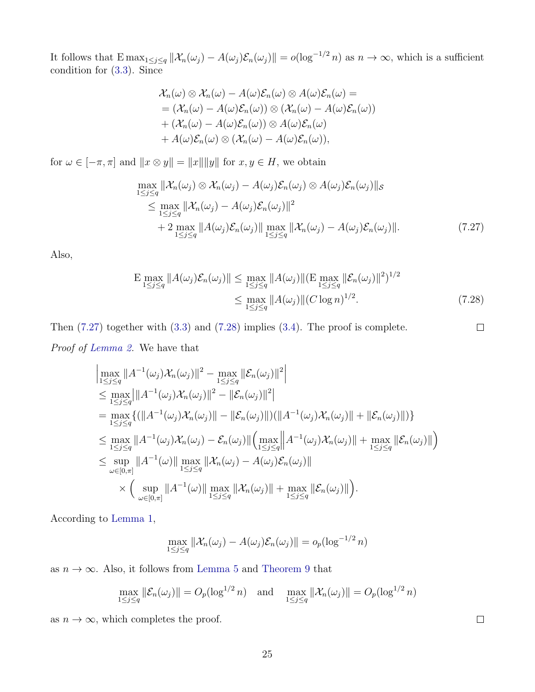It follows that  $\text{E}\max_{1\leq j\leq q} \|\mathcal{X}_n(\omega_j) - A(\omega_j)\mathcal{E}_n(\omega_j)\| = o(\log^{-1/2} n)$  as  $n \to \infty$ , which is a sufficient condition for [\(3.3\)](#page-7-5). Since

$$
\mathcal{X}_n(\omega) \otimes \mathcal{X}_n(\omega) - A(\omega)\mathcal{E}_n(\omega) \otimes A(\omega)\mathcal{E}_n(\omega) =
$$
  
=  $(\mathcal{X}_n(\omega) - A(\omega)\mathcal{E}_n(\omega)) \otimes (\mathcal{X}_n(\omega) - A(\omega)\mathcal{E}_n(\omega))$   
+  $(\mathcal{X}_n(\omega) - A(\omega)\mathcal{E}_n(\omega)) \otimes A(\omega)\mathcal{E}_n(\omega)$   
+  $A(\omega)\mathcal{E}_n(\omega) \otimes (\mathcal{X}_n(\omega) - A(\omega)\mathcal{E}_n(\omega)),$ 

for  $\omega \in [-\pi, \pi]$  and  $||x \otimes y|| = ||x|| ||y||$  for  $x, y \in H$ , we obtain

<span id="page-24-0"></span>
$$
\max_{1 \leq j \leq q} \|\mathcal{X}_n(\omega_j) \otimes \mathcal{X}_n(\omega_j) - A(\omega_j)\mathcal{E}_n(\omega_j) \otimes A(\omega_j)\mathcal{E}_n(\omega_j)\|_{\mathcal{S}}\n\leq \max_{1 \leq j \leq q} \|\mathcal{X}_n(\omega_j) - A(\omega_j)\mathcal{E}_n(\omega_j)\|^2\n+ 2 \max_{1 \leq j \leq q} \|A(\omega_j)\mathcal{E}_n(\omega_j)\| \max_{1 \leq j \leq q} \|\mathcal{X}_n(\omega_j) - A(\omega_j)\mathcal{E}_n(\omega_j)\|.
$$
\n(7.27)

Also,

<span id="page-24-1"></span>
$$
\mathbb{E} \max_{1 \le j \le q} \|A(\omega_j)\mathcal{E}_n(\omega_j)\| \le \max_{1 \le j \le q} \|A(\omega_j)\| (\mathbb{E} \max_{1 \le j \le q} \|\mathcal{E}_n(\omega_j)\|^2)^{1/2} \le \max_{1 \le j \le q} \|A(\omega_j)\| (C \log n)^{1/2}.
$$
\n(7.28)

Then [\(7.27\)](#page-24-0) together with [\(3.3\)](#page-7-5) and [\(7.28\)](#page-24-1) implies [\(3.4\)](#page-7-6). The proof is complete.  $\Box$ Proof of [Lemma 2.](#page-7-4) We have that

$$
\begin{split}\n&\left|\max_{1\leq j\leq q}||A^{-1}(\omega_j)\mathcal{X}_n(\omega_j)||^2-\max_{1\leq j\leq q}||\mathcal{E}_n(\omega_j)||^2\right| \\
&\leq \max_{1\leq j\leq q}||A^{-1}(\omega_j)\mathcal{X}_n(\omega_j)||^2-||\mathcal{E}_n(\omega_j)||^2| \\
&=\max_{1\leq j\leq q}\{(||A^{-1}(\omega_j)\mathcal{X}_n(\omega_j)||-||\mathcal{E}_n(\omega_j)||)(||A^{-1}(\omega_j)\mathcal{X}_n(\omega_j)||+||\mathcal{E}_n(\omega_j)||)\} \\
&\leq \max_{1\leq j\leq q}||A^{-1}(\omega_j)\mathcal{X}_n(\omega_j)-\mathcal{E}_n(\omega_j)||\left(\max_{1\leq j\leq q}||A^{-1}(\omega_j)\mathcal{X}_n(\omega_j)||+\max_{1\leq j\leq q}||\mathcal{E}_n(\omega_j)||\right) \\
&\leq \sup_{\omega\in[0,\pi]}||A^{-1}(\omega)||\max_{1\leq j\leq q}||\mathcal{X}_n(\omega_j)-A(\omega_j)\mathcal{E}_n(\omega_j)|| \\
&\times \left(\sup_{\omega\in[0,\pi]}||A^{-1}(\omega)||\max_{1\leq j\leq q}||\mathcal{X}_n(\omega_j)||+\max_{1\leq j\leq q}||\mathcal{E}_n(\omega_j)||\right).\n\end{split}
$$

According to [Lemma 1,](#page-7-0)

$$
\max_{1 \leq j \leq q} \|\mathcal{X}_n(\omega_j) - A(\omega_j)\mathcal{E}_n(\omega_j)\| = o_p(\log^{-1/2} n)
$$

as  $n \to \infty$ . Also, it follows from [Lemma 5](#page-23-1) and [Theorem 9](#page-36-0) that

$$
\max_{1 \le j \le q} \|\mathcal{E}_n(\omega_j)\| = O_p(\log^{1/2} n) \quad \text{and} \quad \max_{1 \le j \le q} \|\mathcal{X}_n(\omega_j)\| = O_p(\log^{1/2} n)
$$

as  $n \to \infty$ , which completes the proof.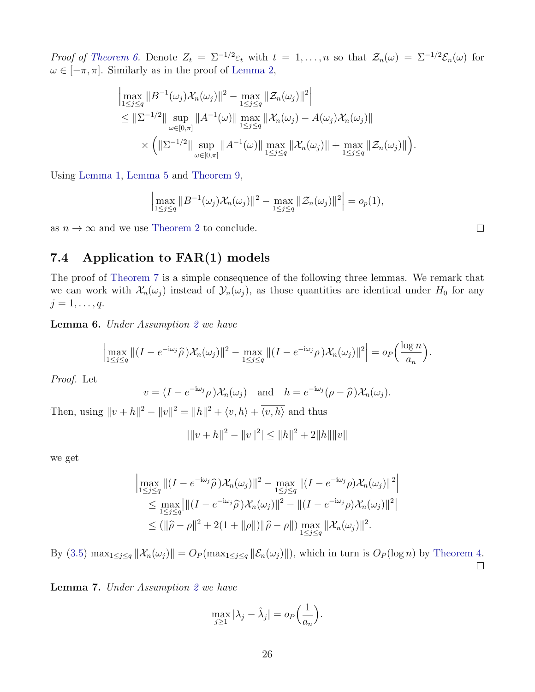Proof of [Theorem 6.](#page-8-1) Denote  $Z_t = \Sigma^{-1/2} \varepsilon_t$  with  $t = 1, \ldots, n$  so that  $\mathcal{Z}_n(\omega) = \Sigma^{-1/2} \mathcal{E}_n(\omega)$  for  $\omega \in [-\pi, \pi]$ . Similarly as in the proof of [Lemma 2,](#page-7-4)

$$
\begin{split}\n&\left|\max_{1\leq j\leq q} \|B^{-1}(\omega_j)\mathcal{X}_n(\omega_j)\|^2 - \max_{1\leq j\leq q} \|\mathcal{Z}_n(\omega_j)\|^2\right| \\
&\leq \|\Sigma^{-1/2}\| \sup_{\omega\in[0,\pi]} \|A^{-1}(\omega)\| \max_{1\leq j\leq q} \|\mathcal{X}_n(\omega_j) - A(\omega_j)\mathcal{X}_n(\omega_j)\| \\
&\times \left(\|\Sigma^{-1/2}\| \sup_{\omega\in[0,\pi]} \|A^{-1}(\omega)\| \max_{1\leq j\leq q} \|\mathcal{X}_n(\omega_j)\| + \max_{1\leq j\leq q} \|\mathcal{Z}_n(\omega_j)\|\right).\n\end{split}
$$

Using [Lemma 1,](#page-7-0) [Lemma 5](#page-23-1) and [Theorem 9,](#page-36-0)

$$
\left|\max_{1\leq j\leq q} \|B^{-1}(\omega_j)\mathcal{X}_n(\omega_j)\|^2 - \max_{1\leq j\leq q} \|\mathcal{Z}_n(\omega_j)\|^2\right| = o_p(1),
$$

as  $n \to \infty$  and we use [Theorem 2](#page-4-1) to conclude.

### <span id="page-25-0"></span>7.4 Application to FAR(1) models

The proof of [Theorem 7](#page-9-3) is a simple consequence of the following three lemmas. We remark that we can work with  $\mathcal{X}_n(\omega_j)$  instead of  $\mathcal{Y}_n(\omega_j)$ , as those quantities are identical under  $H_0$  for any  $j=1,\ldots,q.$ 

Lemma 6. Under Assumption [2](#page-9-2) we have

$$
\left|\max_{1\leq j\leq q}\|(I-e^{-i\omega_j}\widehat{\rho})\mathcal{X}_n(\omega_j)\|^2-\max_{1\leq j\leq q}\|(I-e^{-i\omega_j}\rho)\mathcal{X}_n(\omega_j)\|^2\right|=o_P\Big(\frac{\log n}{a_n}\Big).
$$

Proof. Let

$$
v = (I - e^{-i\omega_j} \rho) \mathcal{X}_n(\omega_j)
$$
 and  $h = e^{-i\omega_j} (\rho - \widehat{\rho}) \mathcal{X}_n(\omega_j)$ .

Then, using  $||v + h||^2 - ||v||^2 = ||h||^2 + \langle v, h \rangle + \overline{\langle v, h \rangle}$  and thus

$$
|\|v+h\|^2 - \|v\|^2| \le \|h\|^2 + 2\|h\|\|v\|
$$

we get

$$
\left| \max_{1 \leq j \leq q} \left\| (I - e^{-i\omega_j} \widehat{\rho}) \mathcal{X}_n(\omega_j) \right\|^2 - \max_{1 \leq j \leq q} \left\| (I - e^{-i\omega_j} \rho) \mathcal{X}_n(\omega_j) \right\|^2 \right|
$$
  
\n
$$
\leq \max_{1 \leq j \leq q} \left| \| (I - e^{-i\omega_j} \widehat{\rho}) \mathcal{X}_n(\omega_j) \|^2 - \| (I - e^{-i\omega_j} \rho) \mathcal{X}_n(\omega_j) \|^2 \right|
$$
  
\n
$$
\leq (\|\widehat{\rho} - \rho\|^2 + 2(1 + \|\rho\|) \|\widehat{\rho} - \rho\|) \max_{1 \leq j \leq q} \| \mathcal{X}_n(\omega_j) \|^2.
$$

By [\(3.5\)](#page-7-7)  $\max_{1 \leq j \leq q} ||\mathcal{X}_n(\omega_j)|| = O_P(\max_{1 \leq j \leq q} ||\mathcal{E}_n(\omega_j)||)$ , which in turn is  $O_P(\log n)$  by [Theorem 4.](#page-5-0)  $\Box$ 

<span id="page-25-1"></span>Lemma 7. Under Assumption [2](#page-9-2) we have

$$
\max_{j\geq 1} |\lambda_j - \hat{\lambda}_j| = o_P\Big(\frac{1}{a_n}\Big).
$$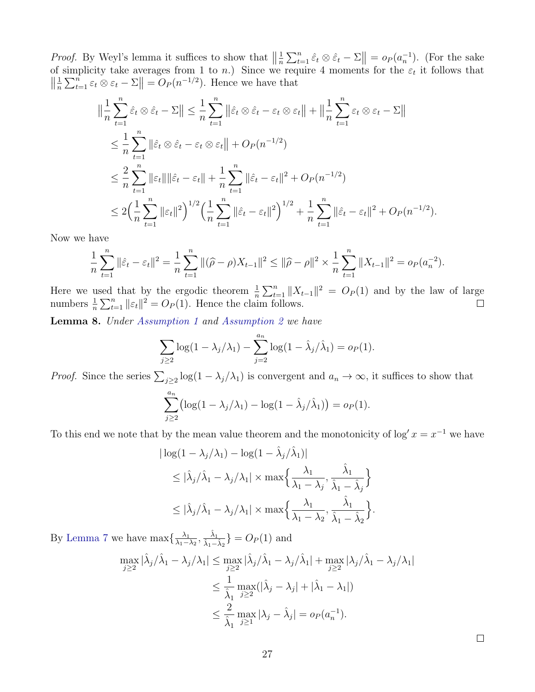*Proof.* By Weyl's lemma it suffices to show that  $\left\| \frac{1}{n} \right\|$  $\frac{1}{n} \sum_{t=1}^{n} \hat{\varepsilon}_t \otimes \hat{\varepsilon}_t - \Sigma \Big\| = o_P(a_n^{-1}).$  (For the sake of simplicity take averages from 1 to *n*.) Since we require 4 moments for the  $\varepsilon_t$  it follows that  $\left\| \frac{1}{n} \right\|$  $\frac{1}{n} \sum_{t=1}^{n} \varepsilon_t \otimes \varepsilon_t - \Sigma \Big\| = O_P(n^{-1/2}).$  Hence we have that

$$
\|\frac{1}{n}\sum_{t=1}^{n}\hat{\varepsilon}_{t}\otimes\hat{\varepsilon}_{t}-\Sigma\| \leq \frac{1}{n}\sum_{t=1}^{n}\|\hat{\varepsilon}_{t}\otimes\hat{\varepsilon}_{t}-\varepsilon_{t}\otimes\varepsilon_{t}\| + \|\frac{1}{n}\sum_{t=1}^{n}\varepsilon_{t}\otimes\varepsilon_{t}-\Sigma\|
$$
  
\n
$$
\leq \frac{1}{n}\sum_{t=1}^{n}\|\hat{\varepsilon}_{t}\otimes\hat{\varepsilon}_{t}-\varepsilon_{t}\otimes\varepsilon_{t}\| + O_{P}(n^{-1/2})
$$
  
\n
$$
\leq \frac{2}{n}\sum_{t=1}^{n}\|\varepsilon_{t}\|\|\hat{\varepsilon}_{t}-\varepsilon_{t}\| + \frac{1}{n}\sum_{t=1}^{n}\|\hat{\varepsilon}_{t}-\varepsilon_{t}\|^{2} + O_{P}(n^{-1/2})
$$
  
\n
$$
\leq 2\Big(\frac{1}{n}\sum_{t=1}^{n}\|\varepsilon_{t}\|^{2}\Big)^{1/2}\Big(\frac{1}{n}\sum_{t=1}^{n}\|\hat{\varepsilon}_{t}-\varepsilon_{t}\|^{2}\Big)^{1/2} + \frac{1}{n}\sum_{t=1}^{n}\|\hat{\varepsilon}_{t}-\varepsilon_{t}\|^{2} + O_{P}(n^{-1/2}).
$$

Now we have

$$
\frac{1}{n}\sum_{t=1}^{n} \|\hat{\varepsilon}_t - \varepsilon_t\|^2 = \frac{1}{n}\sum_{t=1}^{n} \|(\widehat{\rho} - \rho)X_{t-1}\|^2 \le \|\widehat{\rho} - \rho\|^2 \times \frac{1}{n}\sum_{t=1}^{n} \|X_{t-1}\|^2 = o_P(a_n^{-2}).
$$

Here we used that by the ergodic theorem  $\frac{1}{n}\sum_{t=1}^{n}||X_{t-1}||^2 = O_P(1)$  and by the law of large numbers  $\frac{1}{n} \sum_{t=1}^{n} ||\varepsilon_t||^2 = O_P(1)$ . Hence the claim follows.

Lemma 8. Under [Assumption 1](#page-3-1) and [Assumption 2](#page-9-2) we have

$$
\sum_{j\geq 2} \log(1 - \lambda_j/\lambda_1) - \sum_{j=2}^{a_n} \log(1 - \hat{\lambda}_j/\hat{\lambda}_1) = o_P(1).
$$

*Proof.* Since the series  $\sum_{j\geq 2} \log(1-\lambda_j/\lambda_1)$  is convergent and  $a_n \to \infty$ , it suffices to show that

$$
\sum_{j\geq 2}^{a_n} \left( \log(1 - \lambda_j/\lambda_1) - \log(1 - \hat{\lambda}_j/\hat{\lambda}_1) \right) = o_P(1).
$$

To this end we note that by the mean value theorem and the monotonicity of  $\log x = x^{-1}$  we have

$$
|\log(1 - \lambda_j/\lambda_1) - \log(1 - \hat{\lambda}_j/\hat{\lambda}_1)|
$$
  
\n
$$
\leq |\hat{\lambda}_j/\hat{\lambda}_1 - \lambda_j/\lambda_1| \times \max\left\{\frac{\lambda_1}{\lambda_1 - \lambda_j}, \frac{\hat{\lambda}_1}{\hat{\lambda}_1 - \hat{\lambda}_j}\right\}
$$
  
\n
$$
\leq |\hat{\lambda}_j/\hat{\lambda}_1 - \lambda_j/\lambda_1| \times \max\left\{\frac{\lambda_1}{\lambda_1 - \lambda_2}, \frac{\hat{\lambda}_1}{\hat{\lambda}_1 - \hat{\lambda}_2}\right\}.
$$

By [Lemma 7](#page-25-1) we have  $\max\{\frac{\lambda_1}{\lambda_1}$  $\frac{\lambda_1}{\lambda_1 - \lambda_2}, \frac{\hat{\lambda}_1}{\hat{\lambda}_1 - \hat{\lambda}_2}$  =  $O_P(1)$  and

$$
\max_{j\geq 2} |\hat{\lambda}_j/\hat{\lambda}_1 - \lambda_j/\lambda_1| \leq \max_{j\geq 2} |\hat{\lambda}_j/\hat{\lambda}_1 - \lambda_j/\hat{\lambda}_1| + \max_{j\geq 2} |\lambda_j/\hat{\lambda}_1 - \lambda_j/\lambda_1|
$$
  

$$
\leq \frac{1}{\hat{\lambda}_1} \max_{j\geq 2} (|\hat{\lambda}_j - \lambda_j| + |\hat{\lambda}_1 - \lambda_1|)
$$
  

$$
\leq \frac{2}{\hat{\lambda}_1} \max_{j\geq 1} |\lambda_j - \hat{\lambda}_j| = o_P(a_n^{-1}).
$$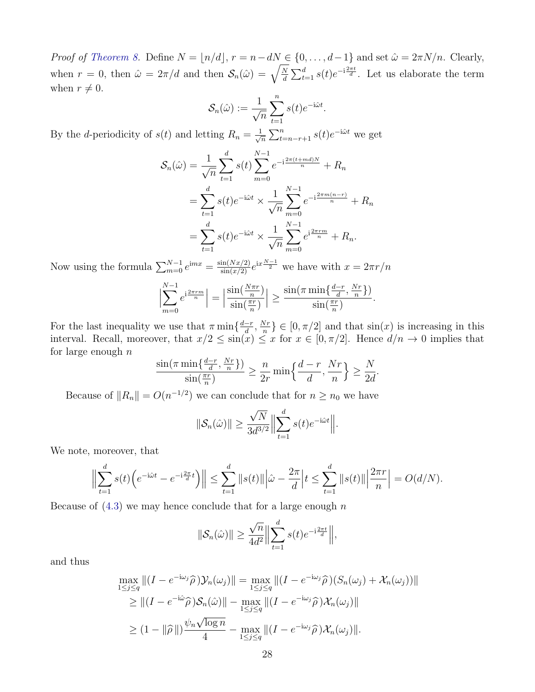*Proof of [Theorem 8.](#page-10-0)* Define  $N = \lfloor n/d \rfloor$ ,  $r = n - dN \in \{0, ..., d-1\}$  and set  $\hat{\omega} = 2\pi N/n$ . Clearly, when  $r = 0$ , then  $\hat{\omega} = 2\pi/d$  and then  $\mathcal{S}_n(\hat{\omega}) = \sqrt{\frac{N}{d}}$  $\frac{N}{d} \sum_{t=1}^{d} s(t) e^{-i\frac{2\pi t}{d}}$ . Let us elaborate the term when  $r \neq 0$ .

$$
\mathcal{S}_n(\hat{\omega}) := \frac{1}{\sqrt{n}} \sum_{t=1}^n s(t) e^{-i\hat{\omega}t}.
$$

By the *d*-periodicity of  $s(t)$  and letting  $R_n = \frac{1}{\sqrt{2}}$  $\frac{1}{\overline{n}}\sum_{t=n-r+1}^{n} s(t)e^{-i\hat{\omega}t}$  we get

$$
\mathcal{S}_n(\hat{\omega}) = \frac{1}{\sqrt{n}} \sum_{t=1}^d s(t) \sum_{m=0}^{N-1} e^{-i\frac{2\pi(t+m d)N}{n}} + R_n
$$
  
= 
$$
\sum_{t=1}^d s(t) e^{-i\hat{\omega}t} \times \frac{1}{\sqrt{n}} \sum_{m=0}^{N-1} e^{-i\frac{2\pi m(n-r)}{n}} + R_n
$$
  
= 
$$
\sum_{t=1}^d s(t) e^{-i\hat{\omega}t} \times \frac{1}{\sqrt{n}} \sum_{m=0}^{N-1} e^{i\frac{2\pi rm}{n}} + R_n.
$$

Now using the formula  $\sum_{m=0}^{N-1} e^{imx} = \frac{\sin(Nx/2)}{\sin(x/2)} e^{ix\frac{N-1}{2}}$  we have with  $x = 2\pi r/n$ 

$$
\left|\sum_{m=0}^{N-1} e^{i\frac{2\pi rm}{n}}\right| = \left|\frac{\sin(\frac{N\pi r}{n})}{\sin(\frac{\pi r}{n})}\right| \ge \frac{\sin(\pi \min\{\frac{d-r}{d}, \frac{Nr}{n}\})}{\sin(\frac{\pi r}{n})}.
$$

For the last inequality we use that  $\pi \min\{\frac{d-r}{d}\}$  $\frac{-r}{d}$ ,  $\frac{Nr}{n}$  $\left\{\frac{\forall r}{n}\right\} \in [0, \pi/2]$  and that  $\sin(x)$  is increasing in this interval. Recall, moreover, that  $x/2 \le \sin(x) \le x$  for  $x \in [0, \pi/2]$ . Hence  $d/n \to 0$  implies that for large enough  $n$ 

$$
\frac{\sin(\pi \min\{\frac{d-r}{d}, \frac{Nr}{n}\})}{\sin(\frac{\pi r}{n})} \ge \frac{n}{2r} \min\{\frac{d-r}{d}, \frac{Nr}{n}\} \ge \frac{N}{2d}
$$

.

Because of  $||R_n|| = O(n^{-1/2})$  we can conclude that for  $n \geq n_0$  we have

$$
\|\mathcal{S}_n(\hat{\omega})\| \ge \frac{\sqrt{N}}{3d^{3/2}} \Big\|\sum_{t=1}^d s(t)e^{-i\hat{\omega}t}\Big\|.
$$

We note, moreover, that

$$
\Big\|\sum_{t=1}^d s(t)\Big(e^{-i\hat{\omega}t}-e^{-i\frac{2\pi}{d}t}\Big)\Big\| \le \sum_{t=1}^d \|s(t)\|\Big|\hat{\omega}-\frac{2\pi}{d}\Big|t \le \sum_{t=1}^d \|s(t)\|\Big|\frac{2\pi r}{n}\Big| = O(d/N).
$$

Because of  $(4.3)$  we may hence conclude that for a large enough n

$$
\|\mathcal{S}_n(\hat{\omega})\| \ge \frac{\sqrt{n}}{4d^2} \Big\| \sum_{t=1}^d s(t) e^{-i\frac{2\pi t}{d}} \Big\|,
$$

and thus

$$
\max_{1 \leq j \leq q} \left\| (I - e^{-i\omega_j} \widehat{\rho}) \mathcal{Y}_n(\omega_j) \right\| = \max_{1 \leq j \leq q} \left\| (I - e^{-i\omega_j} \widehat{\rho}) (S_n(\omega_j) + \mathcal{X}_n(\omega_j)) \right\|
$$
  
\n
$$
\geq \left\| (I - e^{-i\hat{\omega}} \widehat{\rho}) \mathcal{S}_n(\hat{\omega}) \right\| - \max_{1 \leq j \leq q} \left\| (I - e^{-i\omega_j} \widehat{\rho}) \mathcal{X}_n(\omega_j) \right\|
$$
  
\n
$$
\geq (1 - \|\widehat{\rho}\|) \frac{\psi_n \sqrt{\log n}}{4} - \max_{1 \leq j \leq q} \left\| (I - e^{-i\omega_j} \widehat{\rho}) \mathcal{X}_n(\omega_j) \right\|.
$$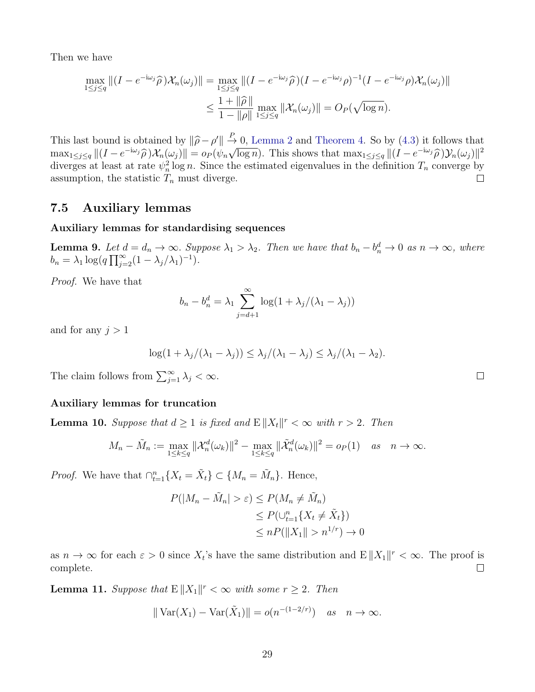Then we have

$$
\max_{1 \le j \le q} \left\| (I - e^{-i\omega_j} \widehat{\rho}) \mathcal{X}_n(\omega_j) \right\| = \max_{1 \le j \le q} \left\| (I - e^{-i\omega_j} \widehat{\rho}) (I - e^{-i\omega_j} \rho)^{-1} (I - e^{-i\omega_j} \rho) \mathcal{X}_n(\omega_j) \right\|
$$
  

$$
\le \frac{1 + \|\widehat{\rho}\|}{1 - \|\rho\|} \max_{1 \le j \le q} \left\| \mathcal{X}_n(\omega_j) \right\| = O_P(\sqrt{\log n}).
$$

 $\mathcal{C} \parallel \frac{P}{\rightarrow} 0$ , [Lemma 2](#page-7-4) and [Theorem 4.](#page-5-0) So by [\(4.3\)](#page-10-2) it follows that This last bound is obtained by  $\|\hat{\rho} - \rho'\| \to$ <br>max<sub>1≤j≤q</sub>  $\|(I - e^{-i\omega_j}\hat{\rho})\mathcal{X}_n(\omega_j)\| = o_P(\psi_n\sqrt{\lambda})$  $\overline{\log n}$ ). This shows that  $\max_{1 \leq j \leq q} ||(I - e^{-i\omega_j}\widehat{\rho})\mathcal{Y}_n(\omega_j)||^2$ diverges at least at rate  $\psi_n^2 \log n$ . Since the estimated eigenvalues in the definition  $T_n$  converge by assumption, the statistic  $T_n$  must diverge.  $\Box$ 

#### <span id="page-28-2"></span>7.5 Auxiliary lemmas

#### Auxiliary lemmas for standardising sequences

<span id="page-28-0"></span>**Lemma 9.** Let  $d = d_n \to \infty$ . Suppose  $\lambda_1 > \lambda_2$ . Then we have that  $b_n - b_n^d \to 0$  as  $n \to \infty$ , where  $b_n = \lambda_1 \log(q \prod_{j=2}^{\infty} (1 - \lambda_j/\lambda_1)^{-1}).$ 

Proof. We have that

$$
b_n - b_n^d = \lambda_1 \sum_{j=d+1}^{\infty} \log(1 + \lambda_j/(\lambda_1 - \lambda_j))
$$

and for any  $j > 1$ 

$$
\log(1+\lambda_j/(\lambda_1-\lambda_j))\leq \lambda_j/(\lambda_1-\lambda_j)\leq \lambda_j/(\lambda_1-\lambda_2).
$$

The claim follows from  $\sum_{j=1}^{\infty} \lambda_j < \infty$ .

#### Auxiliary lemmas for truncation

<span id="page-28-1"></span>**Lemma 10.** Suppose that  $d \geq 1$  is fixed and  $E ||X_t||^r < \infty$  with  $r > 2$ . Then

$$
M_n - \tilde{M}_n := \max_{1 \le k \le q} ||\mathcal{X}_n^d(\omega_k)||^2 - \max_{1 \le k \le q} ||\tilde{\mathcal{X}}_n^d(\omega_k)||^2 = o_P(1) \quad \text{as} \quad n \to \infty.
$$

*Proof.* We have that  $\bigcap_{t=1}^{n} \{X_t = \tilde{X}_t\} \subset \{M_n = \tilde{M}_n\}$ . Hence,

$$
P(|M_n - \tilde{M}_n| > \varepsilon) \le P(M_n \ne \tilde{M}_n)
$$
  
\n
$$
\le P(\bigcup_{t=1}^n \{X_t \ne \tilde{X}_t\})
$$
  
\n
$$
\le nP(||X_1|| > n^{1/r}) \to 0
$$

as  $n \to \infty$  for each  $\varepsilon > 0$  since  $X_t$ 's have the same distribution and  $E ||X_1||^r < \infty$ . The proof is complete.  $\Box$ 

<span id="page-28-3"></span>**Lemma 11.** Suppose that  $E ||X_1||^r < \infty$  with some  $r \geq 2$ . Then

$$
\|\operatorname{Var}(X_1) - \operatorname{Var}(\tilde{X}_1)\| = o(n^{-(1-2/r)}) \quad \text{as} \quad n \to \infty.
$$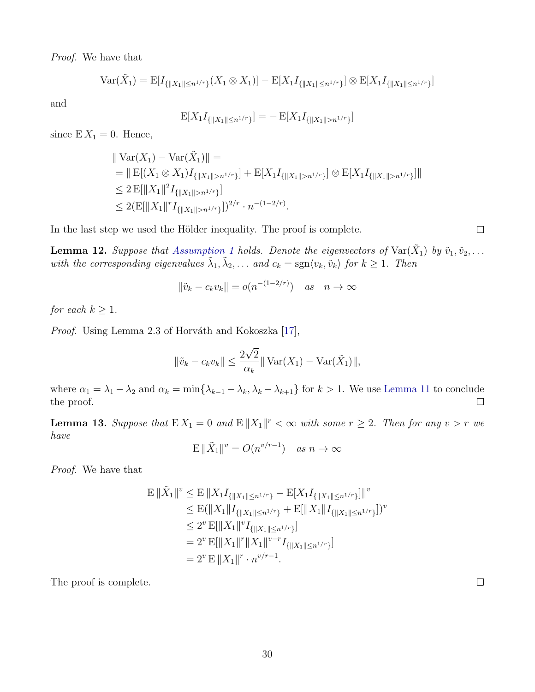Proof. We have that

$$
\text{Var}(\tilde{X}_1) = \mathbb{E}[I_{\{\|X_1\| \le n^{1/r}\}}(X_1 \otimes X_1)] - \mathbb{E}[X_1 I_{\{\|X_1\| \le n^{1/r}\}}] \otimes \mathbb{E}[X_1 I_{\{\|X_1\| \le n^{1/r}\}}]
$$

and

$$
\mathbf{E}[X_1 I_{\{\|X_1\| \leq n^{1/r}\}}] = -\mathbf{E}[X_1 I_{\{\|X_1\| > n^{1/r}\}}]
$$

since  $E X_1 = 0$ . Hence,

$$
\begin{aligned} &\|\operatorname{Var}(X_1) - \operatorname{Var}(\tilde{X}_1)\| = \\ &= \|\operatorname{E}[(X_1 \otimes X_1)I_{\{\|X_1\| > n^{1/r}\}}] + \operatorname{E}[X_1 I_{\{\|X_1\| > n^{1/r}\}}] \otimes \operatorname{E}[X_1 I_{\{\|X_1\| > n^{1/r}\}}] \| \\ &\leq 2 \operatorname{E}[\|X_1\|^2 I_{\{\|X_1\| > n^{1/r}\}}] \\ &\leq 2 (\operatorname{E}[\|X_1\|^r I_{\{\|X_1\| > n^{1/r}\}}])^{2/r} \cdot n^{-(1-2/r)}. \end{aligned}
$$

In the last step we used the Hölder inequality. The proof is complete.

<span id="page-29-0"></span>**Lemma 12.** Suppose that [Assumption 1](#page-3-1) holds. Denote the eigenvectors of  $\text{Var}(\tilde{X}_1)$  by  $\tilde{v}_1, \tilde{v}_2, \ldots$ with the corresponding eigenvalues  $\tilde{\lambda}_1, \tilde{\lambda}_2, \ldots$  and  $c_k = \text{sgn}\langle v_k, \tilde{v}_k \rangle$  for  $k \geq 1$ . Then

$$
\|\tilde{v}_k - c_k v_k\| = o(n^{-(1-2/r)}) \quad \text{as} \quad n \to \infty
$$

for each  $k \geq 1$ .

Proof. Using Lemma 2.3 of Horváth and Kokoszka [\[17\]](#page-40-15),

$$
\|\tilde{v}_k - c_k v_k\| \le \frac{2\sqrt{2}}{\alpha_k} \|\text{Var}(X_1) - \text{Var}(\tilde{X}_1)\|,
$$

where  $\alpha_1 = \lambda_1 - \lambda_2$  and  $\alpha_k = \min{\{\lambda_{k-1} - \lambda_k, \lambda_k - \lambda_{k+1}\}}$  for  $k > 1$ . We use [Lemma 11](#page-28-3) to conclude the proof.  $\Box$ 

**Lemma 13.** Suppose that  $EX_1 = 0$  and  $E||X_1||^r < \infty$  with some  $r \geq 2$ . Then for any  $v > r$  we have

$$
\mathbb{E}\|\tilde{X}_1\|^v = O(n^{v/r-1}) \quad \text{as } n \to \infty
$$

Proof. We have that

$$
E \|\tilde{X}_1\|^v \leq E \|X_1 I_{\{\|X_1\| \leq n^{1/r}\}} - E[X_1 I_{\{\|X_1\| \leq n^{1/r}\}}] \|^v
$$
  
\n
$$
\leq E(\|X_1\|I_{\{\|X_1\| \leq n^{1/r}\}} + E[\|X_1\|I_{\{\|X_1\| \leq n^{1/r}\}}])^v
$$
  
\n
$$
\leq 2^v E[\|X_1\|^v I_{\{\|X_1\| \leq n^{1/r}\}}]
$$
  
\n
$$
= 2^v E[\|X_1\|^r \|X_1\|^{v-r} I_{\{\|X_1\| \leq n^{1/r}\}}]
$$
  
\n
$$
= 2^v E \|X_1\|^r \cdot n^{v/r-1}.
$$

The proof is complete.

 $\Box$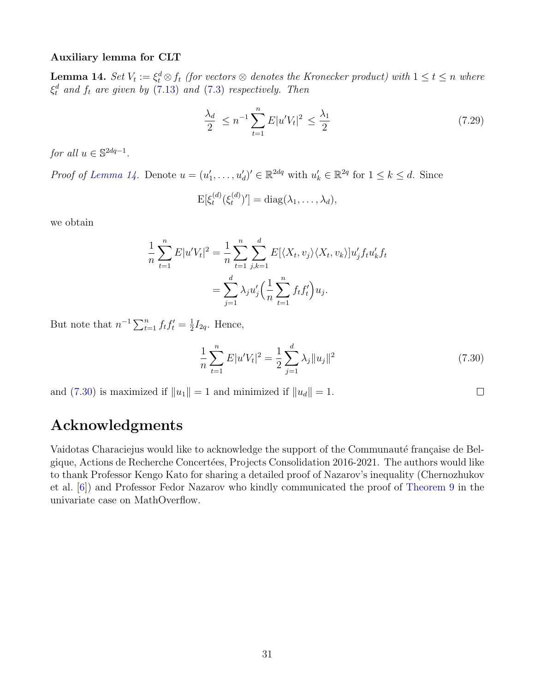#### Auxiliary lemma for CLT

<span id="page-30-0"></span>**Lemma 14.** Set  $V_t := \xi_t^d \otimes f_t$  (for vectors  $\otimes$  denotes the Kronecker product) with  $1 \le t \le n$  where  $\xi_t^d$  and  $f_t$  are given by [\(7.13\)](#page-19-4) and [\(7.3\)](#page-15-2) respectively. Then

$$
\frac{\lambda_d}{2} \le n^{-1} \sum_{t=1}^n E|u'V_t|^2 \le \frac{\lambda_1}{2} \tag{7.29}
$$

for all  $u \in \mathbb{S}^{2dq-1}$ .

*Proof of [Lemma 14.](#page-30-0)* Denote  $u = (u'_1, \ldots, u'_d)' \in \mathbb{R}^{2dq}$  with  $u'_k \in \mathbb{R}^{2q}$  for  $1 \leq k \leq d$ . Since

$$
\mathrm{E}[\xi_t^{(d)}(\xi_t^{(d)})'] = \mathrm{diag}(\lambda_1,\ldots,\lambda_d),
$$

we obtain

$$
\frac{1}{n}\sum_{t=1}^{n} E|u'V_t|^2 = \frac{1}{n}\sum_{t=1}^{n}\sum_{j,k=1}^{d} E[\langle X_t, v_j \rangle \langle X_t, v_k \rangle]u'_j f_t u'_k f_t
$$

$$
= \sum_{j=1}^{d} \lambda_j u'_j \Big(\frac{1}{n}\sum_{t=1}^{n} f_t f'_t\Big)u_j.
$$

But note that  $n^{-1} \sum_{t=1}^n f_t f_t' = \frac{1}{2}$  $\frac{1}{2}I_{2q}$ . Hence,

<span id="page-30-1"></span>
$$
\frac{1}{n}\sum_{t=1}^{n}E|u'V_t|^2 = \frac{1}{2}\sum_{j=1}^{d}\lambda_j||u_j||^2
$$
\n(7.30)

 $\Box$ 

and [\(7.30\)](#page-30-1) is maximized if  $||u_1|| = 1$  and minimized if  $||u_d|| = 1$ .

## Acknowledgments

Vaidotas Characiejus would like to acknowledge the support of the Communauté française de Belgique, Actions de Recherche Concertées, Projects Consolidation 2016-2021. The authors would like to thank Professor Kengo Kato for sharing a detailed proof of Nazarov's inequality (Chernozhukov et al. [\[6\]](#page-39-14)) and Professor Fedor Nazarov who kindly communicated the proof of [Theorem 9](#page-36-0) in the univariate case on MathOverflow.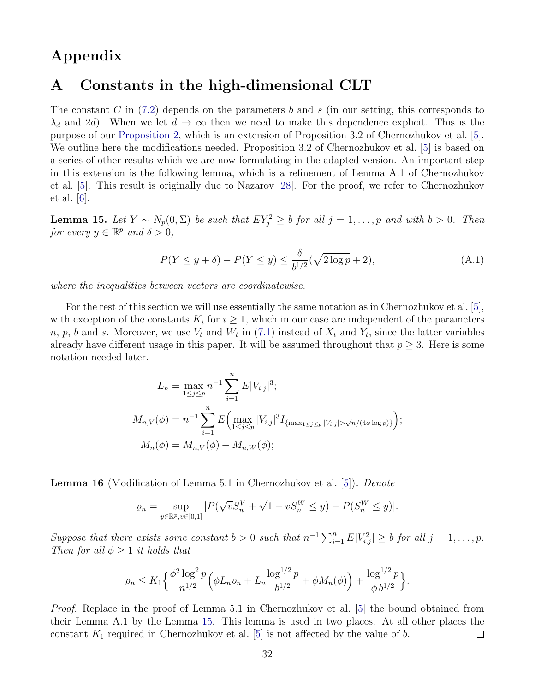## Appendix

## <span id="page-31-0"></span>A Constants in the high-dimensional CLT

The constant C in  $(7.2)$  depends on the parameters b and s (in our setting, this corresponds to  $\lambda_d$  and 2d). When we let  $d \to \infty$  then we need to make this dependence explicit. This is the purpose of our [Proposition 2,](#page-19-0) which is an extension of Proposition 3.2 of Chernozhukov et al. [\[5\]](#page-39-10). We outline here the modifications needed. Proposition 3.2 of Chernozhukov et al. [\[5\]](#page-39-10) is based on a series of other results which we are now formulating in the adapted version. An important step in this extension is the following lemma, which is a refinement of Lemma A.1 of Chernozhukov et al. [\[5\]](#page-39-10). This result is originally due to Nazarov [\[28\]](#page-40-9). For the proof, we refer to Chernozhukov et al. [\[6\]](#page-39-14).

<span id="page-31-1"></span>**Lemma 15.** Let  $Y \sim N_p(0, \Sigma)$  be such that  $EY_j^2 \geq b$  for all  $j = 1, \ldots, p$  and with  $b > 0$ . Then for every  $y \in \mathbb{R}^p$  and  $\delta > 0$ ,

$$
P(Y \le y + \delta) - P(Y \le y) \le \frac{\delta}{b^{1/2}}(\sqrt{2\log p} + 2),\tag{A.1}
$$

where the inequalities between vectors are coordinatewise.

For the rest of this section we will use essentially the same notation as in Chernozhukov et al. [\[5\]](#page-39-10), with exception of the constants  $K_i$  for  $i \geq 1$ , which in our case are independent of the parameters n, p, b and s. Moreover, we use  $V_t$  and  $W_t$  in [\(7.1\)](#page-14-1) instead of  $X_t$  and  $Y_t$ , since the latter variables already have different usage in this paper. It will be assumed throughout that  $p \geq 3$ . Here is some notation needed later.

$$
L_n = \max_{1 \le j \le p} n^{-1} \sum_{i=1}^n E|V_{i,j}|^3;
$$
  
\n
$$
M_{n,V}(\phi) = n^{-1} \sum_{i=1}^n E\Big(\max_{1 \le j \le p} |V_{i,j}|^3 I_{\{\max_{1 \le j \le p} |V_{i,j}| > \sqrt{n}/(4\phi \log p)\}}\Big);
$$
  
\n
$$
M_n(\phi) = M_{n,V}(\phi) + M_{n,W}(\phi);
$$

Lemma 16 (Modification of Lemma 5.1 in Chernozhukov et al. [\[5\]](#page-39-10)). Denote

$$
\varrho_n = \sup_{y \in \mathbb{R}^p, v \in [0,1]} |P(\sqrt{v}S_n^V + \sqrt{1 - v}S_n^W \le y) - P(S_n^W \le y)|.
$$

Suppose that there exists some constant  $b > 0$  such that  $n^{-1} \sum_{i=1}^{n} E[V_{i,j}^2] \geq b$  for all  $j = 1, \ldots, p$ . Then for all  $\phi \geq 1$  it holds that

$$
\varrho_n \le K_1 \Big\{ \frac{\phi^2 \log^2 p}{n^{1/2}} \Big( \phi L_n \varrho_n + L_n \frac{\log^{1/2} p}{b^{1/2}} + \phi M_n(\phi) \Big) + \frac{\log^{1/2} p}{\phi b^{1/2}} \Big\}.
$$

*Proof.* Replace in the proof of Lemma 5.1 in Chernozhukov et al. [\[5\]](#page-39-10) the bound obtained from their Lemma A.1 by the Lemma [15.](#page-31-1) This lemma is used in two places. At all other places the constant  $K_1$  required in Chernozhukov et al. [\[5\]](#page-39-10) is not affected by the value of b.  $\Box$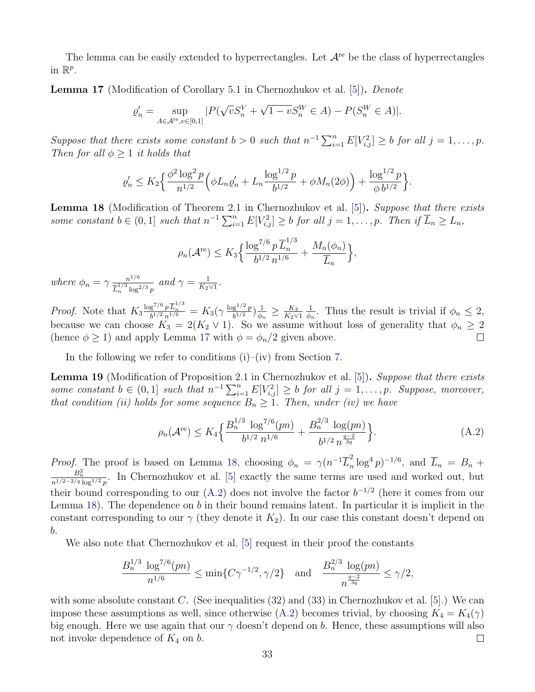The lemma can be easily extended to hyperrectangles. Let  $A<sup>re</sup>$  be the class of hyperrectangles in  $\mathbb{R}^p$ .

<span id="page-32-0"></span>Lemma 17 (Modification of Corollary 5.1 in Chernozhukov et al. [\[5\]](#page-39-10)). Denote

$$
\varrho_n' = \sup_{A \in \mathcal{A}^{re}, v \in [0,1]} |P(\sqrt{v}S_n^V + \sqrt{1 - v}S_n^W \in A) - P(S_n^W \in A)|.
$$

Suppose that there exists some constant  $b > 0$  such that  $n^{-1} \sum_{i=1}^{n} E[V_{i,j}^2] \geq b$  for all  $j = 1, \ldots, p$ . Then for all  $\phi \geq 1$  it holds that

$$
\varrho_n' \le K_2 \Big\{ \frac{\phi^2 \log^2 p}{n^{1/2}} \Big( \phi L_n \varrho_n' + L_n \frac{\log^{1/2} p}{b^{1/2}} + \phi M_n(2\phi) \Big) + \frac{\log^{1/2} p}{\phi b^{1/2}} \Big\}.
$$

<span id="page-32-1"></span>Lemma 18 (Modification of Theorem 2.1 in Chernozhukov et al. [\[5\]](#page-39-10)). Suppose that there exists some constant  $b \in (0,1]$  such that  $n^{-1} \sum_{i=1}^{n} E[V_{i,j}^2] \geq b$  for all  $j = 1, \ldots, p$ . Then if  $\overline{L}_n \geq L_n$ ,

$$
\rho_n(\mathcal{A}^{\text{re}}) \le K_3 \Big\{ \frac{\log^{7/6} p \overline{L}_n^{1/3}}{b^{1/2} n^{1/6}} + \frac{M_n(\phi_n)}{\overline{L}_n} \Big\},\,
$$

where  $\phi_n = \gamma \frac{n^{1/6}}{\tau^{1/3}}$  $\frac{n^{1/6}}{L_n^{1/3} \log^{2/3} p}$  and  $\gamma = \frac{1}{K_2}$  $\frac{1}{K_2 \vee 1}$ .

*Proof.* Note that  $K_3 \frac{\log^{7/6} p \overline{L}_n^{1/3}}{b^{1/2} n^{1/6}} = K_3(\gamma \frac{\log^{1/2} p}{b^{1/2}})$  $\frac{g^{1/2} p}{b^{1/2}}\Big) \frac{1}{\phi_n}$  $\frac{1}{\phi_n} \geq \frac{K_3}{K_2 \vee}$ 1  $\frac{1}{\phi_n}$ . Thus the result is trivial if  $\phi_n \leq 2$ ,  $K_2\vee 1$ because we can choose  $K_3 = 2(K_2 \vee 1)$ . So we assume without loss of generality that  $\phi_n \geq 2$ (hence  $\phi \geq 1$ ) and apply Lemma [17](#page-32-0) with  $\phi = \phi_n/2$  given above.  $\Box$ 

In the following we refer to conditions  $(i)$ – $(iv)$  from Section [7.](#page-14-0)

<span id="page-32-3"></span>Lemma 19 (Modification of Proposition 2.1 in Chernozhukov et al. [\[5\]](#page-39-10)). Suppose that there exists some constant  $b \in (0,1]$  such that  $n^{-1} \sum_{i=1}^{n} E[V_{i,j}^2] \geq b$  for all  $j = 1, \ldots, p$ . Suppose, moreover, that condition (ii) holds for some sequence  $B_n \geq 1$ . Then, under (iv) we have

<span id="page-32-2"></span>
$$
\rho_n(\mathcal{A}^{\text{re}}) \le K_4 \Big\{ \frac{B_n^{1/3} \, \log^{7/6}(pn)}{b^{1/2} \, n^{1/6}} + \frac{B_n^{2/3} \, \log(pn)}{b^{1/2} \, n^{\frac{q-2}{3q}}} \Big\}.
$$
\n(A.2)

*Proof.* The proof is based on Lemma [18,](#page-32-1) choosing  $\phi_n = \gamma(n^{-1}\overline{L}_n^2)$  $\sum_{n=1}^{\infty} \log^4 p$ )<sup>-1/6</sup>, and  $\overline{L}_n = B_n +$  $\frac{B_n^2}{n^{1/2-2/q}\log^{1/2}p}$ . In Chernozhukov et al. [\[5\]](#page-39-10) exactly the same terms are used and worked out, but their bound corresponding to our  $(A.2)$  does not involve the factor  $b^{-1/2}$  (here it comes from our Lemma [18\)](#page-32-1). The dependence on b in their bound remains latent. In particular it is implicit in the constant corresponding to our  $\gamma$  (they denote it  $K_2$ ). In our case this constant doesn't depend on b.

We also note that Chernozhukov et al. [\[5\]](#page-39-10) request in their proof the constants

$$
\frac{B_n^{1/3} \log^{7/6}(pn)}{n^{1/6}} \le \min\{C\gamma^{-1/2}, \gamma/2\} \quad \text{and} \quad \frac{B_n^{2/3} \log(pn)}{n^{\frac{q-2}{3q}}} \le \gamma/2,
$$

with some absolute constant C. (See inequalities  $(32)$  and  $(33)$  in Chernozhukov et al. [\[5\]](#page-39-10).) We can impose these assumptions as well, since otherwise [\(A.2\)](#page-32-2) becomes trivial, by choosing  $K_4 = K_4(\gamma)$ big enough. Here we use again that our  $\gamma$  doesn't depend on b. Hence, these assumptions will also not invoke dependence of  $K_4$  on b.  $\Box$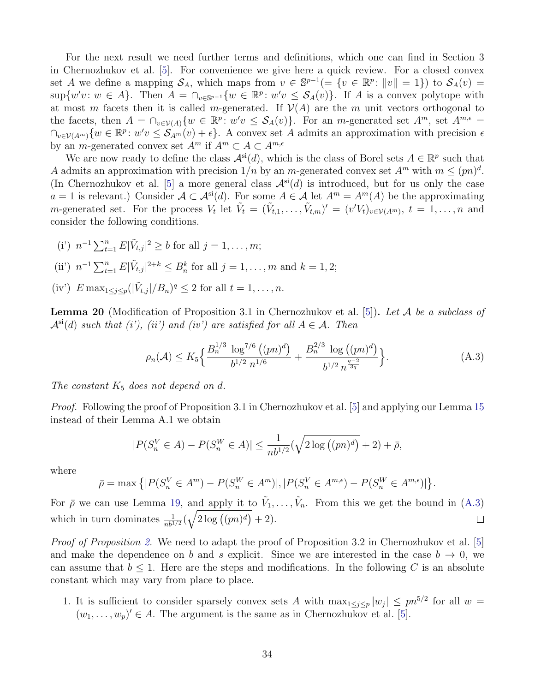For the next result we need further terms and definitions, which one can find in Section 3 in Chernozhukov et al. [\[5\]](#page-39-10). For convenience we give here a quick review. For a closed convex set A we define a mapping  $S_A$ , which maps from  $v \in \mathbb{S}^{p-1}(=\{v \in \mathbb{R}^p : ||v|| = 1\})$  to  $S_A(v) =$  $\sup\{w'v: w \in A\}.$  Then  $A = \bigcap_{v \in \mathbb{S}^{p-1}} \{w \in \mathbb{R}^p: w'v \leq \mathcal{S}_A(v)\}.$  If A is a convex polytope with at most m facets then it is called m-generated. If  $\mathcal{V}(A)$  are the m unit vectors orthogonal to the facets, then  $A = \bigcap_{v \in V(A)} \{w \in \mathbb{R}^p : w'v \leq S_A(v)\}.$  For an *m*-generated set  $A^m$ , set  $A^{m,\epsilon} =$  $\bigcap_{v\in\mathcal{V}(A^m)}\{w\in\mathbb{R}^p\colon w'v\leq \mathcal{S}_{A^m}(v)+\epsilon\}.$  A convex set A admits an approximation with precision  $\epsilon$ by an *m*-generated convex set  $A^m$  if  $A^m \subset A \subset A^{m,\epsilon}$ 

We are now ready to define the class  $\mathcal{A}^{\rm si}(d)$ , which is the class of Borel sets  $A \in \mathbb{R}^p$  such that A admits an approximation with precision  $1/n$  by an m-generated convex set  $A<sup>m</sup>$  with  $m \leq (pn)^d$ . (In Chernozhukov et al. [\[5\]](#page-39-10) a more general class  $\mathcal{A}^{si}(d)$  is introduced, but for us only the case  $a = 1$  is relevant.) Consider  $A \subset \mathcal{A}^{si}(d)$ . For some  $A \in \mathcal{A}$  let  $A^m = A^m(A)$  be the approximating m-generated set. For the process  $V_t$  let  $\tilde{V}_t = (\tilde{V}_{t,1}, \ldots, \tilde{V}_{t,m})' = (v'V_t)_{v \in \mathcal{V}(A^m)}$ ,  $t = 1, \ldots, n$  and consider the following conditions.

- (i')  $n^{-1} \sum_{t=1}^{n} E|\tilde{V}_{t,j}|^2 \ge b$  for all  $j = 1, ..., m$ ;
- (ii')  $n^{-1} \sum_{t=1}^{n} E|\tilde{V}_{t,j}|^{2+k} \leq B_n^k$  for all  $j = 1, ..., m$  and  $k = 1, 2;$
- (iv')  $E \max_{1 \leq j \leq p} (|\tilde{V}_{t,j}|/B_n)^q \leq 2$  for all  $t = 1, ..., n$ .

<span id="page-33-1"></span>**Lemma 20** (Modification of Proposition 3.1 in Chernozhukov et al. [\[5\]](#page-39-10)). Let A be a subclass of  $\mathcal{A}^{\rm si}(d)$  such that (i'), (ii') and (iv') are satisfied for all  $A \in \mathcal{A}$ . Then

<span id="page-33-0"></span>
$$
\rho_n(\mathcal{A}) \le K_5 \Big\{ \frac{B_n^{1/3} \, \log^{7/6} \left( (pn)^d \right)}{b^{1/2} \, n^{1/6}} + \frac{B_n^{2/3} \, \log \left( (pn)^d \right)}{b^{1/2} \, n^{\frac{q-2}{3q}}} \Big\}.
$$
\n(A.3)

The constant  $K_5$  does not depend on d.

*Proof.* Following the proof of Proposition 3.1 in Chernozhukov et al. [\[5\]](#page-39-10) and applying our Lemma [15](#page-31-1) instead of their Lemma A.1 we obtain

$$
|P(S_n^V \in A) - P(S_n^W \in A)| \le \frac{1}{nb^{1/2}} (\sqrt{2 \log ((pn)^d)} + 2) + \bar{\rho},
$$

where

$$
\bar{\rho} = \max \left\{ |P(S_n^V \in A^m) - P(S_n^W \in A^m)|, |P(S_n^V \in A^{m,\epsilon}) - P(S_n^W \in A^{m,\epsilon})| \right\}.
$$

For  $\bar{\rho}$  we can use Lemma [19,](#page-32-3) and apply it to  $\tilde{V}_1, \ldots, \tilde{V}_n$ . From this we get the bound in [\(A.3\)](#page-33-0) which in turn dominates  $\frac{1}{nb^{1/2}}(\sqrt{2\log((pn)^d)}+2)$ .  $\Box$ 

Proof of Proposition [2.](#page-19-0) We need to adapt the proof of Proposition 3.2 in Chernozhukov et al. [\[5\]](#page-39-10) and make the dependence on b and s explicit. Since we are interested in the case  $b \to 0$ , we can assume that  $b \leq 1$ . Here are the steps and modifications. In the following C is an absolute constant which may vary from place to place.

1. It is sufficient to consider sparsely convex sets A with  $\max_{1 \leq j \leq p} |w_j| \leq pn^{5/2}$  for all  $w =$  $(w_1, \ldots, w_p)' \in A$ . The argument is the same as in Chernozhukov et al. [\[5\]](#page-39-10).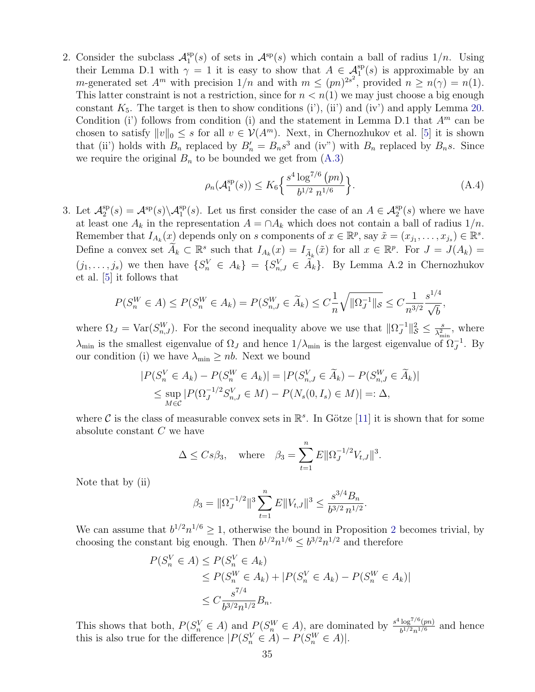2. Consider the subclass  $\mathcal{A}_1^{\text{sp}}$  $1^{\text{sp}}(s)$  of sets in  $\mathcal{A}^{\text{sp}}(s)$  which contain a ball of radius  $1/n$ . Using their Lemma D.1 with  $\gamma = 1$  it is easy to show that  $A \in \mathcal{A}_1^{\text{sp}}(s)$  is approximable by an m-generated set  $A^m$  with precision  $1/n$  and with  $m \le (pn)^{2s^2}$ , provided  $n \ge n(\gamma) = n(1)$ . This latter constraint is not a restriction, since for  $n < n(1)$  we may just choose a big enough constant  $K_5$ . The target is then to show conditions (i'), (ii') and (iv') and apply Lemma [20.](#page-33-1) Condition (i) follows from condition (i) and the statement in Lemma D.1 that  $A<sup>m</sup>$  can be chosen to satisfy  $||v||_0 \leq s$  for all  $v \in V(A^m)$ . Next, in Chernozhukov et al. [\[5\]](#page-39-10) it is shown that (ii) holds with  $B_n$  replaced by  $B'_n = B_n s^3$  and (iv") with  $B_n$  replaced by  $B_n s$ . Since we require the original  $B_n$  to be bounded we get from  $(A.3)$ 

<span id="page-34-0"></span>
$$
\rho_n(\mathcal{A}_1^{\text{sp}}(s)) \le K_6 \left\{ \frac{s^4 \log^{7/6} (pn)}{b^{1/2} n^{1/6}} \right\}.
$$
\n(A.4)

,

3. Let  $\mathcal{A}_2^{\text{sp}}$  $\mathcal{L}_2^{\text{sp}}(s) = \mathcal{A}^{\text{sp}}(s) \setminus \mathcal{A}_1^{\text{sp}}(s)$ . Let us first consider the case of an  $A \in \mathcal{A}_2^{\text{sp}}(s)$  where we have at least one  $A_k$  in the representation  $A = \bigcap A_k$  which does not contain a ball of radius  $1/n$ . Remember that  $I_{A_k}(x)$  depends only on s components of  $x \in \mathbb{R}^p$ , say  $\tilde{x} = (x_{j_1}, \ldots, x_{j_s}) \in \mathbb{R}^s$ . Define a convex set  $\widetilde{A}_k \subset \mathbb{R}^s$  such that  $I_{A_k}(x) = I_{\widetilde{A}_k}(\widetilde{x})$  for all  $x \in \mathbb{R}^p$ . For  $J = J(A_k) =$  $(j_1,\ldots,j_s)$  we then have  $\{S_n^V \in A_k\} = \{S_{n,J}^V \in \tilde{A}_k\}$ . By Lemma A.2 in Chernozhukov et al. [\[5\]](#page-39-10) it follows that

$$
P(S_n^W \in A) \le P(S_n^W \in A_k) = P(S_{n,J}^W \in \widetilde{A}_k) \le C_{\frac{1}{n}}^{\frac{1}{\sqrt{|\Omega_J^{-1}|}} \le C_{\frac{1}{n^{3/2}}}^{\frac{1}{4}} \frac{s^{1/4}}{\sqrt{b}}
$$

where  $\Omega_J = \text{Var}(S_{n,J}^W)$ . For the second inequality above we use that  $\|\Omega_J^{-1}\|$  $\frac{-1}{J}$  $\|_{\mathcal{S}}^2 \leq \frac{s}{\lambda^2}$  $\frac{s}{\lambda_{\min}^2}$ , where  $\lambda_{\min}$  is the smallest eigenvalue of  $\Omega_J$  and hence  $1/\lambda_{\min}$  is the largest eigenvalue of  $\Omega_J^{-1}$ . By our condition (i) we have  $\lambda_{\min} \ge nb$ . Next we bound

$$
|P(S_n^V \in A_k) - P(S_n^W \in A_k)| = |P(S_{n,J}^V \in \tilde{A}_k) - P(S_{n,J}^W \in \tilde{A}_k)|
$$
  
\$\leq\$ sup  $|P(\Omega_J^{-1/2} S_{n,J}^V \in M) - P(N_s(0, I_s) \in M)| =: \Delta,$ 

where C is the class of measurable convex sets in  $\mathbb{R}^s$ . In Götze [\[11\]](#page-39-15) it is shown that for some absolute constant C we have

$$
\Delta \leq Cs\beta_3
$$
, where  $\beta_3 = \sum_{t=1}^n E ||\Omega_J^{-1/2} V_{t,J}||^3$ .

Note that by (ii)

$$
\beta_3 = \|\Omega_J^{-1/2}\|^3 \sum_{t=1}^n E\|V_{t,J}\|^3 \le \frac{s^{3/4}B_n}{b^{3/2}n^{1/2}}.
$$

We can assume that  $b^{1/2}n^{1/6} \geq 1$  $b^{1/2}n^{1/6} \geq 1$  $b^{1/2}n^{1/6} \geq 1$ , otherwise the bound in Proposition 2 becomes trivial, by choosing the constant big enough. Then  $b^{1/2}n^{1/6} \leq b^{3/2}n^{1/2}$  and therefore

$$
P(S_n^V \in A) \le P(S_n^V \in A_k)
$$
  
\n
$$
\le P(S_n^W \in A_k) + |P(S_n^V \in A_k) - P(S_n^W \in A_k)|
$$
  
\n
$$
\le C \frac{s^{7/4}}{b^{3/2}n^{1/2}} B_n.
$$

This shows that both,  $P(S_n^V \in A)$  and  $P(S_n^W \in A)$ , are dominated by  $\frac{s^4 \log^{7/6}(pn)}{b^{1/2}n^{1/6}}$  $rac{\log^{10}(pn)}{b^{1/2}n^{1/6}}$  and hence this is also true for the difference  $|P(S_n^V \in A) - P(S_n^W \in A)|$ .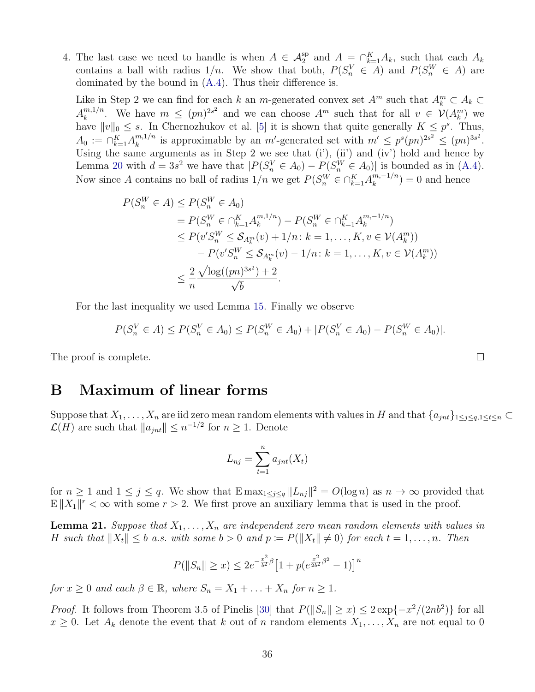4. The last case we need to handle is when  $A \in \mathcal{A}_2^{\text{sp}}$  and  $A = \bigcap_{k=1}^K A_k$ , such that each  $A_k$ contains a ball with radius  $1/n$ . We show that both,  $P(S_n^V \in A)$  and  $P(S_n^W \in A)$  are dominated by the bound in [\(A.4\)](#page-34-0). Thus their difference is.

Like in Step 2 we can find for each k an m-generated convex set  $A^m$  such that  $A_k^m \subset A_k$  $A_k^{m,1/n}$  $\binom{m,1/n}{k}$ . We have  $m \le (pn)^{2s^2}$  and we can choose  $A^m$  such that for all  $v \in \mathcal{V}(A_k^m)$  we have  $||v||_0 \leq s$ . In Chernozhukov et al. [\[5\]](#page-39-10) it is shown that quite generally  $K \leq p^s$ . Thus,  $A_0 := \bigcap_{k=1}^K A_k^{m,1/n}$  $\sum_{k=1}^{m} (m)^{2s^2} \leq (pn)^{3s^2}$ . Using the same arguments as in Step 2 we see that (i'), (ii') and (iv') hold and hence by Lemma [20](#page-33-1) with  $d = 3s^2$  we have that  $|P(S_n^V \in A_0) - P(S_n^W \in A_0)|$  is bounded as in [\(A.4\)](#page-34-0). Now since A contains no ball of radius  $1/n$  we get  $P(S_n^W \in \bigcap_{k=1}^K A_k^{m,-1/n})$  $\binom{m,-1}{k} = 0$  and hence

$$
P(S_n^W \in A) \le P(S_n^W \in A_0)
$$
  
=  $P(S_n^W \in \cap_{k=1}^K A_k^{m,1/n}) - P(S_n^W \in \cap_{k=1}^K A_k^{m,-1/n})$   
 $\le P(v'S_n^W \le S_{A_k^m}(v) + 1/n : k = 1, ..., K, v \in V(A_k^m))$   
 $- P(v'S_n^W \le S_{A_k^m}(v) - 1/n : k = 1, ..., K, v \in V(A_k^m))$   
 $\le \frac{2}{n} \frac{\sqrt{\log((pn)^{3s^2})} + 2}{\sqrt{b}}.$ 

For the last inequality we used Lemma [15.](#page-31-1) Finally we observe

$$
P(S_n^V \in A) \le P(S_n^V \in A_0) \le P(S_n^W \in A_0) + |P(S_n^V \in A_0) - P(S_n^W \in A_0)|.
$$

The proof is complete.

## B Maximum of linear forms

Suppose that  $X_1, \ldots, X_n$  are iid zero mean random elements with values in H and that  $\{a_{jnt}\}_{1\leq j\leq q,1\leq t\leq n}$  $\mathcal{L}(H)$  are such that  $||a_{jnt}|| \leq n^{-1/2}$  for  $n \geq 1$ . Denote

$$
L_{nj} = \sum_{t=1}^{n} a_{jnt}(X_t)
$$

for  $n \geq 1$  and  $1 \leq j \leq q$ . We show that  $\text{Emax}_{1 \leq j \leq q} ||L_{nj}||^2 = O(\log n)$  as  $n \to \infty$  provided that  $E||X_1||^r < \infty$  with some  $r > 2$ . We first prove an auxiliary lemma that is used in the proof.

<span id="page-35-0"></span>**Lemma 21.** Suppose that  $X_1, \ldots, X_n$  are independent zero mean random elements with values in H such that  $||X_t|| \leq b$  a.s. with some  $b > 0$  and  $p := P(||X_t|| \neq 0)$  for each  $t = 1, \ldots, n$ . Then

$$
P(||S_n|| \ge x) \le 2e^{-\frac{x^2}{b^2}\beta} \left[1 + p(e^{\frac{x^2}{2b^2}\beta^2} - 1)\right]^n
$$

for  $x \geq 0$  and each  $\beta \in \mathbb{R}$ , where  $S_n = X_1 + \ldots + X_n$  for  $n \geq 1$ .

*Proof.* It follows from Theorem 3.5 of Pinelis [\[30\]](#page-40-16) that  $P(||S_n|| \ge x) \le 2 \exp\{-x^2/(2nb^2)\}\)$  for all  $x \geq 0$ . Let  $A_k$  denote the event that k out of n random elements  $X_1, \ldots, X_n$  are not equal to 0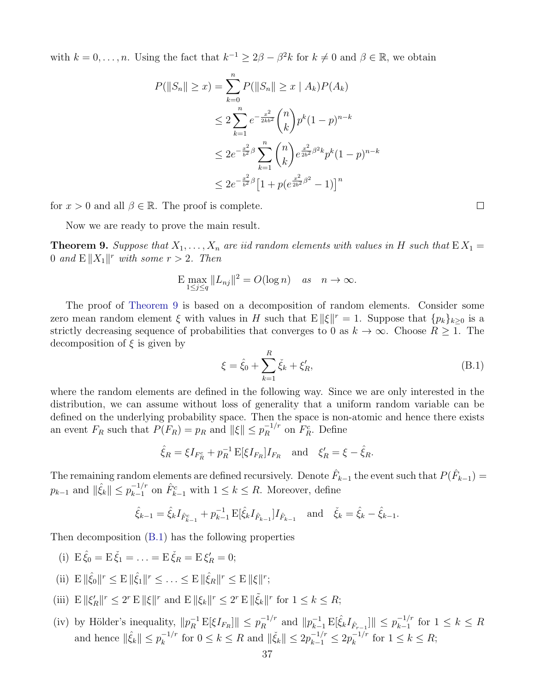with  $k = 0, \ldots, n$ . Using the fact that  $k^{-1} \geq 2\beta - \beta^2 k$  for  $k \neq 0$  and  $\beta \in \mathbb{R}$ , we obtain

$$
P(\|S_n\| \ge x) = \sum_{k=0}^n P(\|S_n\| \ge x \mid A_k) P(A_k)
$$
  
\n
$$
\le 2 \sum_{k=1}^n e^{-\frac{x^2}{2kb^2}} {n \choose k} p^k (1-p)^{n-k}
$$
  
\n
$$
\le 2e^{-\frac{x^2}{b^2}\beta} \sum_{k=1}^n {n \choose k} e^{\frac{x^2}{2b^2}\beta^2 k} p^k (1-p)^{n-k}
$$
  
\n
$$
\le 2e^{-\frac{x^2}{b^2}\beta} [1 + p(e^{\frac{x^2}{2b^2}\beta^2} - 1)]^n
$$

for  $x > 0$  and all  $\beta \in \mathbb{R}$ . The proof is complete.

Now we are ready to prove the main result.

<span id="page-36-0"></span>**Theorem 9.** Suppose that  $X_1, \ldots, X_n$  are iid random elements with values in H such that  $EX_1 =$ 0 and  $E\|X_1\|^r$  with some  $r > 2$ . Then

$$
\mathbb{E} \max_{1 \le j \le q} \|L_{nj}\|^2 = O(\log n) \quad \text{as} \quad n \to \infty.
$$

The proof of [Theorem 9](#page-36-0) is based on a decomposition of random elements. Consider some zero mean random element  $\xi$  with values in H such that  $E ||\xi||^r = 1$ . Suppose that  $\{p_k\}_{k\geq 0}$  is a strictly decreasing sequence of probabilities that converges to 0 as  $k \to \infty$ . Choose  $R \ge 1$ . The decomposition of  $\xi$  is given by

<span id="page-36-1"></span>
$$
\xi = \hat{\xi}_0 + \sum_{k=1}^{R} \check{\xi}_k + \xi'_R,\tag{B.1}
$$

where the random elements are defined in the following way. Since we are only interested in the distribution, we can assume without loss of generality that a uniform random variable can be defined on the underlying probability space. Then the space is non-atomic and hence there exists an event  $F_R$  such that  $P(F_R) = p_R$  and  $\|\xi\| \leq p_R^{-1/r}$  $R_R^{-1/r}$  on  $F_R^c$ . Define

$$
\hat{\xi}_R = \xi I_{F_R^c} + p_R^{-1} \mathbb{E}[\xi I_{F_R}] I_{F_R} \quad \text{and} \quad \xi'_R = \xi - \hat{\xi}_R.
$$

The remaining random elements are defined recursively. Denote  $\hat{F}_{k-1}$  the event such that  $P(\hat{F}_{k-1}) =$  $p_{k-1}$  and  $\|\hat{\xi}_k\| \leq p_{k-1}^{-1/r}$  $\hat{F}_{k-1}^{c}$  on  $\hat{F}_{k-1}^{c}$  with  $1 \leq k \leq R$ . Moreover, define

$$
\hat{\xi}_{k-1} = \hat{\xi}_k I_{\hat{F}_{k-1}^c} + p_{k-1}^{-1} \mathbb{E}[\hat{\xi}_k I_{\hat{F}_{k-1}}] I_{\hat{F}_{k-1}} \text{ and } \check{\xi}_k = \hat{\xi}_k - \hat{\xi}_{k-1}.
$$

Then decomposition [\(B.1\)](#page-36-1) has the following properties

- (i)  $E \hat{\xi}_0 = E \check{\xi}_1 = \ldots = E \check{\xi}_R = E \xi'_R = 0;$
- (ii)  $E \|\hat{\xi}_0\|^r \le E \|\hat{\xi}_1\|^r \le \ldots \le E \|\hat{\xi}_R\|^r \le E \|\xi\|^r;$
- (iii)  $E \|\xi'_R\|^r \leq 2^r E \|\xi\|^r$  and  $E \|\xi_k\|^r \leq 2^r E \|\tilde{\xi}_k\|^r$  for  $1 \leq k \leq R$ ;
- (iv) by Hölder's inequality,  $||p_R^{-1} E[\xi I_{F_R}]|| \leq p_R^{-1/r}$  $\|p_{k-1}^{-1} \mathbb{E}[\hat{\xi}_k I_{\hat{F}_{r-1}}] \| \leq p_{k-1}^{-1/r}$  $\frac{-1}{k-1}$  for  $1 \leq k \leq R$ and hence  $\|\hat{\xi}_k\| \leq p_k^{-1/r}$  $\int_{k}^{-1/r}$  for  $0 \leq k \leq R$  and  $\|\xi_k\| \leq 2p_{k-1}^{-1/r} \leq 2p_k^{-1/r}$  $\frac{e^{-1/r}}{k}$  for  $1 \leq k \leq R;$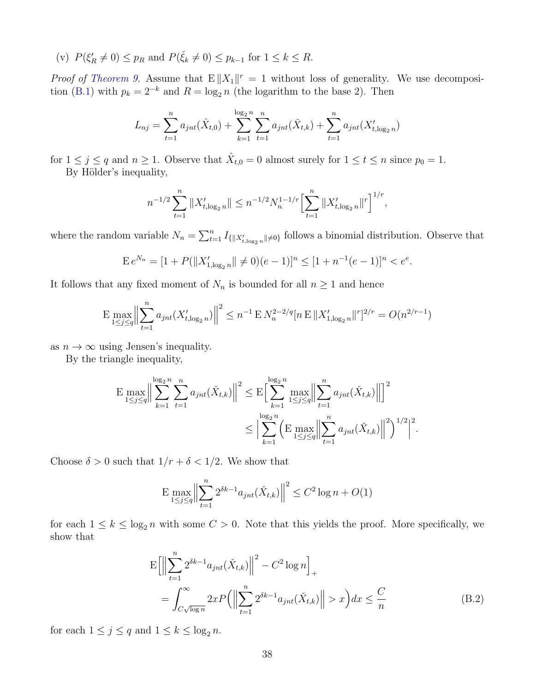(v)  $P(\xi_R' \neq 0) \leq p_R$  and  $P(\xi_k \neq 0) \leq p_{k-1}$  for  $1 \leq k \leq R$ .

*Proof of [Theorem 9.](#page-36-0)* Assume that  $E||X_1||^r = 1$  without loss of generality. We use decomposi-tion [\(B.1\)](#page-36-1) with  $p_k = 2^{-k}$  and  $R = \log_2 n$  (the logarithm to the base 2). Then

$$
L_{nj} = \sum_{t=1}^{n} a_{jnt}(\hat{X}_{t,0}) + \sum_{k=1}^{\log_2 n} \sum_{t=1}^{n} a_{jnt}(\check{X}_{t,k}) + \sum_{t=1}^{n} a_{jnt}(X'_{t,\log_2 n})
$$

for  $1 \leq j \leq q$  and  $n \geq 1$ . Observe that  $\hat{X}_{t,0} = 0$  almost surely for  $1 \leq t \leq n$  since  $p_0 = 1$ . By Hölder's inequality,

$$
n^{-1/2} \sum_{t=1}^{n} \|X'_{t,\log_2 n}\| \le n^{-1/2} N_n^{1-1/r} \Bigl[\sum_{t=1}^{n} \|X'_{t,\log_2 n}\|^r\Bigr]^{1/r},
$$

where the random variable  $N_n = \sum_{t=1}^n I_{\{|X_{t,\log_2 n}^{\prime}| \neq 0\}}$  follows a binomial distribution. Observe that

$$
E e^{N_n} = [1 + P(||X'_{1,\log_2 n}|| \neq 0)(e-1)]^n \le [1 + n^{-1}(e-1)]^n < e^e.
$$

It follows that any fixed moment of  $N_n$  is bounded for all  $n \geq 1$  and hence

$$
\mathbf{E}\max_{1\leq j\leq q}\Bigl\|\sum_{t=1}^n a_{jnt}(X_{t,\log_2 n}')\Bigr\|^2\leq n^{-1}\,\mathbf{E}\, N_n^{2-2/q}[n\,\mathbf{E}\,\|X_{1,\log_2 n}'\|^r]^{2/r}=O(n^{2/r-1})
$$

as  $n \to \infty$  using Jensen's inequality.

By the triangle inequality,

$$
\mathbf{E} \max_{1 \le j \le q} \Big\| \sum_{k=1}^{\log_2 n} \sum_{t=1}^n a_{jnt}(\check{X}_{t,k}) \Big\|^2 \le \mathbf{E} \Big[ \sum_{k=1}^{\log_2 n} \max_{1 \le j \le q} \Big\| \sum_{t=1}^n a_{jnt}(\check{X}_{t,k}) \Big\|^2 \Big]^2 \le \Big| \sum_{k=1}^{\log_2 n} \Big( \mathbf{E} \max_{1 \le j \le q} \Big\| \sum_{t=1}^n a_{jnt}(\check{X}_{t,k}) \Big\|^2 \Big)^{1/2} \Big|^2.
$$

Choose  $\delta > 0$  such that  $1/r + \delta < 1/2$ . We show that

$$
\mathbf{E} \max_{1 \le j \le q} \Big\| \sum_{t=1}^{n} 2^{\delta k - 1} a_{jnt}(\check{X}_{t,k}) \Big\|^2 \le C^2 \log n + O(1)
$$

for each  $1 \leq k \leq \log_2 n$  with some  $C > 0$ . Note that this yields the proof. More specifically, we show that

<span id="page-37-0"></span>
$$
E\left[\left\|\sum_{t=1}^{n} 2^{\delta k-1} a_{jnt}(\check{X}_{t,k})\right\|^2 - C^2 \log n\right]_+
$$
  
= 
$$
\int_{C\sqrt{\log n}}^{\infty} 2x P\left(\left\|\sum_{t=1}^{n} 2^{\delta k-1} a_{jnt}(\check{X}_{t,k})\right\| > x\right) dx \leq \frac{C}{n}
$$
 (B.2)

for each  $1 \leq j \leq q$  and  $1 \leq k \leq \log_2 n$ .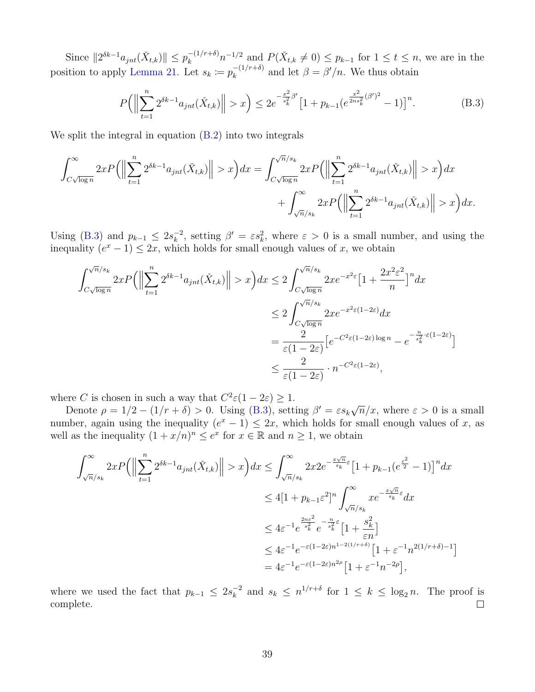Since  $||2^{\delta k-1}a_{jnt}(\check{X}_{t,k})|| \leq p_k^{-(1/r+\delta)}n^{-1/2}$  and  $P(\check{X}_{t,k} \neq 0) \leq p_{k-1}$  for  $1 \leq t \leq n$ , we are in the position to apply [Lemma 21.](#page-35-0) Let  $s_k := p_k^{-(1/r+\delta)}$  $\kappa_k^{-(1/r+\delta)}$  and let  $\beta = \beta'/n$ . We thus obtain

<span id="page-38-0"></span>
$$
P\left(\left\|\sum_{t=1}^{n} 2^{\delta k-1} a_{jnt}(\check{X}_{t,k})\right\| > x\right) \le 2e^{-\frac{x^2}{s_k^2}\beta'} \left[1 + p_{k-1}(e^{\frac{x^2}{2ns_k^2}(\beta')^2} - 1)\right]^n. \tag{B.3}
$$

We split the integral in equation  $(B.2)$  into two integrals

$$
\begin{aligned} \int_{C\sqrt{\log n}}^{\infty}2xP\Big(\Big\|\sum_{t=1}^{n}2^{\delta k-1}a_{jnt}(\check{X}_{t,k})\Big\|>x\Big)dx=\int_{C\sqrt{\log n}}^{\sqrt{n}/s_{k}}2xP\Big(\Big\|\sum_{t=1}^{n}2^{\delta k-1}a_{jnt}(\check{X}_{t,k})\Big\|>x\Big)dx\\ &+\int_{\sqrt{n}/s_{k}}^{\infty}2xP\Big(\Big\|\sum_{t=1}^{n}2^{\delta k-1}a_{jnt}(\check{X}_{t,k})\Big\|>x\Big)dx. \end{aligned}
$$

Using [\(B.3\)](#page-38-0) and  $p_{k-1} \leq 2s_k^{-2}$  $\kappa_k^{-2}$ , setting  $\beta' = \varepsilon s_k^2$ , where  $\varepsilon > 0$  is a small number, and using the inequality  $(e^x - 1) \leq 2x$ , which holds for small enough values of x, we obtain

$$
\int_{C\sqrt{\log n}}^{\sqrt{n}/s_k} 2x P\left(\left\|\sum_{t=1}^n 2^{\delta k - 1} a_{jnt}(\check{X}_{t,k})\right\| > x\right) dx \le 2 \int_{C\sqrt{\log n}}^{\sqrt{n}/s_k} 2x e^{-x^2 \varepsilon} \left[1 + \frac{2x^2 \varepsilon^2}{n}\right]^n dx
$$
  
\n
$$
\le 2 \int_{C\sqrt{\log n}}^{\sqrt{n}/s_k} 2x e^{-x^2 \varepsilon (1 - 2\varepsilon)} dx
$$
  
\n
$$
= \frac{2}{\varepsilon (1 - 2\varepsilon)} \left[e^{-C^2 \varepsilon (1 - 2\varepsilon) \log n} - e^{-\frac{n}{s_k^2} \cdot \varepsilon (1 - 2\varepsilon)}\right]
$$
  
\n
$$
\le \frac{2}{\varepsilon (1 - 2\varepsilon)} \cdot n^{-C^2 \varepsilon (1 - 2\varepsilon)},
$$

where C is chosen in such a way that  $C^2\varepsilon(1-2\varepsilon) \geq 1$ .

Denote  $\rho = 1/2 - (1/r + \delta) > 0$ . Using [\(B.3\)](#page-38-0), setting  $\beta' = \varepsilon s_k \sqrt{\frac{\varepsilon}{\varepsilon}}$  $\overline{n}/x$ , where  $\varepsilon > 0$  is a small number, again using the inequality  $(e^x - 1) \leq 2x$ , which holds for small enough values of x, as well as the inequality  $(1 + x/n)^n \le e^x$  for  $x \in \mathbb{R}$  and  $n \ge 1$ , we obtain

$$
\int_{\sqrt{n}/s_k}^{\infty} 2x P\left(\left\|\sum_{t=1}^{n} 2^{\delta k-1} a_{jnt}(\check{X}_{t,k})\right\| > x\right) dx \le \int_{\sqrt{n}/s_k}^{\infty} 2x 2e^{-\frac{x\sqrt{n}}{s_k}\varepsilon} \left[1 + p_{k-1}(e^{\frac{\varepsilon^2}{2}} - 1)\right]^n dx
$$
  

$$
\le 4\left[1 + p_{k-1}\varepsilon^2\right]^n \int_{\sqrt{n}/s_k}^{\infty} xe^{-\frac{x\sqrt{n}}{s_k}\varepsilon} dx
$$
  

$$
\le 4\varepsilon^{-1} e^{\frac{2n\varepsilon^2}{s_k^2}} e^{-\frac{n}{s_k^2}\varepsilon} \left[1 + \frac{s_k^2}{\varepsilon n}\right]
$$
  

$$
\le 4\varepsilon^{-1} e^{-\varepsilon(1-2\varepsilon)n^{1-2(1/r+\delta)}} \left[1 + \varepsilon^{-1} n^{2(1/r+\delta)-1}\right]
$$
  

$$
= 4\varepsilon^{-1} e^{-\varepsilon(1-2\varepsilon)n^{2\rho}} \left[1 + \varepsilon^{-1} n^{-2\rho}\right],
$$

where we used the fact that  $p_{k-1} \leq 2s_k^{-2}$  $\frac{k}{k}$  and  $s_k \leq n^{1/r+\delta}$  for  $1 \leq k \leq \log_2 n$ . The proof is complete.  $\Box$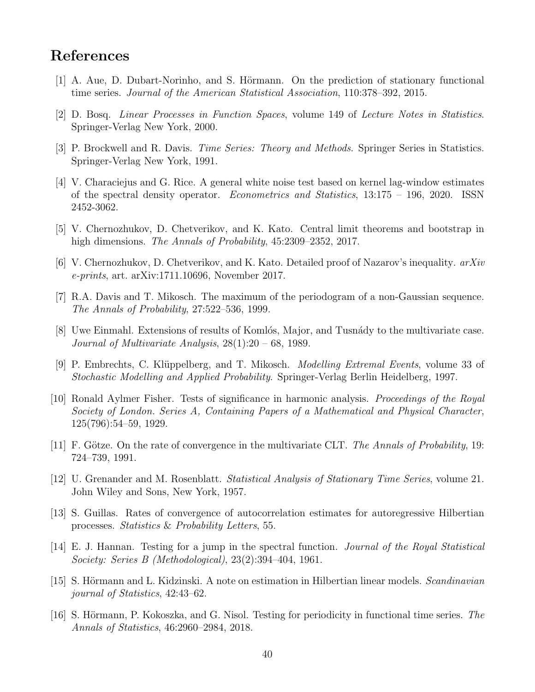## References

- <span id="page-39-3"></span>[1] A. Aue, D. Dubart-Norinho, and S. Hörmann. On the prediction of stationary functional time series. Journal of the American Statistical Association, 110:378–392, 2015.
- <span id="page-39-7"></span>[2] D. Bosq. Linear Processes in Function Spaces, volume 149 of Lecture Notes in Statistics. Springer-Verlag New York, 2000.
- <span id="page-39-4"></span>[3] P. Brockwell and R. Davis. *Time Series: Theory and Methods*. Springer Series in Statistics. Springer-Verlag New York, 1991.
- <span id="page-39-6"></span>[4] V. Characiejus and G. Rice. A general white noise test based on kernel lag-window estimates of the spectral density operator. Econometrics and Statistics, 13:175 – 196, 2020. ISSN 2452-3062.
- <span id="page-39-10"></span>[5] V. Chernozhukov, D. Chetverikov, and K. Kato. Central limit theorems and bootstrap in high dimensions. *The Annals of Probability*, 45:2309–2352, 2017.
- <span id="page-39-14"></span> $[6]$  V. Chernozhukov, D. Chetverikov, and K. Kato. Detailed proof of Nazarov's inequality.  $arXiv$ e-prints, art. arXiv:1711.10696, November 2017.
- <span id="page-39-8"></span>[7] R.A. Davis and T. Mikosch. The maximum of the periodogram of a non-Gaussian sequence. The Annals of Probability, 27:522–536, 1999.
- <span id="page-39-9"></span>[8] Uwe Einmahl. Extensions of results of Komlós, Major, and Tusnády to the multivariate case. Journal of Multivariate Analysis, 28(1):20 – 68, 1989.
- <span id="page-39-11"></span>[9] P. Embrechts, C. Klüppelberg, and T. Mikosch. *Modelling Extremal Events*, volume 33 of Stochastic Modelling and Applied Probability. Springer-Verlag Berlin Heidelberg, 1997.
- <span id="page-39-0"></span>[10] Ronald Aylmer Fisher. Tests of significance in harmonic analysis. Proceedings of the Royal Society of London. Series A, Containing Papers of a Mathematical and Physical Character, 125(796):54–59, 1929.
- <span id="page-39-15"></span>[11] F. Götze. On the rate of convergence in the multivariate CLT. The Annals of Probability, 19: 724–739, 1991.
- <span id="page-39-1"></span>[12] U. Grenander and M. Rosenblatt. Statistical Analysis of Stationary Time Series, volume 21. John Wiley and Sons, New York, 1957.
- <span id="page-39-13"></span>[13] S. Guillas. Rates of convergence of autocorrelation estimates for autoregressive Hilbertian processes. Statistics & Probability Letters, 55.
- <span id="page-39-2"></span>[14] E. J. Hannan. Testing for a jump in the spectral function. Journal of the Royal Statistical Society: Series B (Methodological), 23(2):394–404, 1961.
- <span id="page-39-12"></span>[15] S. Hörmann and L. Kidzinski. A note on estimation in Hilbertian linear models. Scandinavian journal of Statistics, 42:43–62.
- <span id="page-39-5"></span>[16] S. Hörmann, P. Kokoszka, and G. Nisol. Testing for periodicity in functional time series. The Annals of Statistics, 46:2960–2984, 2018.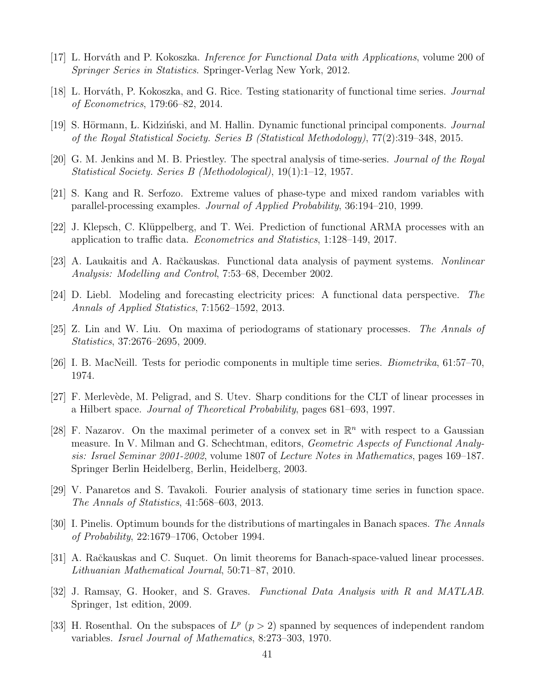- <span id="page-40-15"></span>[17] L. Horváth and P. Kokoszka. *Inference for Functional Data with Applications*, volume 200 of Springer Series in Statistics. Springer-Verlag New York, 2012.
- <span id="page-40-3"></span>[18] L. Horváth, P. Kokoszka, and G. Rice. Testing stationarity of functional time series. *Journal* of Econometrics, 179:66–82, 2014.
- <span id="page-40-7"></span>[19] S. Hörmann, L. Kidziński, and M. Hallin. Dynamic functional principal components. *Journal* of the Royal Statistical Society. Series B (Statistical Methodology), 77(2):319–348, 2015.
- <span id="page-40-0"></span>[20] G. M. Jenkins and M. B. Priestley. The spectral analysis of time-series. Journal of the Royal Statistical Society. Series B (Methodological), 19(1):1–12, 1957.
- <span id="page-40-10"></span>[21] S. Kang and R. Serfozo. Extreme values of phase-type and mixed random variables with parallel-processing examples. Journal of Applied Probability, 36:194–210, 1999.
- <span id="page-40-4"></span>[22] J. Klepsch, C. Klüppelberg, and T. Wei. Prediction of functional ARMA processes with an application to traffic data. Econometrics and Statistics, 1:128–149, 2017.
- <span id="page-40-1"></span>[23] A. Laukaitis and A. Račkauskas. Functional data analysis of payment systems. Nonlinear Analysis: Modelling and Control, 7:53–68, December 2002.
- <span id="page-40-2"></span>[24] D. Liebl. Modeling and forecasting electricity prices: A functional data perspective. The Annals of Applied Statistics, 7:1562–1592, 2013.
- <span id="page-40-8"></span>[25] Z. Lin and W. Liu. On maxima of periodograms of stationary processes. The Annals of Statistics, 37:2676–2695, 2009.
- <span id="page-40-5"></span>[26] I. B. MacNeill. Tests for periodic components in multiple time series. Biometrika, 61:57–70, 1974.
- <span id="page-40-13"></span>[27] F. Merlevède, M. Peligrad, and S. Utev. Sharp conditions for the CLT of linear processes in a Hilbert space. Journal of Theoretical Probability, pages 681–693, 1997.
- <span id="page-40-9"></span>[28] F. Nazarov. On the maximal perimeter of a convex set in  $\mathbb{R}^n$  with respect to a Gaussian measure. In V. Milman and G. Schechtman, editors, *Geometric Aspects of Functional Analy*sis: Israel Seminar 2001-2002, volume 1807 of Lecture Notes in Mathematics, pages 169–187. Springer Berlin Heidelberg, Berlin, Heidelberg, 2003.
- <span id="page-40-6"></span>[29] V. Panaretos and S. Tavakoli. Fourier analysis of stationary time series in function space. The Annals of Statistics, 41:568–603, 2013.
- <span id="page-40-16"></span>[30] I. Pinelis. Optimum bounds for the distributions of martingales in Banach spaces. The Annals of Probability, 22:1679–1706, October 1994.
- <span id="page-40-14"></span>[31] A. Račkauskas and C. Suquet. On limit theorems for Banach-space-valued linear processes. Lithuanian Mathematical Journal, 50:71–87, 2010.
- <span id="page-40-11"></span>[32] J. Ramsay, G. Hooker, and S. Graves. Functional Data Analysis with R and MATLAB. Springer, 1st edition, 2009.
- <span id="page-40-12"></span>[33] H. Rosenthal. On the subspaces of  $L^p$  ( $p > 2$ ) spanned by sequences of independent random variables. Israel Journal of Mathematics, 8:273–303, 1970.